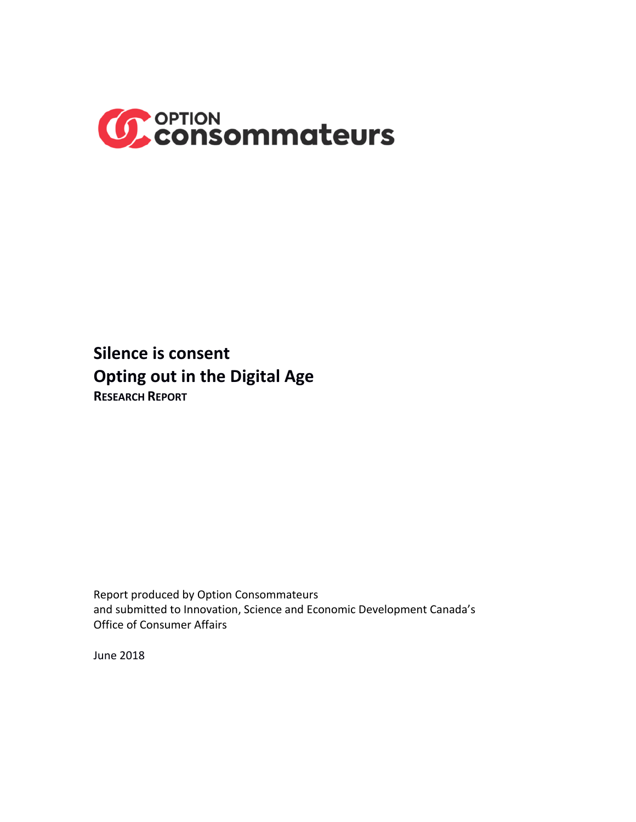

**Silence is consent Opting out in the Digital Age RESEARCH REPORT**

Report produced by Option Consommateurs and submitted to Innovation, Science and Economic Development Canada's Office of Consumer Affairs

June 2018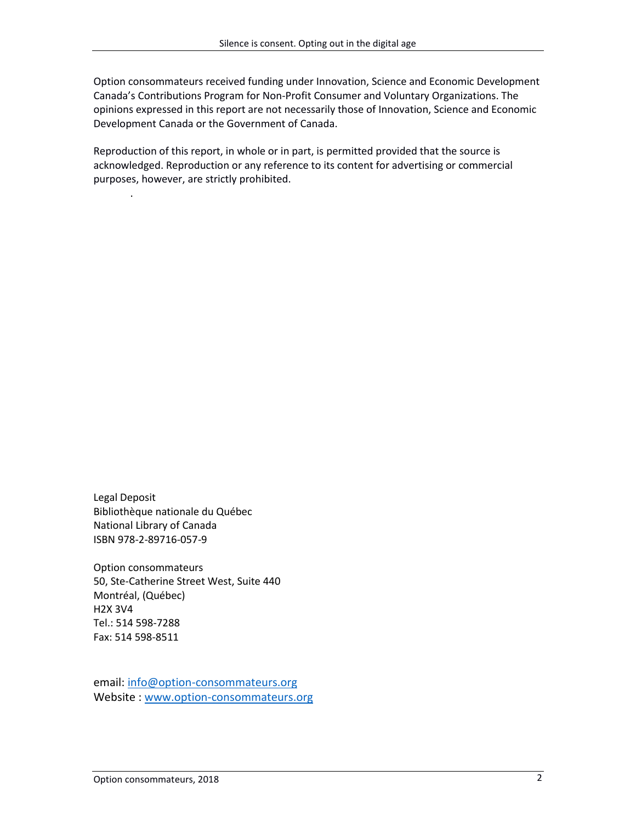Option consommateurs received funding under Innovation, Science and Economic Development Canada's Contributions Program for Non-Profit Consumer and Voluntary Organizations. The opinions expressed in this report are not necessarily those of Innovation, Science and Economic Development Canada or the Government of Canada.

Reproduction of this report, in whole or in part, is permitted provided that the source is acknowledged. Reproduction or any reference to its content for advertising or commercial purposes, however, are strictly prohibited.

Legal Deposit Bibliothèque nationale du Québec National Library of Canada ISBN 978-2-89716-057-9

.

Option consommateurs 50, Ste-Catherine Street West, Suite 440 Montréal, (Québec) H2X 3V4 Tel.: 514 598-7288 Fax: 514 598-8511

email[: info@option-consommateurs.org](mailto:info@option-consommateurs.org) Website : [www.option-consommateurs.org](http://www.option-consommateurs.org/)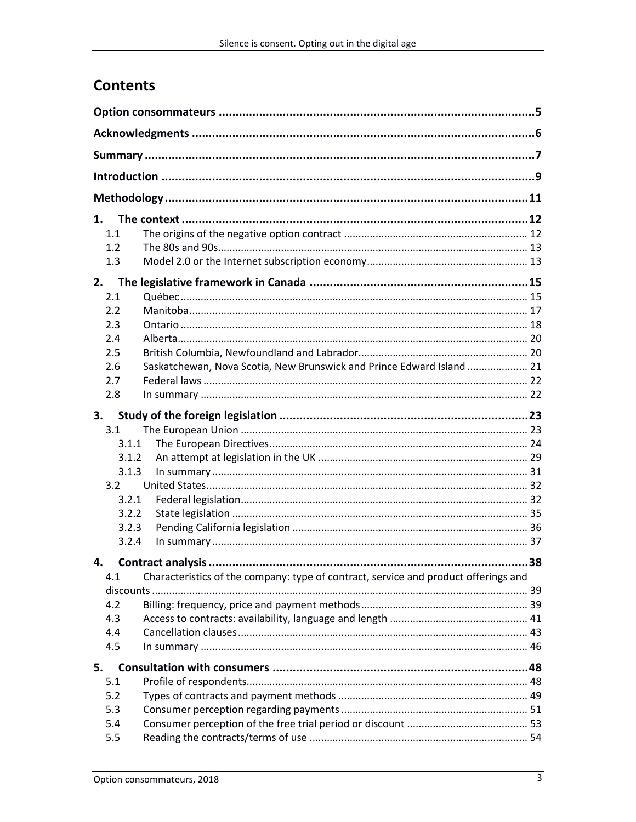# **Contents**

| 1.                                                                                         |  |
|--------------------------------------------------------------------------------------------|--|
| 1.1                                                                                        |  |
| 1.2                                                                                        |  |
| 1.3                                                                                        |  |
| 2.                                                                                         |  |
| 2.1                                                                                        |  |
| 2.2                                                                                        |  |
| 2.3                                                                                        |  |
| 2.4                                                                                        |  |
| 2.5                                                                                        |  |
| Saskatchewan, Nova Scotia, New Brunswick and Prince Edward Island  21<br>2.6               |  |
| 2.7                                                                                        |  |
| 2.8                                                                                        |  |
| 3.                                                                                         |  |
| 3.1                                                                                        |  |
| 3.1.1                                                                                      |  |
| 3.1.2                                                                                      |  |
| 3.1.3                                                                                      |  |
| 3.2                                                                                        |  |
| 3.2.1<br>3.2.2                                                                             |  |
| 3.2.3                                                                                      |  |
| 3.2.4                                                                                      |  |
|                                                                                            |  |
| 4.                                                                                         |  |
| 4.1<br>Characteristics of the company: type of contract, service and product offerings and |  |
| discounts.<br>4.2                                                                          |  |
| 4.3                                                                                        |  |
| 4.4                                                                                        |  |
| 4.5                                                                                        |  |
|                                                                                            |  |
| 5.                                                                                         |  |
| 5.1<br>5.2                                                                                 |  |
| 5.3                                                                                        |  |
| 5.4                                                                                        |  |
| 5.5                                                                                        |  |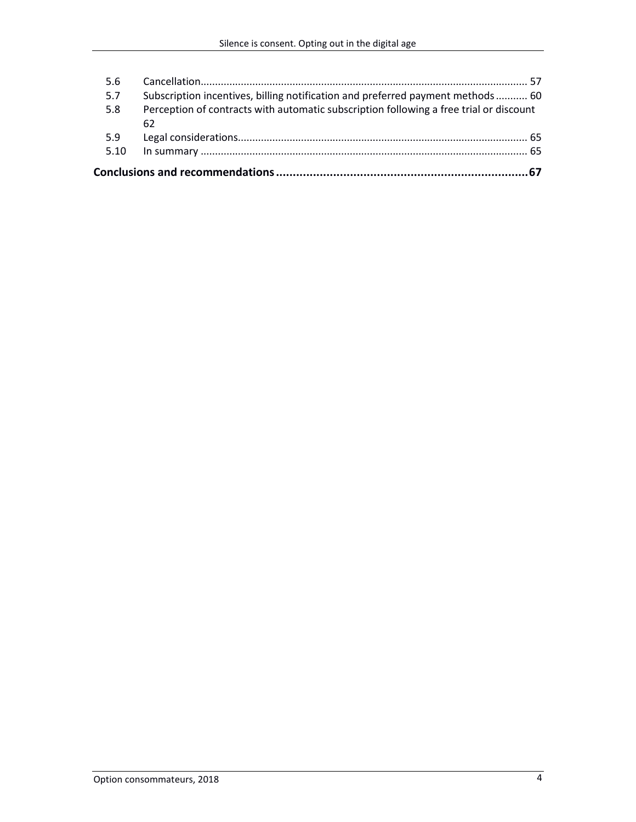| 5.6  |                                                                                        |
|------|----------------------------------------------------------------------------------------|
| 5.7  | Subscription incentives, billing notification and preferred payment methods  60        |
| 5.8  | Perception of contracts with automatic subscription following a free trial or discount |
|      | 62                                                                                     |
| 5.9  |                                                                                        |
| 5.10 |                                                                                        |
|      |                                                                                        |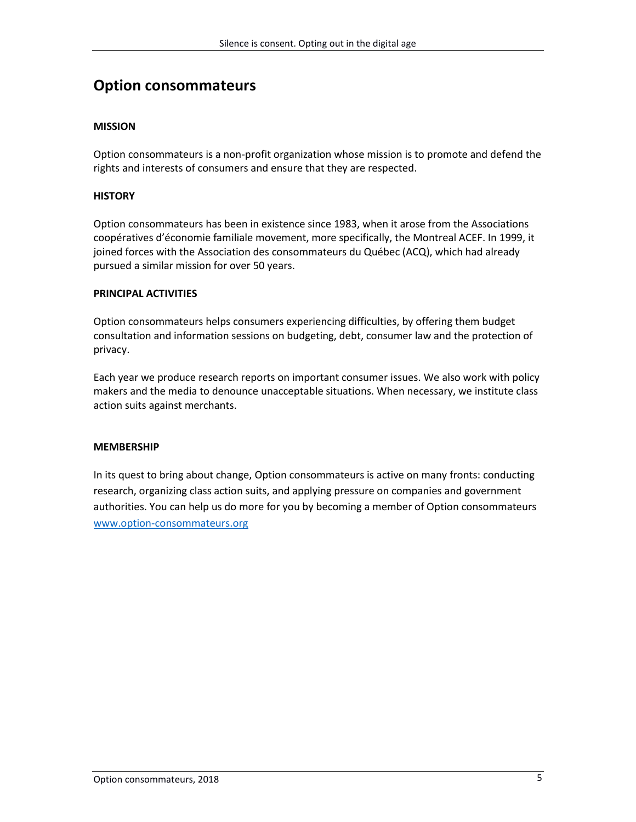# **Option consommateurs**

### **MISSION**

Option consommateurs is a non-profit organization whose mission is to promote and defend the rights and interests of consumers and ensure that they are respected.

#### **HISTORY**

Option consommateurs has been in existence since 1983, when it arose from the Associations coopératives d'économie familiale movement, more specifically, the Montreal ACEF. In 1999, it joined forces with the Association des consommateurs du Québec (ACQ), which had already pursued a similar mission for over 50 years.

#### **PRINCIPAL ACTIVITIES**

Option consommateurs helps consumers experiencing difficulties, by offering them budget consultation and information sessions on budgeting, debt, consumer law and the protection of privacy.

Each year we produce research reports on important consumer issues. We also work with policy makers and the media to denounce unacceptable situations. When necessary, we institute class action suits against merchants.

#### **MEMBERSHIP**

In its quest to bring about change, Option consommateurs is active on many fronts: conducting research, organizing class action suits, and applying pressure on companies and government authorities. You can help us do more for you by becoming a member of Option consommateurs [www.option-consommateurs.org](http://www.option-consommateurs.org/)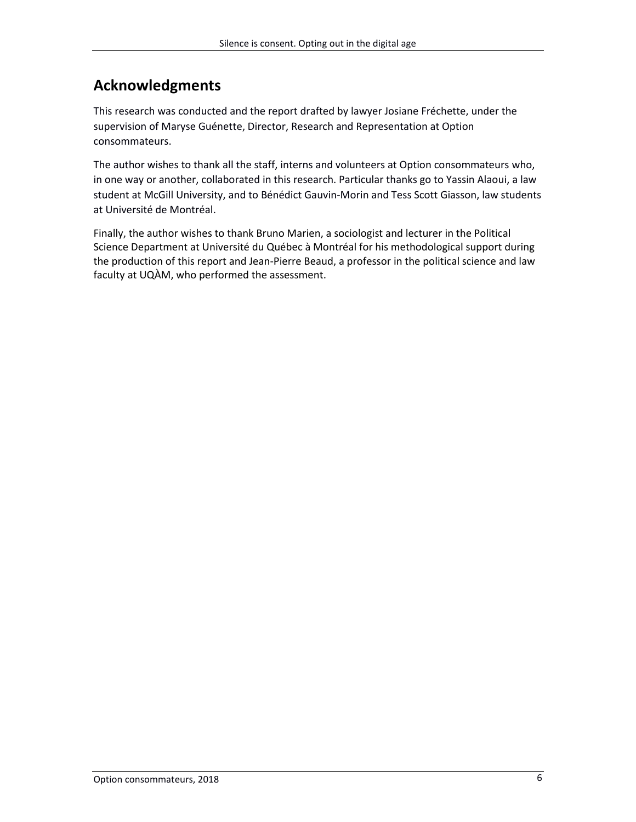# **Acknowledgments**

This research was conducted and the report drafted by lawyer Josiane Fréchette, under the supervision of Maryse Guénette, Director, Research and Representation at Option consommateurs.

The author wishes to thank all the staff, interns and volunteers at Option consommateurs who, in one way or another, collaborated in this research. Particular thanks go to Yassin Alaoui, a law student at McGill University, and to Bénédict Gauvin-Morin and Tess Scott Giasson, law students at Université de Montréal.

Finally, the author wishes to thank Bruno Marien, a sociologist and lecturer in the Political Science Department at Université du Québec à Montréal for his methodological support during the production of this report and Jean-Pierre Beaud, a professor in the political science and law faculty at UQÀM, who performed the assessment.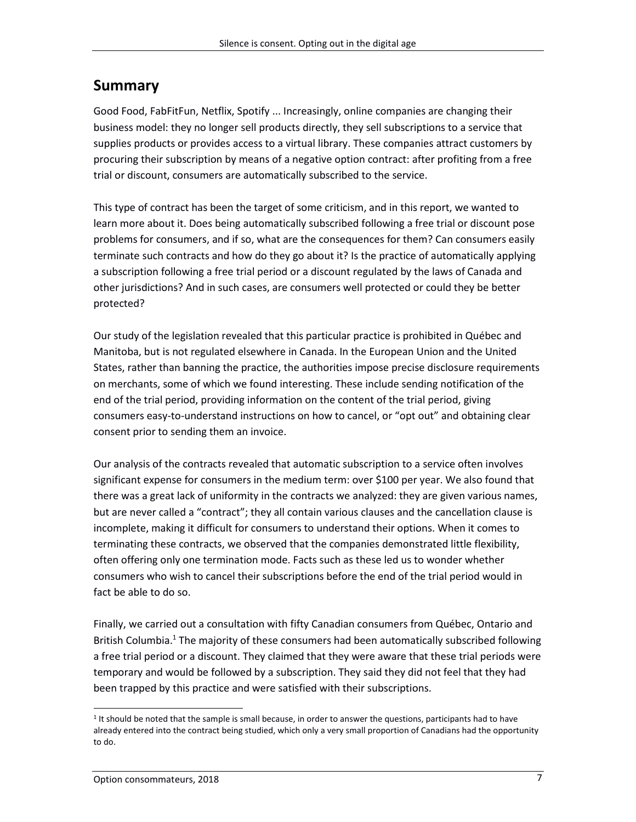# **Summary**

Good Food, FabFitFun, Netflix, Spotify ... Increasingly, online companies are changing their business model: they no longer sell products directly, they sell subscriptions to a service that supplies products or provides access to a virtual library. These companies attract customers by procuring their subscription by means of a negative option contract: after profiting from a free trial or discount, consumers are automatically subscribed to the service.

This type of contract has been the target of some criticism, and in this report, we wanted to learn more about it. Does being automatically subscribed following a free trial or discount pose problems for consumers, and if so, what are the consequences for them? Can consumers easily terminate such contracts and how do they go about it? Is the practice of automatically applying a subscription following a free trial period or a discount regulated by the laws of Canada and other jurisdictions? And in such cases, are consumers well protected or could they be better protected?

Our study of the legislation revealed that this particular practice is prohibited in Québec and Manitoba, but is not regulated elsewhere in Canada. In the European Union and the United States, rather than banning the practice, the authorities impose precise disclosure requirements on merchants, some of which we found interesting. These include sending notification of the end of the trial period, providing information on the content of the trial period, giving consumers easy-to-understand instructions on how to cancel, or "opt out" and obtaining clear consent prior to sending them an invoice.

Our analysis of the contracts revealed that automatic subscription to a service often involves significant expense for consumers in the medium term: over \$100 per year. We also found that there was a great lack of uniformity in the contracts we analyzed: they are given various names, but are never called a "contract"; they all contain various clauses and the cancellation clause is incomplete, making it difficult for consumers to understand their options. When it comes to terminating these contracts, we observed that the companies demonstrated little flexibility, often offering only one termination mode. Facts such as these led us to wonder whether consumers who wish to cancel their subscriptions before the end of the trial period would in fact be able to do so.

Finally, we carried out a consultation with fifty Canadian consumers from Québec, Ontario and British Columbia.<sup>1</sup> The majority of these consumers had been automatically subscribed following a free trial period or a discount. They claimed that they were aware that these trial periods were temporary and would be followed by a subscription. They said they did not feel that they had been trapped by this practice and were satisfied with their subscriptions.

 $\overline{a}$ <sup>1</sup> It should be noted that the sample is small because, in order to answer the questions, participants had to have already entered into the contract being studied, which only a very small proportion of Canadians had the opportunity to do.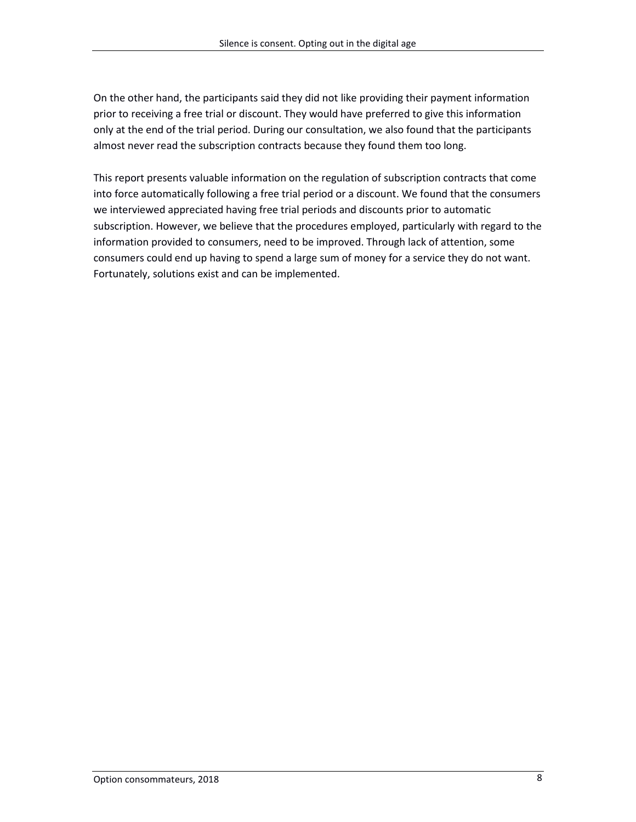On the other hand, the participants said they did not like providing their payment information prior to receiving a free trial or discount. They would have preferred to give this information only at the end of the trial period. During our consultation, we also found that the participants almost never read the subscription contracts because they found them too long.

This report presents valuable information on the regulation of subscription contracts that come into force automatically following a free trial period or a discount. We found that the consumers we interviewed appreciated having free trial periods and discounts prior to automatic subscription. However, we believe that the procedures employed, particularly with regard to the information provided to consumers, need to be improved. Through lack of attention, some consumers could end up having to spend a large sum of money for a service they do not want. Fortunately, solutions exist and can be implemented.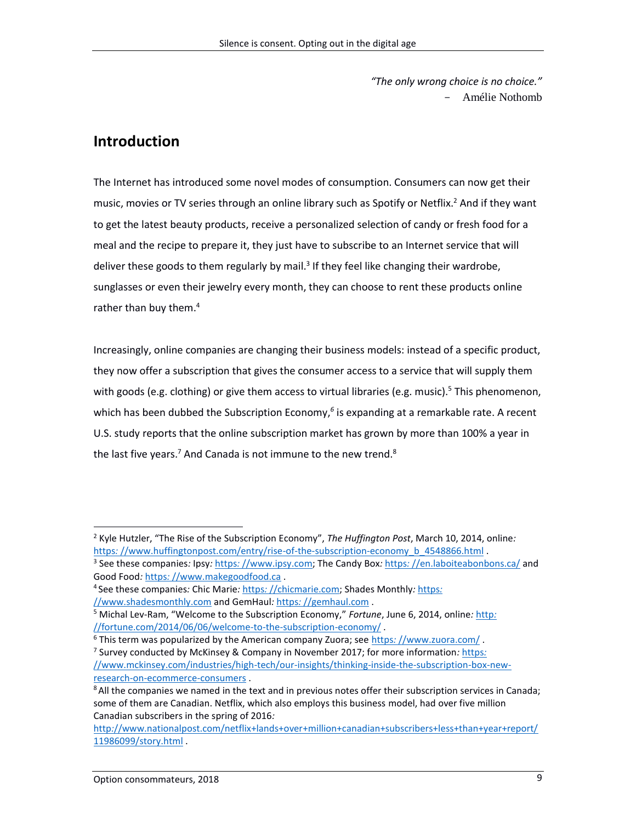*"The only wrong choice is no choice."* - Amélie Nothomb

# **Introduction**

The Internet has introduced some novel modes of consumption. Consumers can now get their music, movies or TV series through an online library such as Spotify or Netflix. <sup>2</sup> And if they want to get the latest beauty products, receive a personalized selection of candy or fresh food for a meal and the recipe to prepare it, they just have to subscribe to an Internet service that will deliver these goods to them regularly by mail.<sup>3</sup> If they feel like changing their wardrobe, sunglasses or even their jewelry every month, they can choose to rent these products online rather than buy them.<sup>4</sup>

Increasingly, online companies are changing their business models: instead of a specific product, they now offer a subscription that gives the consumer access to a service that will supply them with goods (e.g. clothing) or give them access to virtual libraries (e.g. music).<sup>5</sup> This phenomenon, which has been dubbed the Subscription Economy,<sup>6</sup> is expanding at a remarkable rate. A recent U.S. study reports that the online subscription market has grown by more than 100% a year in the last five years.<sup>7</sup> And Canada is not immune to the new trend.<sup>8</sup>

<sup>2</sup> Kyle Hutzler, "The Rise of the Subscription Economy", *The Huffington Post*, March 10, 2014, online*:*  https:[//www.huffingtonpost.com/entry/rise-of-the-subscription-economy\\_b\\_4548866.html](https://www.huffingtonpost.com/entry/rise-of-the-subscription-economy_b_4548866.html)

<sup>3</sup> See these companies*:* Ipsy*:* https*:* [//www.ipsy.com;](https://www.ipsy.com/) The Candy Box*:* https*:* [//en.laboiteabonbons.ca/](https://en.laboiteabonbons.ca/) and Good Food*:* https*:* [//www.makegoodfood.ca](https://www.makegoodfood.ca/fr/accueil) .

<sup>4</sup> See these companies*:* Chic Marie*:* https*:* [//chicmarie.com;](https://chicmarie.com/) Shades Monthly*:* [https](https://www.shadesmonthly.com/)*:* 

[<sup>//</sup>www.shadesmonthly.com](https://www.shadesmonthly.com/) and GemHaul*:* https*:* [//gemhaul.com](https://gemhaul.com/) .

<sup>5</sup> Michal Lev-Ram, "Welcome to the Subscription Economy," *Fortune*, June 6, 2014, online*:* [http](http://fortune.com/2014/06/06/welcome-to-the-subscription-economy/)*:*  [//fortune.com/2014/06/06/welcome-to-the-subscription-economy/](http://fortune.com/2014/06/06/welcome-to-the-subscription-economy/) .

<sup>6</sup> This term was popularized by the American company Zuora; see https*:* [//www.zuora.com/](https://www.zuora.com/) .

<sup>7</sup> Survey conducted by McKinsey & Company in November 2017; for more information*:* [https](https://www.mckinsey.com/industries/high-tech/our-insights/thinking-inside-the-subscription-box-new-research-on-ecommerce-consumers)*:*  [//www.mckinsey.com/industries/high-tech/our-insights/thinking-inside-the-subscription-box-new](https://www.mckinsey.com/industries/high-tech/our-insights/thinking-inside-the-subscription-box-new-research-on-ecommerce-consumers)[research-on-ecommerce-consumers](https://www.mckinsey.com/industries/high-tech/our-insights/thinking-inside-the-subscription-box-new-research-on-ecommerce-consumers) .

<sup>&</sup>lt;sup>8</sup> All the companies we named in the text and in previous notes offer their subscription services in Canada; some of them are Canadian. Netflix, which also employs this business model, had over five million Canadian subscribers in the spring of 2016*:* 

http*:*[//www.nationalpost.com/netflix+lands+over+million+canadian+subscribers+less+than+year+report/](http://www.nationalpost.com/netflix+lands+over+million+canadian+subscribers+less+than+year+report/11986099/story.html) [11986099/story.html](http://www.nationalpost.com/netflix+lands+over+million+canadian+subscribers+less+than+year+report/11986099/story.html) .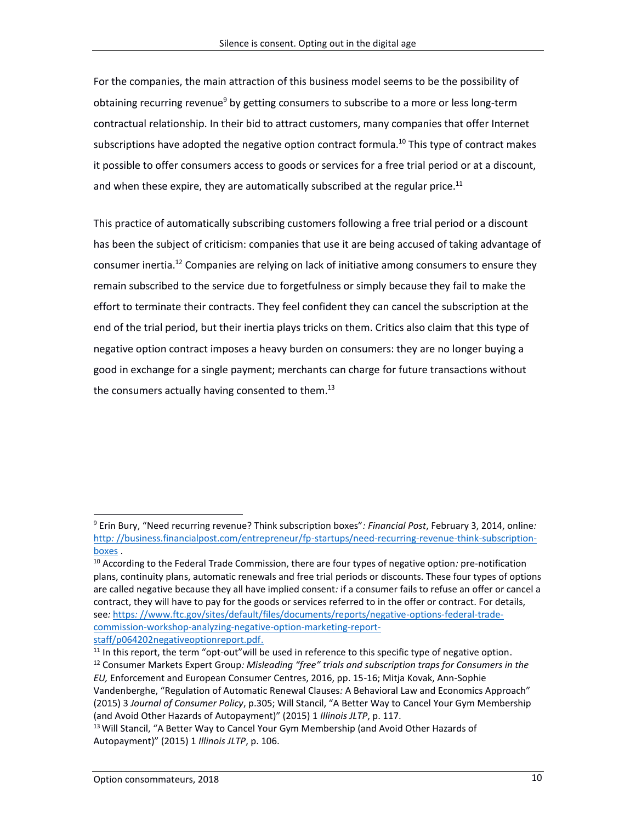For the companies, the main attraction of this business model seems to be the possibility of obtaining recurring revenue<sup>9</sup> by getting consumers to subscribe to a more or less long-term contractual relationship. In their bid to attract customers, many companies that offer Internet subscriptions have adopted the negative option contract formula.<sup>10</sup> This type of contract makes it possible to offer consumers access to goods or services for a free trial period or at a discount, and when these expire, they are automatically subscribed at the regular price.<sup>11</sup>

This practice of automatically subscribing customers following a free trial period or a discount has been the subject of criticism: companies that use it are being accused of taking advantage of consumer inertia.<sup>12</sup> Companies are relying on lack of initiative among consumers to ensure they remain subscribed to the service due to forgetfulness or simply because they fail to make the effort to terminate their contracts. They feel confident they can cancel the subscription at the end of the trial period, but their inertia plays tricks on them. Critics also claim that this type of negative option contract imposes a heavy burden on consumers: they are no longer buying a good in exchange for a single payment; merchants can charge for future transactions without the consumers actually having consented to them.<sup>13</sup>

<sup>9</sup> Erin Bury, "Need recurring revenue? Think subscription boxes"*: Financial Post*, February 3, 2014, online*:*  http*:* [//business.financialpost.com/entrepreneur/fp-startups/need-recurring-revenue-think-subscription](http://business.financialpost.com/entrepreneur/fp-startups/need-recurring-revenue-think-subscription-boxes)[boxes](http://business.financialpost.com/entrepreneur/fp-startups/need-recurring-revenue-think-subscription-boxes) .

<sup>10</sup> According to the Federal Trade Commission, there are four types of negative option*:* pre-notification plans, continuity plans, automatic renewals and free trial periods or discounts. These four types of options are called negative because they all have implied consent*:* if a consumer fails to refuse an offer or cancel a contract, they will have to pay for the goods or services referred to in the offer or contract. For details, see*:* https*:* [//www.ftc.gov/sites/default/files/documents/reports/negative-options-federal-trade](https://www.ftc.gov/sites/default/files/documents/reports/negative-options-federal-trade-commission-workshop-analyzing-negative-option-marketing-report-staff/p064202negativeoptionreport.pdf)[commission-workshop-analyzing-negative-option-marketing-report](https://www.ftc.gov/sites/default/files/documents/reports/negative-options-federal-trade-commission-workshop-analyzing-negative-option-marketing-report-staff/p064202negativeoptionreport.pdf)[staff/p064202negativeoptionreport.pdf.](https://www.ftc.gov/sites/default/files/documents/reports/negative-options-federal-trade-commission-workshop-analyzing-negative-option-marketing-report-staff/p064202negativeoptionreport.pdf)

 $11$  In this report, the term "opt-out" will be used in reference to this specific type of negative option. <sup>12</sup> Consumer Markets Expert Group*: Misleading "free" trials and subscription traps for Consumers in the EU,* Enforcement and European Consumer Centres, 2016, pp. 15-16; Mitja Kovak, Ann-Sophie Vandenberghe, "Regulation of Automatic Renewal Clauses*:* A Behavioral Law and Economics Approach" (2015) 3 *Journal of Consumer Policy*, p.305; Will Stancil, "A Better Way to Cancel Your Gym Membership (and Avoid Other Hazards of Autopayment)" (2015) 1 *Illinois JLTP*, p. 117.

<sup>&</sup>lt;sup>13</sup> Will Stancil, "A Better Way to Cancel Your Gym Membership (and Avoid Other Hazards of Autopayment)" (2015) 1 *Illinois JLTP*, p. 106.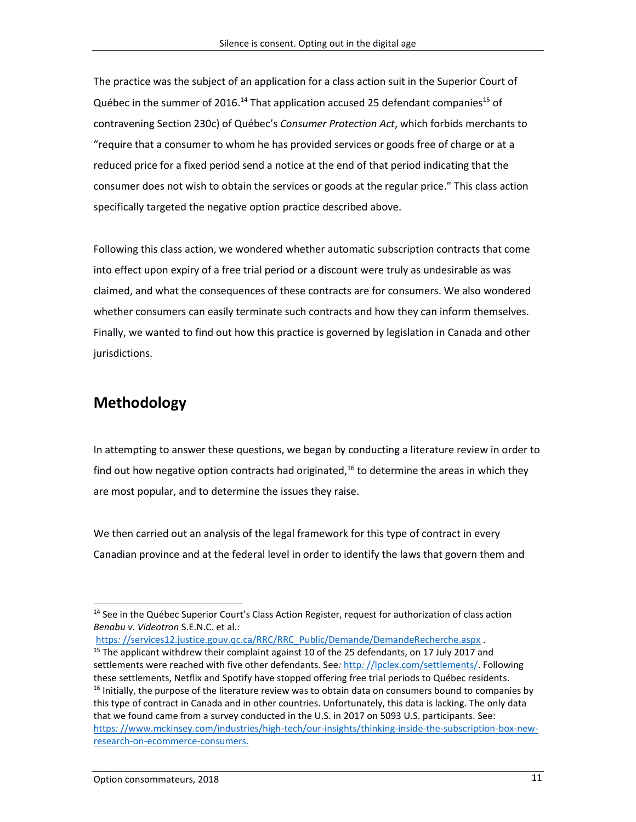The practice was the subject of an application for a class action suit in the Superior Court of Québec in the summer of 2016.<sup>14</sup> That application accused 25 defendant companies<sup>15</sup> of contravening Section 230c) of Québec's *Consumer Protection Act*, which forbids merchants to "require that a consumer to whom he has provided services or goods free of charge or at a reduced price for a fixed period send a notice at the end of that period indicating that the consumer does not wish to obtain the services or goods at the regular price." This class action specifically targeted the negative option practice described above.

Following this class action, we wondered whether automatic subscription contracts that come into effect upon expiry of a free trial period or a discount were truly as undesirable as was claimed, and what the consequences of these contracts are for consumers. We also wondered whether consumers can easily terminate such contracts and how they can inform themselves. Finally, we wanted to find out how this practice is governed by legislation in Canada and other jurisdictions.

# **Methodology**

 $\overline{a}$ 

In attempting to answer these questions, we began by conducting a literature review in order to find out how negative option contracts had originated,<sup>16</sup> to determine the areas in which they are most popular, and to determine the issues they raise.

We then carried out an analysis of the legal framework for this type of contract in every Canadian province and at the federal level in order to identify the laws that govern them and

https:[//services12.justice.gouv.qc.ca/RRC/RRC\\_Public/Demande/DemandeRecherche.aspx](https://services12.justice.gouv.qc.ca/RRC/RRC_Public/Demande/DemandeRecherche.aspx) . <sup>15</sup> The applicant withdrew their complaint against 10 of the 25 defendants, on 17 July 2017 and settlements were reached with five other defendants. See*:* http*:* [//lpclex.com/settlements/.](http://lpclex.com/settlements/) Following these settlements, Netflix and Spotify have stopped offering free trial periods to Québec residents.  $16$  Initially, the purpose of the literature review was to obtain data on consumers bound to companies by this type of contract in Canada and in other countries. Unfortunately, this data is lacking. The only data that we found came from a survey conducted in the U.S. in 2017 on 5093 U.S. participants. See: https*:* [//www.mckinsey.com/industries/high-tech/our-insights/thinking-inside-the-subscription-box-new](https://www.mckinsey.com/industries/high-tech/our-insights/thinking-inside-the-subscription-box-new-research-on-ecommerce-consumers)[research-on-ecommerce-consumers.](https://www.mckinsey.com/industries/high-tech/our-insights/thinking-inside-the-subscription-box-new-research-on-ecommerce-consumers)

<sup>&</sup>lt;sup>14</sup> See in the Québec Superior Court's Class Action Register, request for authorization of class action *Benabu v. Videotron* S.E.N.C. et al.*:*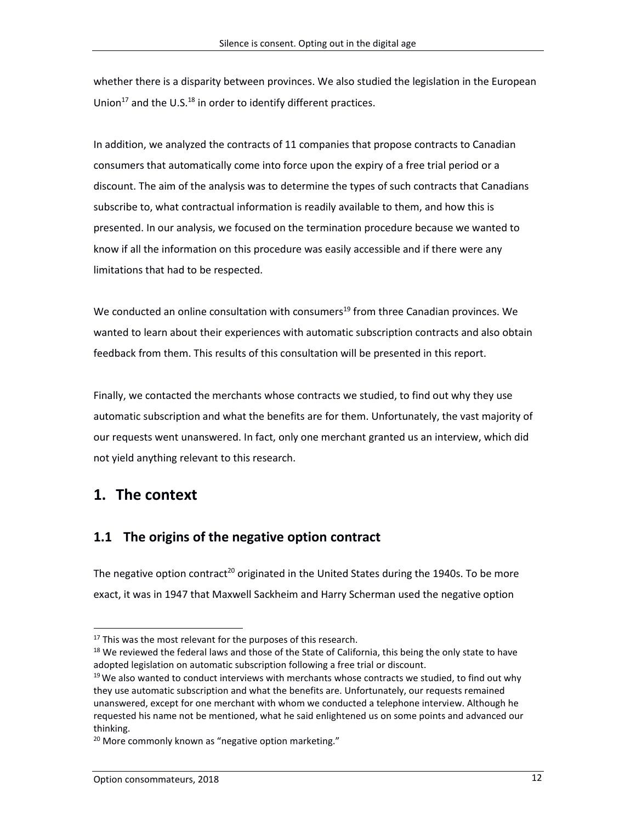whether there is a disparity between provinces. We also studied the legislation in the European Union<sup>17</sup> and the U.S.<sup>18</sup> in order to identify different practices.

In addition, we analyzed the contracts of 11 companies that propose contracts to Canadian consumers that automatically come into force upon the expiry of a free trial period or a discount. The aim of the analysis was to determine the types of such contracts that Canadians subscribe to, what contractual information is readily available to them, and how this is presented. In our analysis, we focused on the termination procedure because we wanted to know if all the information on this procedure was easily accessible and if there were any limitations that had to be respected.

We conducted an online consultation with consumers<sup>19</sup> from three Canadian provinces. We wanted to learn about their experiences with automatic subscription contracts and also obtain feedback from them. This results of this consultation will be presented in this report.

Finally, we contacted the merchants whose contracts we studied, to find out why they use automatic subscription and what the benefits are for them. Unfortunately, the vast majority of our requests went unanswered. In fact, only one merchant granted us an interview, which did not yield anything relevant to this research.

# **1. The context**

 $\overline{a}$ 

### **1.1 The origins of the negative option contract**

The negative option contract<sup>20</sup> originated in the United States during the 1940s. To be more exact, it was in 1947 that Maxwell Sackheim and Harry Scherman used the negative option

 $17$  This was the most relevant for the purposes of this research.

<sup>&</sup>lt;sup>18</sup> We reviewed the federal laws and those of the State of California, this being the only state to have adopted legislation on automatic subscription following a free trial or discount.

 $19$  We also wanted to conduct interviews with merchants whose contracts we studied, to find out why they use automatic subscription and what the benefits are. Unfortunately, our requests remained unanswered, except for one merchant with whom we conducted a telephone interview. Although he requested his name not be mentioned, what he said enlightened us on some points and advanced our thinking.

<sup>&</sup>lt;sup>20</sup> More commonly known as "negative option marketing."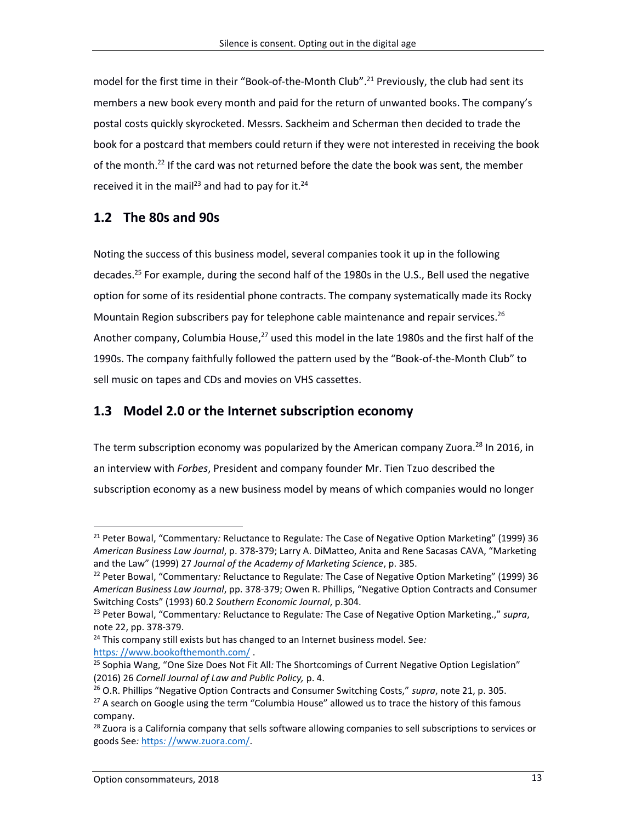model for the first time in their "Book-of-the-Month Club". <sup>21</sup> Previously, the club had sent its members a new book every month and paid for the return of unwanted books. The company's postal costs quickly skyrocketed. Messrs. Sackheim and Scherman then decided to trade the book for a postcard that members could return if they were not interested in receiving the book of the month.<sup>22</sup> If the card was not returned before the date the book was sent, the member received it in the mail<sup>23</sup> and had to pay for it.<sup>24</sup>

### **1.2 The 80s and 90s**

Noting the success of this business model, several companies took it up in the following decades. <sup>25</sup> For example, during the second half of the 1980s in the U.S., Bell used the negative option for some of its residential phone contracts. The company systematically made its Rocky Mountain Region subscribers pay for telephone cable maintenance and repair services.<sup>26</sup> Another company, Columbia House,<sup>27</sup> used this model in the late 1980s and the first half of the 1990s. The company faithfully followed the pattern used by the "Book-of-the-Month Club" to sell music on tapes and CDs and movies on VHS cassettes.

### **1.3 Model 2.0 or the Internet subscription economy**

The term subscription economy was popularized by the American company Zuora.<sup>28</sup> In 2016, in an interview with *Forbes*, President and company founder Mr. Tien Tzuo described the subscription economy as a new business model by means of which companies would no longer

<sup>24</sup> This company still exists but has changed to an Internet business model. See*:*  https*:* [//www.bookofthemonth.com/](https://www.bookofthemonth.com/) .

<sup>21</sup> Peter Bowal, "Commentary*:* Reluctance to Regulate*:* The Case of Negative Option Marketing" (1999) 36 *American Business Law Journal*, p. 378-379; Larry A. DiMatteo, Anita and Rene Sacasas CAVA, "Marketing and the Law" (1999) 27 *Journal of the Academy of Marketing Science*, p. 385.

<sup>22</sup> Peter Bowal, "Commentary*:* Reluctance to Regulate*:* The Case of Negative Option Marketing" (1999) 36 *American Business Law Journal*, pp. 378-379; Owen R. Phillips, "Negative Option Contracts and Consumer Switching Costs" (1993) 60.2 *Southern Economic Journal*, p.304.

<sup>23</sup> Peter Bowal, "Commentary*:* Reluctance to Regulate*:* The Case of Negative Option Marketing.," *supra*, note 22, pp. 378-379.

<sup>25</sup> Sophia Wang, "One Size Does Not Fit All*:* The Shortcomings of Current Negative Option Legislation" (2016) 26 *Cornell Journal of Law and Public Policy,* p. 4.

<sup>26</sup> O.R. Phillips "Negative Option Contracts and Consumer Switching Costs," *supra*, note 21, p. 305.

 $27$  A search on Google using the term "Columbia House" allowed us to trace the history of this famous company.

<sup>&</sup>lt;sup>28</sup> Zuora is a California company that sells software allowing companies to sell subscriptions to services or goods See*:* https*:* [//www.zuora.com/.](https://www.zuora.com/)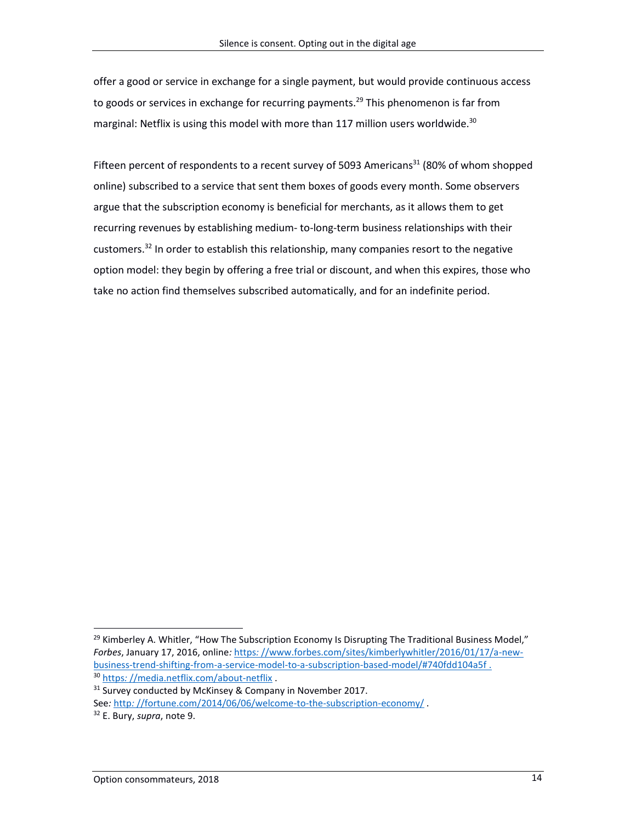offer a good or service in exchange for a single payment, but would provide continuous access to goods or services in exchange for recurring payments.<sup>29</sup> This phenomenon is far from marginal: Netflix is using this model with more than 117 million users worldwide.<sup>30</sup>

Fifteen percent of respondents to a recent survey of 5093 Americans<sup>31</sup> (80% of whom shopped online) subscribed to a service that sent them boxes of goods every month. Some observers argue that the subscription economy is beneficial for merchants, as it allows them to get recurring revenues by establishing medium- to-long-term business relationships with their customers.<sup>32</sup> In order to establish this relationship, many companies resort to the negative option model: they begin by offering a free trial or discount, and when this expires, those who take no action find themselves subscribed automatically, and for an indefinite period.

<sup>&</sup>lt;sup>29</sup> Kimberley A. Whitler, "How The Subscription Economy Is Disrupting The Traditional Business Model," *Forbes*, January 17, 2016, online*:* https*:* [//www.forbes.com/sites/kimberlywhitler/2016/01/17/a-new](https://www.forbes.com/sites/kimberlywhitler/2016/01/17/a-new-business-trend-shifting-from-a-service-model-to-a-subscription-based-model/#740fdd104a5f)[business-trend-shifting-from-a-service-model-to-a-subscription-based-model/#740fdd104a5f](https://www.forbes.com/sites/kimberlywhitler/2016/01/17/a-new-business-trend-shifting-from-a-service-model-to-a-subscription-based-model/#740fdd104a5f) . <sup>30</sup> https*:* [//media.netflix.com/about-netflix](https://media.netflix.com/about-netflix) .

 $31$  Survey conducted by McKinsey & Company in November 2017.

See*:* http*:* [//fortune.com/2014/06/06/welcome-to-the-subscription-economy/](http://fortune.com/2014/06/06/welcome-to-the-subscription-economy/) .

<sup>32</sup> E. Bury, *supra*, note 9.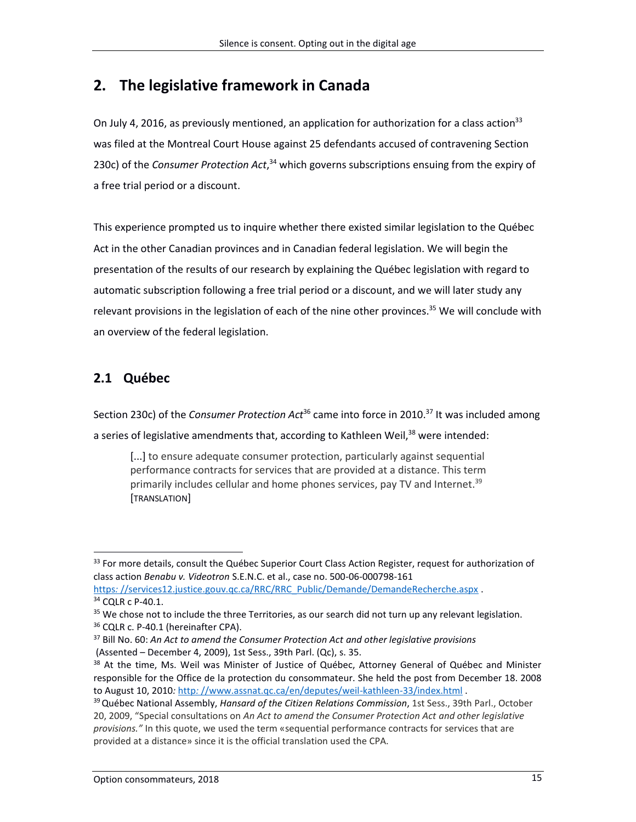# **2. The legislative framework in Canada**

On July 4, 2016, as previously mentioned, an application for authorization for a class action<sup>33</sup> was filed at the Montreal Court House against 25 defendants accused of contravening Section 230c) of the *Consumer Protection Act*, <sup>34</sup> which governs subscriptions ensuing from the expiry of a free trial period or a discount.

This experience prompted us to inquire whether there existed similar legislation to the Québec Act in the other Canadian provinces and in Canadian federal legislation. We will begin the presentation of the results of our research by explaining the Québec legislation with regard to automatic subscription following a free trial period or a discount, and we will later study any relevant provisions in the legislation of each of the nine other provinces.<sup>35</sup> We will conclude with an overview of the federal legislation.

# **2.1 Québec**

 $\overline{a}$ 

Section 230c) of the *Consumer Protection Act*<sup>36</sup> came into force in 2010. <sup>37</sup> It was included among

a series of legislative amendments that, according to Kathleen Weil,<sup>38</sup> were intended:

[...] to ensure adequate consumer protection, particularly against sequential performance contracts for services that are provided at a distance. This term primarily includes cellular and home phones services, pay TV and Internet.<sup>39</sup> [TRANSLATION]

<sup>36</sup> CQLR c. P-40.1 (hereinafter CPA).

<sup>&</sup>lt;sup>33</sup> For more details, consult the Québec Superior Court Class Action Register, request for authorization of class action *Benabu v. Videotron* S.E.N.C. et al., case no. 500-06-000798-161

https:[//services12.justice.gouv.qc.ca/RRC/RRC\\_Public/Demande/DemandeRecherche.aspx](https://services12.justice.gouv.qc.ca/RRC/RRC_Public/Demande/DemandeRecherche.aspx) . <sup>34</sup> CQLR c P-40.1.

 $35$  We chose not to include the three Territories, as our search did not turn up any relevant legislation.

<sup>37</sup> Bill No. 60: *An Act to amend the Consumer Protection Act and other legislative provisions* (Assented – December 4, 2009), 1st Sess., 39th Parl. (Qc), s. 35.

<sup>&</sup>lt;sup>38</sup> At the time, Ms. Weil was Minister of Justice of Québec, Attorney General of Québec and Minister responsible for the Office de la protection du consommateur. She held the post from December 18. 2008 to August 10, 2010*:* http*:* [//www.assnat.qc.ca/en/deputes/weil-kathleen-33/index.html](http://www.assnat.qc.ca/en/deputes/weil-kathleen-33/index.html) .

<sup>39</sup>Québec National Assembly, *Hansard of the Citizen Relations Commission*, 1st Sess., 39th Parl., October 20, 2009, "Special consultations on *An Act to amend the Consumer Protection Act and other legislative provisions."* In this quote, we used the term «sequential performance contracts for services that are provided at a distance» since it is the official translation used the CPA.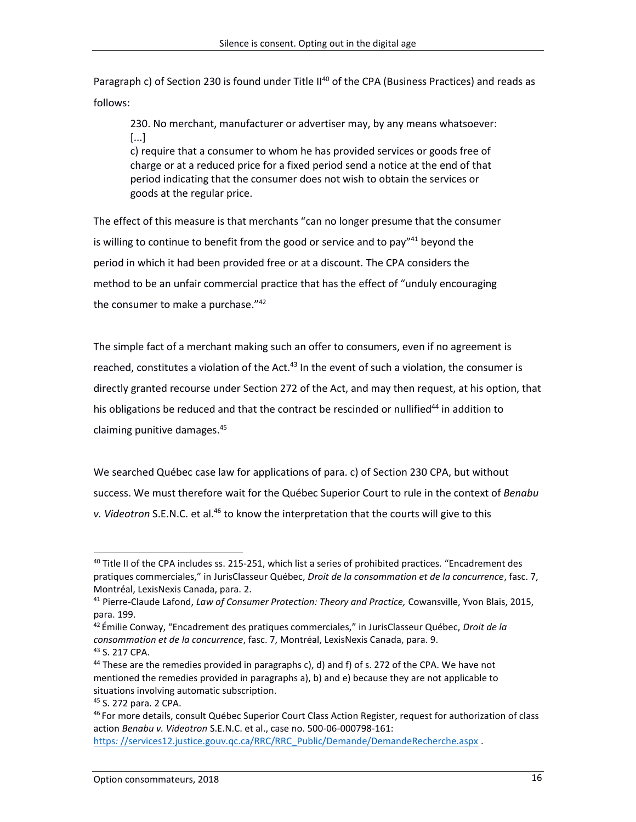Paragraph c) of Section 230 is found under Title II<sup>40</sup> of the CPA (Business Practices) and reads as follows:

230. No merchant, manufacturer or advertiser may, by any means whatsoever: [...]

c) require that a consumer to whom he has provided services or goods free of charge or at a reduced price for a fixed period send a notice at the end of that period indicating that the consumer does not wish to obtain the services or goods at the regular price.

The effect of this measure is that merchants "can no longer presume that the consumer is willing to continue to benefit from the good or service and to pay"<sup>41</sup> beyond the period in which it had been provided free or at a discount. The CPA considers the method to be an unfair commercial practice that has the effect of "unduly encouraging the consumer to make a purchase."<sup>42</sup>

The simple fact of a merchant making such an offer to consumers, even if no agreement is reached, constitutes a violation of the Act.<sup>43</sup> In the event of such a violation, the consumer is directly granted recourse under Section 272 of the Act, and may then request, at his option, that his obligations be reduced and that the contract be rescinded or nullified<sup>44</sup> in addition to claiming punitive damages. 45

We searched Québec case law for applications of para. c) of Section 230 CPA, but without success. We must therefore wait for the Québec Superior Court to rule in the context of *Benabu*  v. Videotron S.E.N.C. et al.<sup>46</sup> to know the interpretation that the courts will give to this

 $40$  Title II of the CPA includes ss. 215-251, which list a series of prohibited practices. "Encadrement des pratiques commerciales," in JurisClasseur Québec, *Droit de la consommation et de la concurrence*, fasc. 7, Montréal, LexisNexis Canada, para. 2.

<sup>41</sup> Pierre-Claude Lafond, *Law of Consumer Protection: Theory and Practice,* Cowansville, Yvon Blais, 2015, para. 199.

<sup>42</sup> Émilie Conway, "Encadrement des pratiques commerciales," in JurisClasseur Québec, *Droit de la consommation et de la concurrence*, fasc. 7, Montréal, LexisNexis Canada, para. 9.

<sup>43</sup> S. 217 CPA.

<sup>&</sup>lt;sup>44</sup> These are the remedies provided in paragraphs c), d) and f) of s. 272 of the CPA. We have not mentioned the remedies provided in paragraphs a), b) and e) because they are not applicable to situations involving automatic subscription.

<sup>45</sup> S. 272 para. 2 CPA.

<sup>&</sup>lt;sup>46</sup> For more details, consult Québec Superior Court Class Action Register, request for authorization of class action *Benabu v. Videotron* S.E.N.C. et al., case no. 500-06-000798-161: https:[//services12.justice.gouv.qc.ca/RRC/RRC\\_Public/Demande/DemandeRecherche.aspx](https://services12.justice.gouv.qc.ca/RRC/RRC_Public/Demande/DemandeRecherche.aspx) .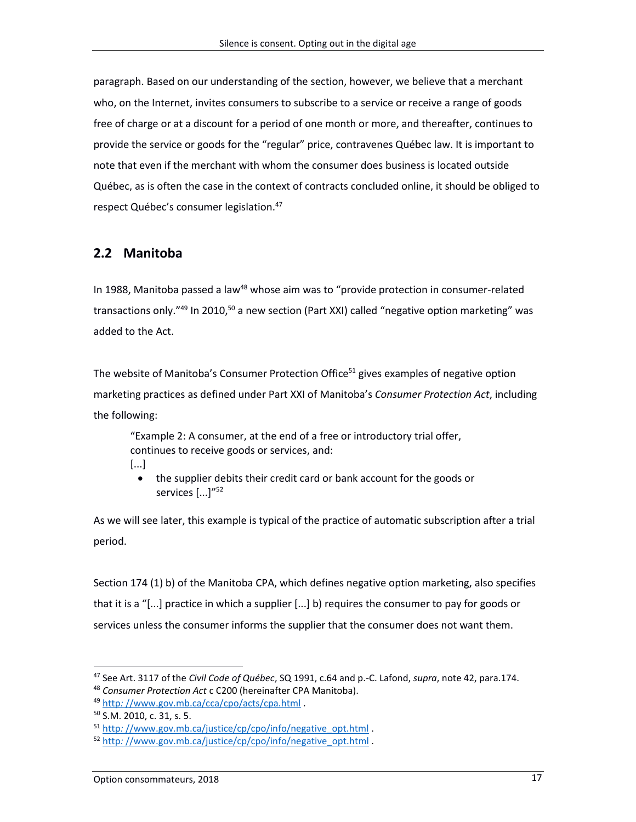paragraph. Based on our understanding of the section, however, we believe that a merchant who, on the Internet, invites consumers to subscribe to a service or receive a range of goods free of charge or at a discount for a period of one month or more, and thereafter, continues to provide the service or goods for the "regular" price, contravenes Québec law. It is important to note that even if the merchant with whom the consumer does business is located outside Québec, as is often the case in the context of contracts concluded online, it should be obliged to respect Québec's consumer legislation. 47

### **2.2 Manitoba**

In 1988, Manitoba passed a law<sup>48</sup> whose aim was to "provide protection in consumer-related transactions only."<sup>49</sup> In 2010,<sup>50</sup> a new section (Part XXI) called "negative option marketing" was added to the Act.

The website of Manitoba's Consumer Protection Office<sup>51</sup> gives examples of negative option marketing practices as defined under Part XXI of Manitoba's *Consumer Protection Act*, including the following:

"Example 2: A consumer, at the end of a free or introductory trial offer, continues to receive goods or services, and:

- [...]
	- the supplier debits their credit card or bank account for the goods or services [...]"<sup>52</sup>

As we will see later, this example is typical of the practice of automatic subscription after a trial period.

Section 174 (1) b) of the Manitoba CPA, which defines negative option marketing, also specifies that it is a "[...] practice in which a supplier [...] b) requires the consumer to pay for goods or services unless the consumer informs the supplier that the consumer does not want them.

<sup>47</sup> See Art. 3117 of the *Civil Code of Québec*, SQ 1991, c.64 and p.-C. Lafond, *supra*, note 42, para.174.

<sup>48</sup> *Consumer Protection Act* c C200 (hereinafter CPA Manitoba).

<sup>49</sup> http*:* [//www.gov.mb.ca/cca/cpo/acts/cpa.html](http://www.gov.mb.ca/cca/cpo/acts/cpa.html) .

<sup>50</sup> S.M. 2010, c. 31, s. 5.

<sup>51</sup> http*:* [//www.gov.mb.ca/justice/cp/cpo/info/negative\\_opt.html](http://www.gov.mb.ca/justice/cp/cpo/info/negative_opt.html) .

<sup>52</sup> http*:* [//www.gov.mb.ca/justice/cp/cpo/info/negative\\_opt.html](http://www.gov.mb.ca/justice/cp/cpo/info/negative_opt.html) .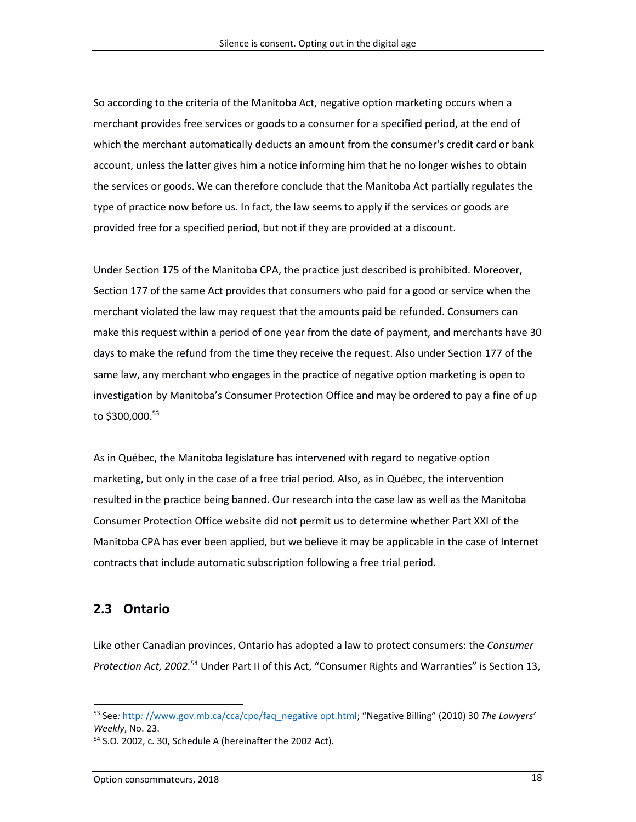So according to the criteria of the Manitoba Act, negative option marketing occurs when a merchant provides free services or goods to a consumer for a specified period, at the end of which the merchant automatically deducts an amount from the consumer's credit card or bank account, unless the latter gives him a notice informing him that he no longer wishes to obtain the services or goods. We can therefore conclude that the Manitoba Act partially regulates the type of practice now before us. In fact, the law seems to apply if the services or goods are provided free for a specified period, but not if they are provided at a discount.

Under Section 175 of the Manitoba CPA, the practice just described is prohibited. Moreover, Section 177 of the same Act provides that consumers who paid for a good or service when the merchant violated the law may request that the amounts paid be refunded. Consumers can make this request within a period of one year from the date of payment, and merchants have 30 days to make the refund from the time they receive the request. Also under Section 177 of the same law, any merchant who engages in the practice of negative option marketing is open to investigation by Manitoba's Consumer Protection Office and may be ordered to pay a fine of up to \$300,000. 53

As in Québec, the Manitoba legislature has intervened with regard to negative option marketing, but only in the case of a free trial period. Also, as in Québec, the intervention resulted in the practice being banned. Our research into the case law as well as the Manitoba Consumer Protection Office website did not permit us to determine whether Part XXI of the Manitoba CPA has ever been applied, but we believe it may be applicable in the case of Internet contracts that include automatic subscription following a free trial period.

### **2.3 Ontario**

 $\overline{a}$ 

Like other Canadian provinces, Ontario has adopted a law to protect consumers: the *Consumer Protection Act, 2002.* <sup>54</sup> Under Part II of this Act, "Consumer Rights and Warranties" is Section 13,

<sup>53</sup> See*:* http*:* [//www.gov.mb.ca/cca/cpo/faq\\_negative opt.html](http://www.gov.mb.ca/cca/cpo/faq_negative_opt.html); "Negative Billing" (2010) 30 *The Lawyers' Weekly*, No. 23.

<sup>54</sup> S.O. 2002, c. 30, Schedule A (hereinafter the 2002 Act).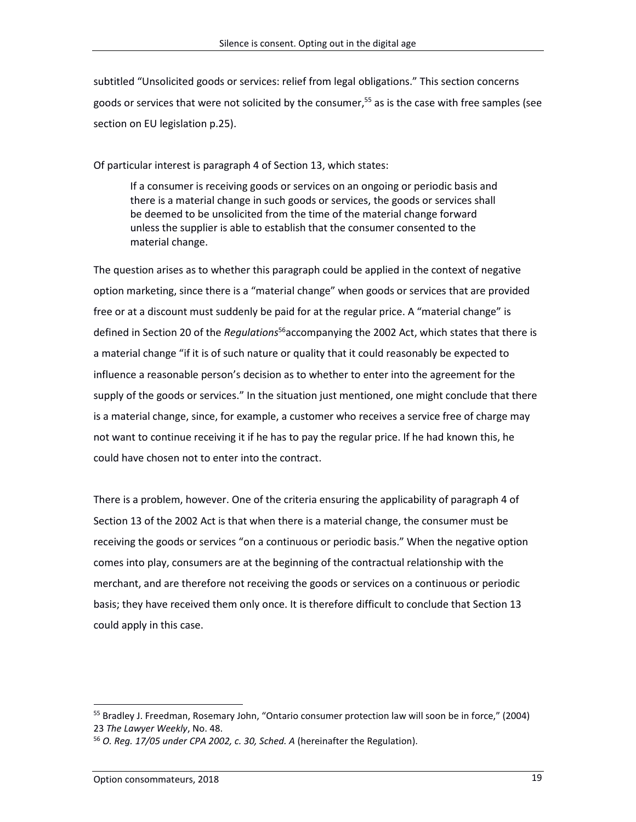subtitled "Unsolicited goods or services: relief from legal obligations." This section concerns goods or services that were not solicited by the consumer, <sup>55</sup> as is the case with free samples (see section on EU legislation p.25).

Of particular interest is paragraph 4 of Section 13, which states:

If a consumer is receiving goods or services on an ongoing or periodic basis and there is a material change in such goods or services, the goods or services shall be deemed to be unsolicited from the time of the material change forward unless the supplier is able to establish that the consumer consented to the material change.

The question arises as to whether this paragraph could be applied in the context of negative option marketing, since there is a "material change" when goods or services that are provided free or at a discount must suddenly be paid for at the regular price. A "material change" is defined in Section 20 of the *Regulations* <sup>56</sup>accompanying the 2002 Act, which states that there is a material change "if it is of such nature or quality that it could reasonably be expected to influence a reasonable person's decision as to whether to enter into the agreement for the supply of the goods or services." In the situation just mentioned, one might conclude that there is a material change, since, for example, a customer who receives a service free of charge may not want to continue receiving it if he has to pay the regular price. If he had known this, he could have chosen not to enter into the contract.

There is a problem, however. One of the criteria ensuring the applicability of paragraph 4 of Section 13 of the 2002 Act is that when there is a material change, the consumer must be receiving the goods or services "on a continuous or periodic basis." When the negative option comes into play, consumers are at the beginning of the contractual relationship with the merchant, and are therefore not receiving the goods or services on a continuous or periodic basis; they have received them only once. It is therefore difficult to conclude that Section 13 could apply in this case.

<sup>&</sup>lt;sup>55</sup> Bradley J. Freedman, Rosemary John, "Ontario consumer protection law will soon be in force," (2004) 23 *The Lawyer Weekly*, No. 48.

<sup>56</sup> *O. Reg. 17/05 under CPA 2002, c. 30, Sched. A* (hereinafter the Regulation).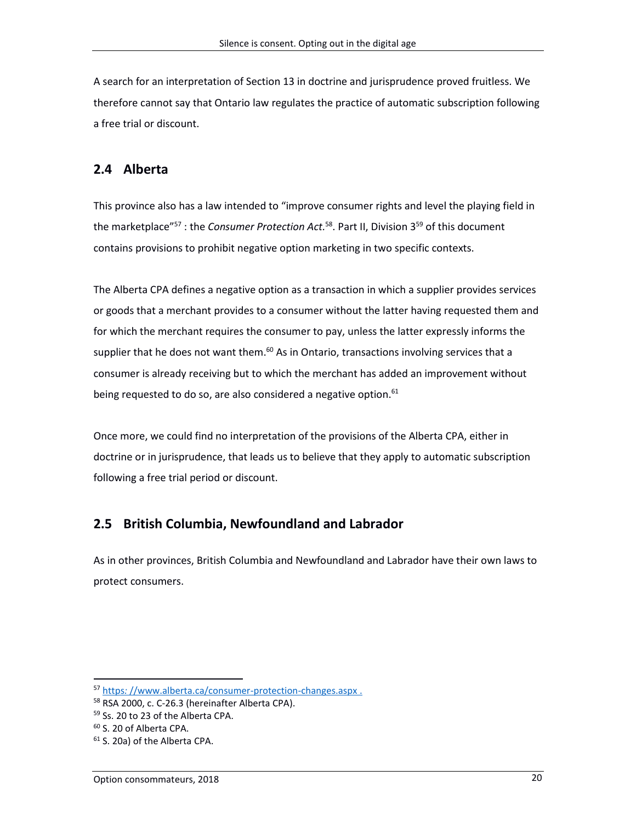A search for an interpretation of Section 13 in doctrine and jurisprudence proved fruitless. We therefore cannot say that Ontario law regulates the practice of automatic subscription following a free trial or discount.

### **2.4 Alberta**

This province also has a law intended to "improve consumer rights and level the playing field in the marketplace"<sup>57</sup> : the *Consumer Protection Act.*<sup>58</sup>. Part II, Division 3<sup>59</sup> of this document contains provisions to prohibit negative option marketing in two specific contexts.

The Alberta CPA defines a negative option as a transaction in which a supplier provides services or goods that a merchant provides to a consumer without the latter having requested them and for which the merchant requires the consumer to pay, unless the latter expressly informs the supplier that he does not want them.<sup>60</sup> As in Ontario, transactions involving services that a consumer is already receiving but to which the merchant has added an improvement without being requested to do so, are also considered a negative option.<sup>61</sup>

Once more, we could find no interpretation of the provisions of the Alberta CPA, either in doctrine or in jurisprudence, that leads us to believe that they apply to automatic subscription following a free trial period or discount.

## **2.5 British Columbia, Newfoundland and Labrador**

As in other provinces, British Columbia and Newfoundland and Labrador have their own laws to protect consumers.

<sup>57</sup> https*:* [//www.alberta.ca/consumer-protection-changes.aspx](https://www.alberta.ca/consumer-protection-changes.aspx) .

<sup>58</sup> RSA 2000, c. C-26.3 (hereinafter Alberta CPA).

<sup>59</sup> Ss. 20 to 23 of the Alberta CPA.

<sup>60</sup> S. 20 of Alberta CPA.

<sup>61</sup> S. 20a) of the Alberta CPA.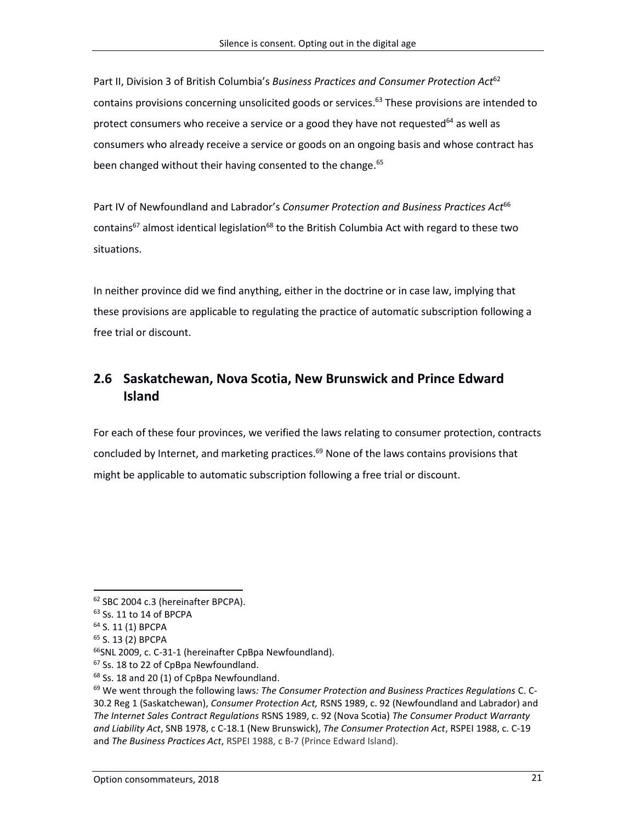Part II, Division 3 of British Columbia's *Business Practices and Consumer Protection Act*<sup>62</sup> contains provisions concerning unsolicited goods or services. <sup>63</sup> These provisions are intended to protect consumers who receive a service or a good they have not requested<sup>64</sup> as well as consumers who already receive a service or goods on an ongoing basis and whose contract has been changed without their having consented to the change.<sup>65</sup>

Part IV of Newfoundland and Labrador's *Consumer Protection and Business Practices Act*<sup>66</sup> contains<sup>67</sup> almost identical legislation<sup>68</sup> to the British Columbia Act with regard to these two situations.

In neither province did we find anything, either in the doctrine or in case law, implying that these provisions are applicable to regulating the practice of automatic subscription following a free trial or discount.

## **2.6 Saskatchewan, Nova Scotia, New Brunswick and Prince Edward Island**

For each of these four provinces, we verified the laws relating to consumer protection, contracts concluded by Internet, and marketing practices. <sup>69</sup> None of the laws contains provisions that might be applicable to automatic subscription following a free trial or discount.

<sup>62</sup> SBC 2004 c.3 (hereinafter BPCPA).

<sup>63</sup> Ss. 11 to 14 of BPCPA

<sup>64</sup> S. 11 (1) BPCPA

<sup>65</sup> S. 13 (2) BPCPA

<sup>66</sup>SNL 2009, c. C-31-1 (hereinafter CpBpa Newfoundland).

<sup>&</sup>lt;sup>67</sup> Ss. 18 to 22 of CpBpa Newfoundland.

<sup>68</sup> Ss. 18 and 20 (1) of CpBpa Newfoundland.

<sup>69</sup> We went through the following laws*: The Consumer Protection and Business Practices Regulations* C. C-30.2 Reg 1 (Saskatchewan), *Consumer Protection Act,* RSNS 1989, c. 92 (Newfoundland and Labrador) and *The Internet Sales Contract Regulations* RSNS 1989, c. 92 (Nova Scotia) *The Consumer Product Warranty and Liability Act*, SNB 1978, c C-18.1 (New Brunswick), *The Consumer Protection Act*, RSPEI 1988, c. C-19 and *The Business Practices Act*, RSPEI 1988, c B-7 (Prince Edward Island).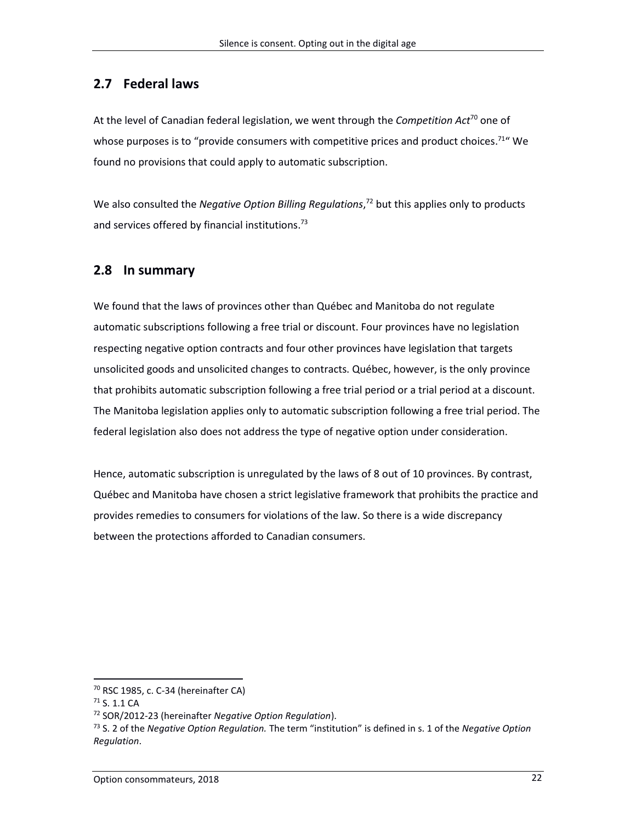### **2.7 Federal laws**

At the level of Canadian federal legislation, we went through the *Competition Act*<sup>70</sup> one of whose purposes is to "provide consumers with competitive prices and product choices.<sup>71</sup> "We found no provisions that could apply to automatic subscription.

We also consulted the *Negative Option Billing Regulations*, <sup>72</sup> but this applies only to products and services offered by financial institutions.<sup>73</sup>

### **2.8 In summary**

We found that the laws of provinces other than Québec and Manitoba do not regulate automatic subscriptions following a free trial or discount. Four provinces have no legislation respecting negative option contracts and four other provinces have legislation that targets unsolicited goods and unsolicited changes to contracts. Québec, however, is the only province that prohibits automatic subscription following a free trial period or a trial period at a discount. The Manitoba legislation applies only to automatic subscription following a free trial period. The federal legislation also does not address the type of negative option under consideration.

Hence, automatic subscription is unregulated by the laws of 8 out of 10 provinces. By contrast, Québec and Manitoba have chosen a strict legislative framework that prohibits the practice and provides remedies to consumers for violations of the law. So there is a wide discrepancy between the protections afforded to Canadian consumers.

 $70$  RSC 1985, c. C-34 (hereinafter CA)

<sup>71</sup> S. 1.1 CA

<sup>72</sup> SOR/2012-23 (hereinafter *Negative Option Regulation*).

<sup>73</sup> S. 2 of the *Negative Option Regulation.* The term "institution" is defined in s. 1 of the *Negative Option Regulation*.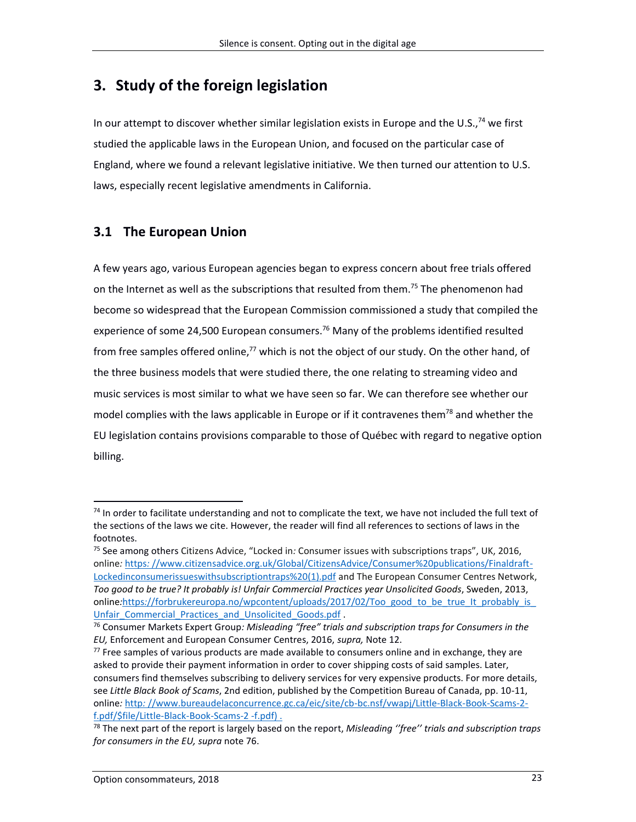# **3. Study of the foreign legislation**

In our attempt to discover whether similar legislation exists in Europe and the U.S.,<sup>74</sup> we first studied the applicable laws in the European Union, and focused on the particular case of England, where we found a relevant legislative initiative. We then turned our attention to U.S. laws, especially recent legislative amendments in California.

## **3.1 The European Union**

A few years ago, various European agencies began to express concern about free trials offered on the Internet as well as the subscriptions that resulted from them.<sup>75</sup> The phenomenon had become so widespread that the European Commission commissioned a study that compiled the experience of some 24,500 European consumers.<sup>76</sup> Many of the problems identified resulted from free samples offered online,<sup>77</sup> which is not the object of our study. On the other hand, of the three business models that were studied there, the one relating to streaming video and music services is most similar to what we have seen so far. We can therefore see whether our model complies with the laws applicable in Europe or if it contravenes them<sup>78</sup> and whether the EU legislation contains provisions comparable to those of Québec with regard to negative option billing.

 $74$  In order to facilitate understanding and not to complicate the text, we have not included the full text of the sections of the laws we cite. However, the reader will find all references to sections of laws in the footnotes.

<sup>75</sup> See among others Citizens Advice, "Locked in*:* Consumer issues with subscriptions traps", UK, 2016, online*:* https*:* [//www.citizensadvice.org.uk/Global/CitizensAdvice/Consumer%20publications/Finaldraft-](https://www.citizensadvice.org.uk/Global/CitizensAdvice/Consumer%20publications/Finaldraft-Lockedinconsumerissueswithsubscriptiontraps%20(1).pdf)[Lockedinconsumerissueswithsubscriptiontraps%20\(1\).pdf](https://www.citizensadvice.org.uk/Global/CitizensAdvice/Consumer%20publications/Finaldraft-Lockedinconsumerissueswithsubscriptiontraps%20(1).pdf) and The European Consumer Centres Network, *Too good to be true? It probably is! Unfair Commercial Practices year Unsolicited Goods*, Sweden, 2013, online*:*https*:*[//forbrukereuropa.no/wpcontent/uploads/2017/02/Too\\_good\\_to\\_be\\_true\\_It\\_probably\\_is\\_](https://forbrukereuropa.no/wpcontent/uploads/2017/02/Too_good_to_be_true_It_probably_is_Unfair_Commercial_Practices_and_Unsolicited_Goods.pdf) Unfair Commercial Practices and Unsolicited Goods.pdf .

<sup>76</sup> Consumer Markets Expert Group*: Misleading "free" trials and subscription traps for Consumers in the EU,* Enforcement and European Consumer Centres, 2016, *supra,* Note 12.

 $77$  Free samples of various products are made available to consumers online and in exchange, they are asked to provide their payment information in order to cover shipping costs of said samples. Later, consumers find themselves subscribing to delivery services for very expensive products. For more details, see *Little Black Book of Scams*, 2nd edition, published by the Competition Bureau of Canada, pp. 10-11, online*:* http*:* [//www.bureaudelaconcurrence.gc.ca/eic/site/cb-bc.nsf/vwapj/Little-Black-Book-Scams-2](http://www.bureaudelaconcurrence.gc.ca/eic/site/cb-bc.nsf/vwapj/Little-Black-Book-Scams-2-f.pdf/$file/Little-Black-Book-Scams-2-f.pdf)) [f.pdf/\\$file/Little-Black-Book-Scams-2 -f.pdf\)](http://www.bureaudelaconcurrence.gc.ca/eic/site/cb-bc.nsf/vwapj/Little-Black-Book-Scams-2-f.pdf/$file/Little-Black-Book-Scams-2-f.pdf)) .

<sup>78</sup> The next part of the report is largely based on the report, *Misleading ''free'' trials and subscription traps for consumers in the EU, supra* note 76.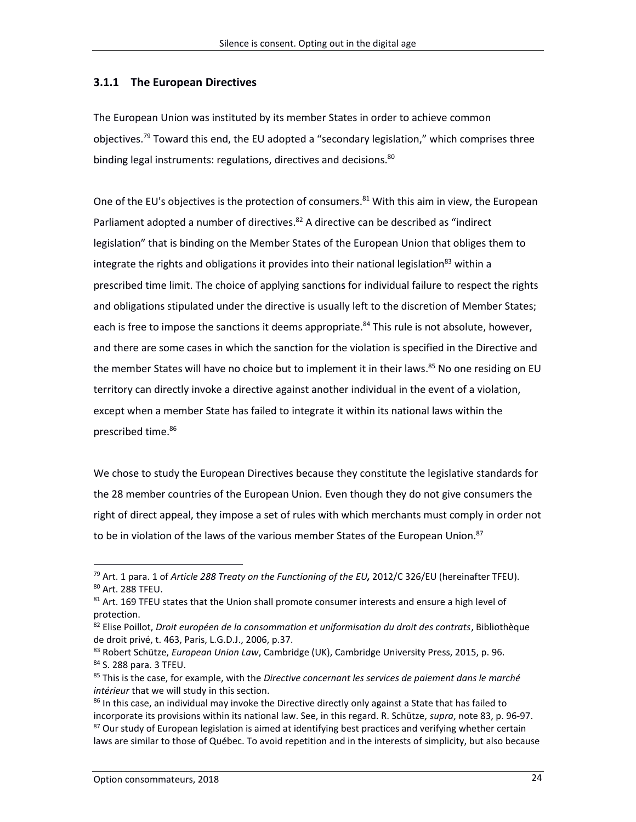### **3.1.1 The European Directives**

The European Union was instituted by its member States in order to achieve common objectives.<sup>79</sup> Toward this end, the EU adopted a "secondary legislation," which comprises three binding legal instruments: regulations, directives and decisions.<sup>80</sup>

One of the EU's objectives is the protection of consumers.<sup>81</sup> With this aim in view, the European Parliament adopted a number of directives.<sup>82</sup> A directive can be described as "indirect legislation" that is binding on the Member States of the European Union that obliges them to integrate the rights and obligations it provides into their national legislation $^{83}$  within a prescribed time limit. The choice of applying sanctions for individual failure to respect the rights and obligations stipulated under the directive is usually left to the discretion of Member States; each is free to impose the sanctions it deems appropriate.<sup>84</sup> This rule is not absolute, however, and there are some cases in which the sanction for the violation is specified in the Directive and the member States will have no choice but to implement it in their laws. <sup>85</sup> No one residing on EU territory can directly invoke a directive against another individual in the event of a violation, except when a member State has failed to integrate it within its national laws within the prescribed time. 86

We chose to study the European Directives because they constitute the legislative standards for the 28 member countries of the European Union. Even though they do not give consumers the right of direct appeal, they impose a set of rules with which merchants must comply in order not to be in violation of the laws of the various member States of the European Union.<sup>87</sup>

<sup>79</sup> Art. 1 para. 1 of *Article 288 Treaty on the Functioning of the EU,* 2012/C 326/EU (hereinafter TFEU). <sup>80</sup> Art. 288 TFEU.

 $81$  Art. 169 TFEU states that the Union shall promote consumer interests and ensure a high level of protection.

<sup>82</sup> Elise Poillot, *Droit européen de la consommation et uniformisation du droit des contrats*, Bibliothèque de droit privé, t. 463, Paris, L.G.D.J., 2006, p.37.

<sup>83</sup> Robert Schütze, *European Union Law*, Cambridge (UK), Cambridge University Press, 2015, p. 96. <sup>84</sup> S. 288 para. 3 TFEU.

<sup>85</sup> This is the case, for example, with the *Directive concernant les services de paiement dans le marché intérieur* that we will study in this section.

<sup>86</sup> In this case, an individual may invoke the Directive directly only against a State that has failed to incorporate its provisions within its national law. See, in this regard. R. Schütze, *supra*, note 83, p. 96-97.  $87$  Our study of European legislation is aimed at identifying best practices and verifying whether certain laws are similar to those of Québec. To avoid repetition and in the interests of simplicity, but also because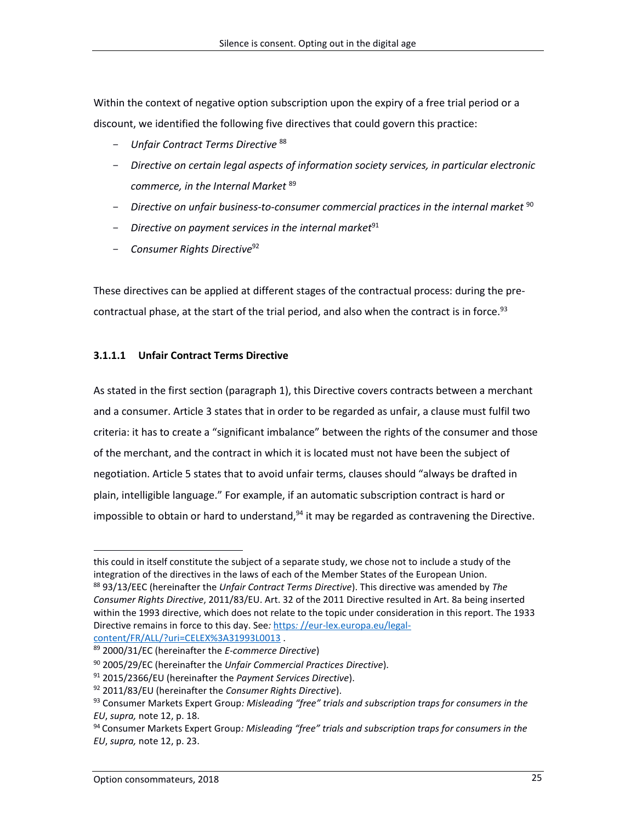Within the context of negative option subscription upon the expiry of a free trial period or a discount, we identified the following five directives that could govern this practice:

- *Unfair Contract Terms Directive* <sup>88</sup>
- *Directive on certain legal aspects of information society services, in particular electronic commerce, in the Internal Market* <sup>89</sup>
- Directive on unfair business-to-consumer commercial practices in the internal market <sup>90</sup>
- *Directive on payment services in the internal market*<sup>91</sup>
- *Consumer Rights Directive*<sup>92</sup>

These directives can be applied at different stages of the contractual process: during the precontractual phase, at the start of the trial period, and also when the contract is in force.<sup>93</sup>

### **3.1.1.1 Unfair Contract Terms Directive**

As stated in the first section (paragraph 1), this Directive covers contracts between a merchant and a consumer. Article 3 states that in order to be regarded as unfair, a clause must fulfil two criteria: it has to create a "significant imbalance" between the rights of the consumer and those of the merchant, and the contract in which it is located must not have been the subject of negotiation. Article 5 states that to avoid unfair terms, clauses should "always be drafted in plain, intelligible language." For example, if an automatic subscription contract is hard or impossible to obtain or hard to understand,<sup>94</sup> it may be regarded as contravening the Directive.

[content/FR/ALL/?uri=CELEX%3A31993L0013](https://eur-lex.europa.eu/legal-content/EN/ALL/?uri=CELEX%3A31993L0013) .

this could in itself constitute the subject of a separate study, we chose not to include a study of the integration of the directives in the laws of each of the Member States of the European Union. <sup>88</sup> 93/13/EEC (hereinafter the *Unfair Contract Terms Directive*). This directive was amended by *The Consumer Rights Directive*, 2011/83/EU. Art. 32 of the 2011 Directive resulted in Art. 8a being inserted within the 1993 directive, which does not relate to the topic under consideration in this report. The 1933 Directive remains in force to this day. See*:* https*:* [//eur-lex.europa.eu/legal-](https://eur-lex.europa.eu/legal-content/EN/ALL/?uri=CELEX%3A31993L0013)

<sup>89</sup> 2000/31/EC (hereinafter the *E-commerce Directive*)

<sup>90</sup> 2005/29/EC (hereinafter the *Unfair Commercial Practices Directive*).

<sup>91</sup> 2015/2366/EU (hereinafter the *Payment Services Directive*).

<sup>92</sup> 2011/83/EU (hereinafter the *Consumer Rights Directive*).

<sup>93</sup> Consumer Markets Expert Group*: Misleading "free" trials and subscription traps for consumers in the EU*, *supra,* note 12, p. 18.

<sup>94</sup> Consumer Markets Expert Group*: Misleading "free" trials and subscription traps for consumers in the EU*, *supra,* note 12, p. 23.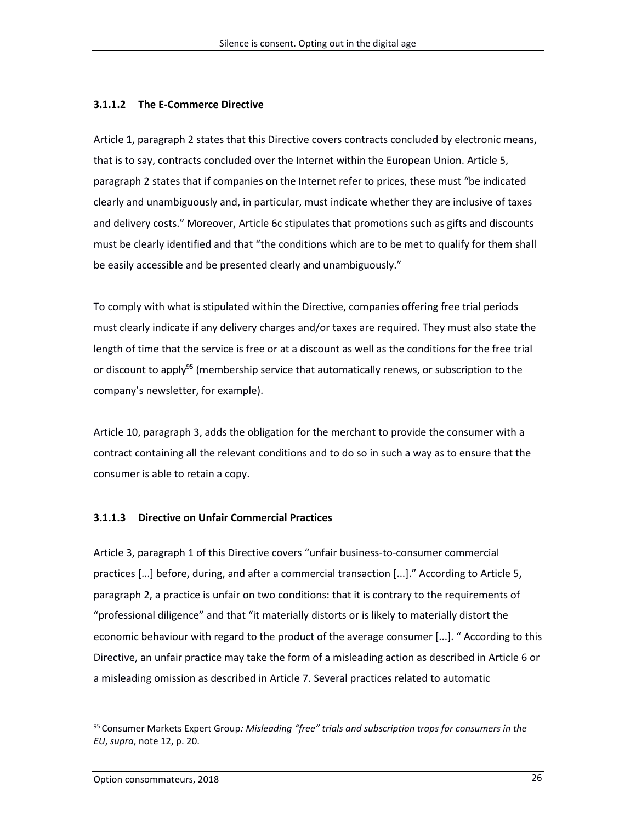#### **3.1.1.2 The E-Commerce Directive**

Article 1, paragraph 2 states that this Directive covers contracts concluded by electronic means, that is to say, contracts concluded over the Internet within the European Union. Article 5, paragraph 2 states that if companies on the Internet refer to prices, these must "be indicated clearly and unambiguously and, in particular, must indicate whether they are inclusive of taxes and delivery costs." Moreover, Article 6c stipulates that promotions such as gifts and discounts must be clearly identified and that "the conditions which are to be met to qualify for them shall be easily accessible and be presented clearly and unambiguously."

To comply with what is stipulated within the Directive, companies offering free trial periods must clearly indicate if any delivery charges and/or taxes are required. They must also state the length of time that the service is free or at a discount as well as the conditions for the free trial or discount to apply<sup>95</sup> (membership service that automatically renews, or subscription to the company's newsletter, for example).

Article 10, paragraph 3, adds the obligation for the merchant to provide the consumer with a contract containing all the relevant conditions and to do so in such a way as to ensure that the consumer is able to retain a copy.

#### **3.1.1.3 Directive on Unfair Commercial Practices**

Article 3, paragraph 1 of this Directive covers "unfair business-to-consumer commercial practices [...] before, during, and after a commercial transaction [...]." According to Article 5, paragraph 2, a practice is unfair on two conditions: that it is contrary to the requirements of "professional diligence" and that "it materially distorts or is likely to materially distort the economic behaviour with regard to the product of the average consumer [...]. " According to this Directive, an unfair practice may take the form of a misleading action as described in Article 6 or a misleading omission as described in Article 7. Several practices related to automatic

<sup>95</sup> Consumer Markets Expert Group*: Misleading "free" trials and subscription traps for consumers in the EU*, *supra*, note 12, p. 20.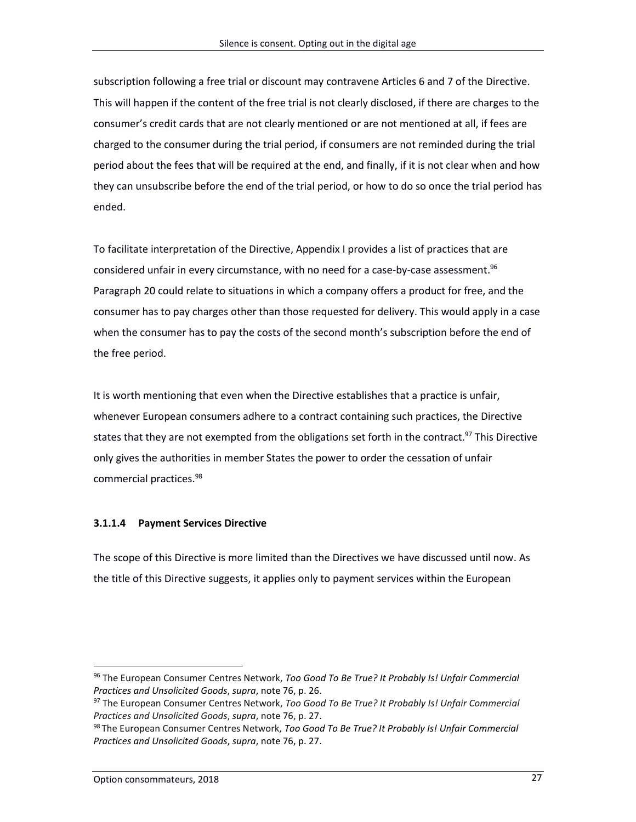subscription following a free trial or discount may contravene Articles 6 and 7 of the Directive. This will happen if the content of the free trial is not clearly disclosed, if there are charges to the consumer's credit cards that are not clearly mentioned or are not mentioned at all, if fees are charged to the consumer during the trial period, if consumers are not reminded during the trial period about the fees that will be required at the end, and finally, if it is not clear when and how they can unsubscribe before the end of the trial period, or how to do so once the trial period has ended.

To facilitate interpretation of the Directive, Appendix I provides a list of practices that are considered unfair in every circumstance, with no need for a case-by-case assessment. 96 Paragraph 20 could relate to situations in which a company offers a product for free, and the consumer has to pay charges other than those requested for delivery. This would apply in a case when the consumer has to pay the costs of the second month's subscription before the end of the free period.

It is worth mentioning that even when the Directive establishes that a practice is unfair, whenever European consumers adhere to a contract containing such practices, the Directive states that they are not exempted from the obligations set forth in the contract.<sup>97</sup> This Directive only gives the authorities in member States the power to order the cessation of unfair commercial practices. 98

### **3.1.1.4 Payment Services Directive**

The scope of this Directive is more limited than the Directives we have discussed until now. As the title of this Directive suggests, it applies only to payment services within the European

<sup>96</sup> The European Consumer Centres Network, *Too Good To Be True? It Probably Is! Unfair Commercial Practices and Unsolicited Goods*, *supra*, note 76, p. 26.

<sup>97</sup> The European Consumer Centres Network, *Too Good To Be True? It Probably Is! Unfair Commercial Practices and Unsolicited Goods*, *supra*, note 76, p. 27.

<sup>98</sup> The European Consumer Centres Network, *Too Good To Be True? It Probably Is! Unfair Commercial Practices and Unsolicited Goods*, *supra*, note 76, p. 27.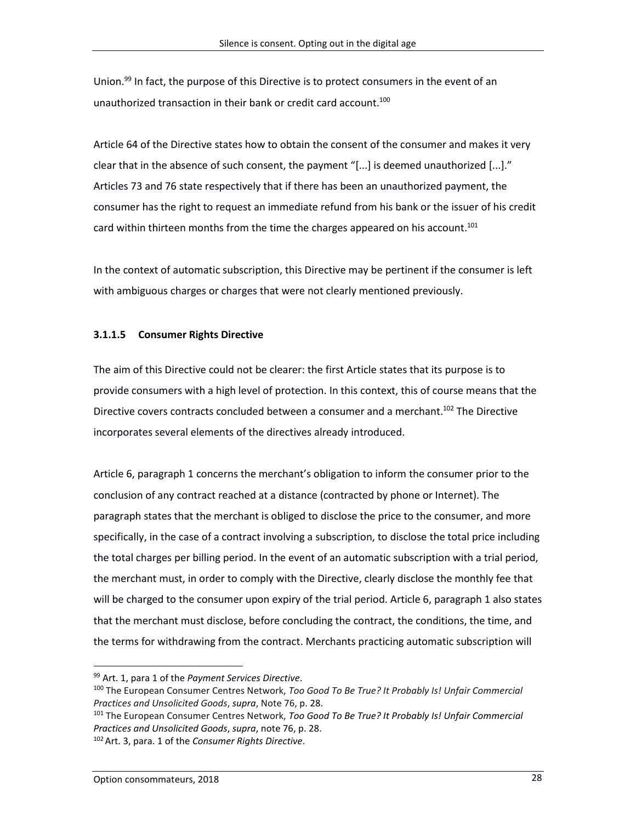Union.<sup>99</sup> In fact, the purpose of this Directive is to protect consumers in the event of an unauthorized transaction in their bank or credit card account.<sup>100</sup>

Article 64 of the Directive states how to obtain the consent of the consumer and makes it very clear that in the absence of such consent, the payment "[...] is deemed unauthorized [...]." Articles 73 and 76 state respectively that if there has been an unauthorized payment, the consumer has the right to request an immediate refund from his bank or the issuer of his credit card within thirteen months from the time the charges appeared on his account.<sup>101</sup>

In the context of automatic subscription, this Directive may be pertinent if the consumer is left with ambiguous charges or charges that were not clearly mentioned previously.

### **3.1.1.5 Consumer Rights Directive**

The aim of this Directive could not be clearer: the first Article states that its purpose is to provide consumers with a high level of protection. In this context, this of course means that the Directive covers contracts concluded between a consumer and a merchant.<sup>102</sup> The Directive incorporates several elements of the directives already introduced.

Article 6, paragraph 1 concerns the merchant's obligation to inform the consumer prior to the conclusion of any contract reached at a distance (contracted by phone or Internet). The paragraph states that the merchant is obliged to disclose the price to the consumer, and more specifically, in the case of a contract involving a subscription, to disclose the total price including the total charges per billing period. In the event of an automatic subscription with a trial period, the merchant must, in order to comply with the Directive, clearly disclose the monthly fee that will be charged to the consumer upon expiry of the trial period. Article 6, paragraph 1 also states that the merchant must disclose, before concluding the contract, the conditions, the time, and the terms for withdrawing from the contract. Merchants practicing automatic subscription will

<sup>99</sup> Art. 1, para 1 of the *Payment Services Directive*.

<sup>100</sup> The European Consumer Centres Network, *Too Good To Be True? It Probably Is! Unfair Commercial Practices and Unsolicited Goods*, *supra*, Note 76, p. 28.

<sup>101</sup> The European Consumer Centres Network, *Too Good To Be True? It Probably Is! Unfair Commercial Practices and Unsolicited Goods*, *supra*, note 76, p. 28. 102Art. 3, para. 1 of the *Consumer Rights Directive*.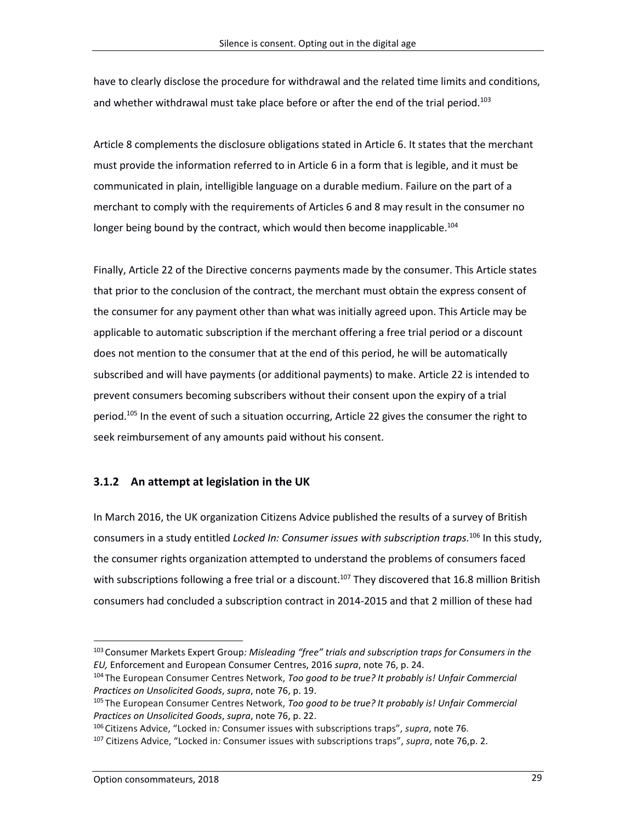have to clearly disclose the procedure for withdrawal and the related time limits and conditions, and whether withdrawal must take place before or after the end of the trial period.<sup>103</sup>

Article 8 complements the disclosure obligations stated in Article 6. It states that the merchant must provide the information referred to in Article 6 in a form that is legible, and it must be communicated in plain, intelligible language on a durable medium. Failure on the part of a merchant to comply with the requirements of Articles 6 and 8 may result in the consumer no longer being bound by the contract, which would then become inapplicable.<sup>104</sup>

Finally, Article 22 of the Directive concerns payments made by the consumer. This Article states that prior to the conclusion of the contract, the merchant must obtain the express consent of the consumer for any payment other than what was initially agreed upon. This Article may be applicable to automatic subscription if the merchant offering a free trial period or a discount does not mention to the consumer that at the end of this period, he will be automatically subscribed and will have payments (or additional payments) to make. Article 22 is intended to prevent consumers becoming subscribers without their consent upon the expiry of a trial period.<sup>105</sup> In the event of such a situation occurring, Article 22 gives the consumer the right to seek reimbursement of any amounts paid without his consent.

### **3.1.2 An attempt at legislation in the UK**

In March 2016, the UK organization Citizens Advice published the results of a survey of British consumers in a study entitled *Locked In: Consumer issues with subscription traps.* <sup>106</sup> In this study, the consumer rights organization attempted to understand the problems of consumers faced with subscriptions following a free trial or a discount.<sup>107</sup> They discovered that 16.8 million British consumers had concluded a subscription contract in 2014-2015 and that 2 million of these had

<sup>103</sup> Consumer Markets Expert Group*: Misleading "free" trials and subscription traps for Consumers in the EU,* Enforcement and European Consumer Centres, 2016 *supra*, note 76, p. 24.

<sup>104</sup> The European Consumer Centres Network, *Too good to be true? It probably is! Unfair Commercial Practices on Unsolicited Goods*, *supra*, note 76, p. 19.

<sup>105</sup> The European Consumer Centres Network, *Too good to be true? It probably is! Unfair Commercial Practices on Unsolicited Goods*, *supra*, note 76, p. 22.

<sup>106</sup> Citizens Advice, "Locked in*:* Consumer issues with subscriptions traps", *supra*, note 76.

<sup>107</sup> Citizens Advice, "Locked in*:* Consumer issues with subscriptions traps", *supra*, note 76,p. 2.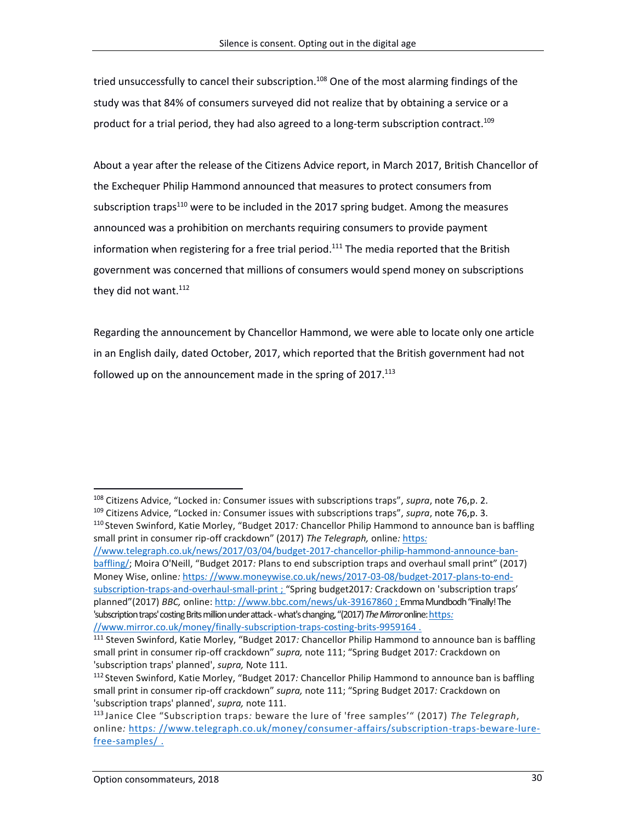tried unsuccessfully to cancel their subscription.<sup>108</sup> One of the most alarming findings of the study was that 84% of consumers surveyed did not realize that by obtaining a service or a product for a trial period, they had also agreed to a long-term subscription contract.<sup>109</sup>

About a year after the release of the Citizens Advice report, in March 2017, British Chancellor of the Exchequer Philip Hammond announced that measures to protect consumers from subscription traps $110$  were to be included in the 2017 spring budget. Among the measures announced was a prohibition on merchants requiring consumers to provide payment information when registering for a free trial period.<sup>111</sup> The media reported that the British government was concerned that millions of consumers would spend money on subscriptions they did not want.<sup>112</sup>

Regarding the announcement by Chancellor Hammond, we were able to locate only one article in an English daily, dated October, 2017, which reported that the British government had not followed up on the announcement made in the spring of 2017.<sup>113</sup>

[//www.telegraph.co.uk/news/2017/03/04/budget-2017-chancellor-philip-hammond-announce-ban](https://www.telegraph.co.uk/news/2017/03/04/budget-2017-chancellor-philip-hammond-announce-ban-baffling/)[baffling/](https://www.telegraph.co.uk/news/2017/03/04/budget-2017-chancellor-philip-hammond-announce-ban-baffling/); Moira O'Neill, "Budget 2017*:* Plans to end subscription traps and overhaul small print" (2017) Money Wise, online*:* https*:* [//www.moneywise.co.uk/news/2017-03-08/budget-2017-plans-to-end](https://www.moneywise.co.uk/news/2017-03-08/budget-2017-plans-to-end-subscription-traps-and-overhaul-small-print)[subscription-traps-and-overhaul-small-print](https://www.moneywise.co.uk/news/2017-03-08/budget-2017-plans-to-end-subscription-traps-and-overhaul-small-print) ; "Spring budget2017*:* Crackdown on 'subscription traps' planned"(2017) *BBC,* online: http*:* [//www.bbc.com/news/uk-39167860](http://www.bbc.com/news/uk-39167860) ; Emma Mundbodh "Finally! The 'subscription traps' costing Brits million under attack -what's changing, "(2017) *The Mirror*online[:https](https://www.mirror.co.uk/money/finally-subscription-traps-costing-brits-9959164)*:*  [//www.mirror.co.uk/money/finally-subscription-traps-costing-brits-9959164](https://www.mirror.co.uk/money/finally-subscription-traps-costing-brits-9959164) .

 $\overline{a}$ <sup>108</sup> Citizens Advice, "Locked in*:* Consumer issues with subscriptions traps", *supra*, note 76,p. 2. <sup>109</sup> Citizens Advice, "Locked in*:* Consumer issues with subscriptions traps", *supra*, note 76,p. 3. <sup>110</sup> Steven Swinford, Katie Morley, "Budget 2017*:* Chancellor Philip Hammond to announce ban is baffling small print in consumer rip-off crackdown" (2017) *The Telegraph,* online*:* [https](https://www.telegraph.co.uk/news/2017/03/04/budget-2017-chancellor-philip-hammond-announce-ban-baffling/)*:* 

<sup>111</sup> Steven Swinford, Katie Morley, "Budget 2017*:* Chancellor Philip Hammond to announce ban is baffling small print in consumer rip-off crackdown" *supra,* note 111; "Spring Budget 2017*:* Crackdown on 'subscription traps' planned', *supra,* Note 111.

<sup>112</sup> Steven Swinford, Katie Morley, "Budget 2017*:* Chancellor Philip Hammond to announce ban is baffling small print in consumer rip-off crackdown" *supra,* note 111; "Spring Budget 2017*:* Crackdown on 'subscription traps' planned', *supra,* note 111.

<sup>113</sup> Janice Clee "Subscription traps*:* beware the lure of 'free samples'" (2017) *The Telegraph*, online*:* https*:* [//www.telegraph.co.uk/money/consumer-affairs/subscription-traps-beware-lure](https://www.telegraph.co.uk/money/consumer-affairs/subscription-traps-beware-lure-free-samples/)[free-samples/](https://www.telegraph.co.uk/money/consumer-affairs/subscription-traps-beware-lure-free-samples/) .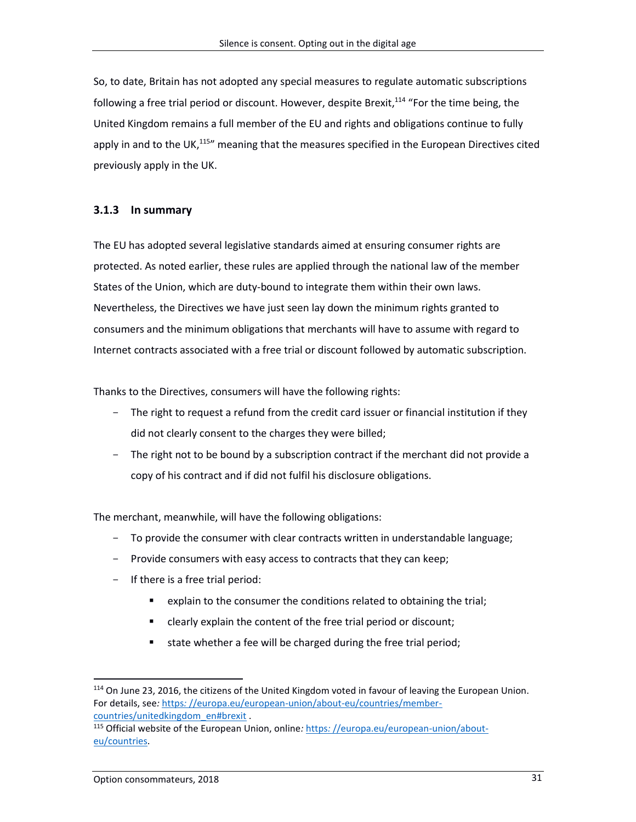So, to date, Britain has not adopted any special measures to regulate automatic subscriptions following a free trial period or discount. However, despite Brexit,<sup>114</sup> "For the time being, the United Kingdom remains a full member of the EU and rights and obligations continue to fully apply in and to the UK,<sup>115</sup>" meaning that the measures specified in the European Directives cited previously apply in the UK.

### **3.1.3 In summary**

The EU has adopted several legislative standards aimed at ensuring consumer rights are protected. As noted earlier, these rules are applied through the national law of the member States of the Union, which are duty-bound to integrate them within their own laws. Nevertheless, the Directives we have just seen lay down the minimum rights granted to consumers and the minimum obligations that merchants will have to assume with regard to Internet contracts associated with a free trial or discount followed by automatic subscription.

Thanks to the Directives, consumers will have the following rights:

- The right to request a refund from the credit card issuer or financial institution if they did not clearly consent to the charges they were billed;
- The right not to be bound by a subscription contract if the merchant did not provide a copy of his contract and if did not fulfil his disclosure obligations.

The merchant, meanwhile, will have the following obligations:

- To provide the consumer with clear contracts written in understandable language;
- Provide consumers with easy access to contracts that they can keep;
- If there is a free trial period:
	- explain to the consumer the conditions related to obtaining the trial;
	- clearly explain the content of the free trial period or discount;
	- state whether a fee will be charged during the free trial period;

<sup>&</sup>lt;sup>114</sup> On June 23, 2016, the citizens of the United Kingdom voted in favour of leaving the European Union. For details, see*:* https*:* [//europa.eu/european-union/about-eu/countries/member](https://europa.eu/european-union/about-eu/countries/member-countries/unitedkingdom_en)[countries/unitedkingdom\\_en#brexit](https://europa.eu/european-union/about-eu/countries/member-countries/unitedkingdom_en) .

<sup>115</sup> Official website of the European Union, online*:* https*:* [//europa.eu/european-union/about](https://europa.eu/european-union/about-eu/countries_en)[eu/countries.](https://europa.eu/european-union/about-eu/countries_en)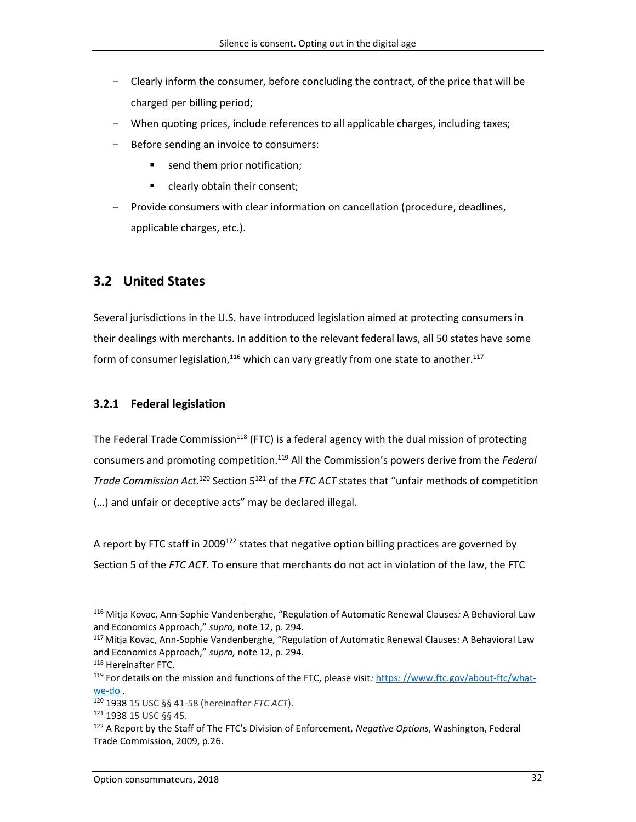- Clearly inform the consumer, before concluding the contract, of the price that will be charged per billing period;
- When quoting prices, include references to all applicable charges, including taxes;
- Before sending an invoice to consumers:
	- send them prior notification;
	- **EXECUTE:** clearly obtain their consent;
- Provide consumers with clear information on cancellation (procedure, deadlines, applicable charges, etc.).

### **3.2 United States**

Several jurisdictions in the U.S. have introduced legislation aimed at protecting consumers in their dealings with merchants. In addition to the relevant federal laws, all 50 states have some form of consumer legislation, $^{116}$  which can vary greatly from one state to another. $^{117}$ 

#### **3.2.1 Federal legislation**

The Federal Trade Commission<sup>118</sup> (FTC) is a federal agency with the dual mission of protecting consumers and promoting competition. <sup>119</sup> All the Commission's powers derive from the *Federal Trade Commission Act.*<sup>120</sup> Section 5<sup>121</sup> of the *FTC ACT* states that "unfair methods of competition (…) and unfair or deceptive acts" may be declared illegal.

A report by FTC staff in 2009<sup>122</sup> states that negative option billing practices are governed by Section 5 of the *FTC ACT*. To ensure that merchants do not act in violation of the law, the FTC

<sup>116</sup> Mitja Kovac, Ann-Sophie Vandenberghe, "Regulation of Automatic Renewal Clauses*:* A Behavioral Law and Economics Approach," *supra,* note 12, p. 294.

<sup>117</sup>Mitja Kovac, Ann-Sophie Vandenberghe, "Regulation of Automatic Renewal Clauses*:* A Behavioral Law and Economics Approach," *supra,* note 12, p. 294.

<sup>118</sup> Hereinafter FTC.

<sup>119</sup> For details on the mission and functions of the FTC, please visit*:* https*:* [//www.ftc.gov/about-ftc/what](https://www.ftc.gov/about-ftc/what-we-do)[we-do](https://www.ftc.gov/about-ftc/what-we-do) .

<sup>120</sup> 1938 15 USC §§ 41-58 (hereinafter *FTC ACT*).

<sup>121</sup> 1938 15 USC §§ 45.

<sup>122</sup> A Report by the Staff of The FTC's Division of Enforcement, *Negative Options*, Washington, Federal Trade Commission, 2009, p.26.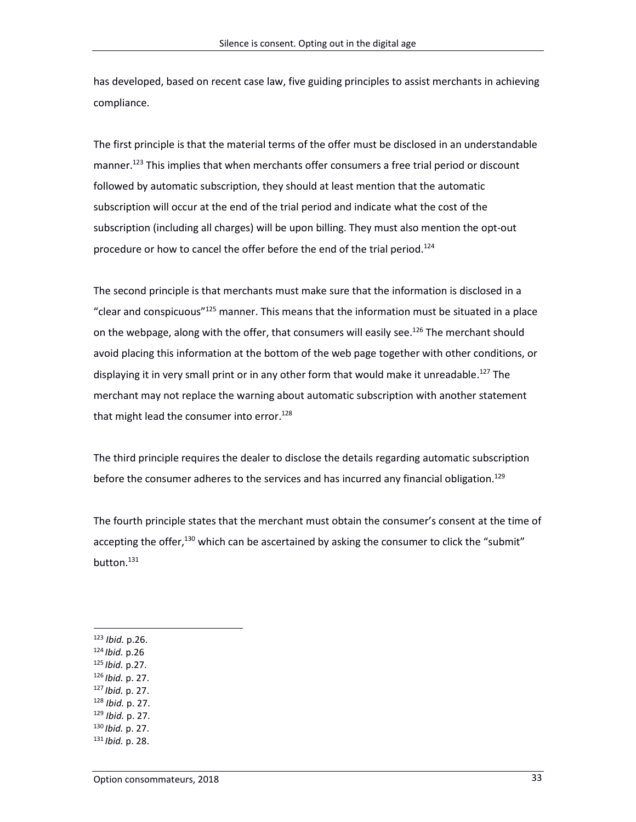has developed, based on recent case law, five guiding principles to assist merchants in achieving compliance.

The first principle is that the material terms of the offer must be disclosed in an understandable manner.<sup>123</sup> This implies that when merchants offer consumers a free trial period or discount followed by automatic subscription, they should at least mention that the automatic subscription will occur at the end of the trial period and indicate what the cost of the subscription (including all charges) will be upon billing. They must also mention the opt-out procedure or how to cancel the offer before the end of the trial period.<sup>124</sup>

The second principle is that merchants must make sure that the information is disclosed in a "clear and conspicuous" <sup>125</sup> manner. This means that the information must be situated in a place on the webpage, along with the offer, that consumers will easily see.<sup>126</sup> The merchant should avoid placing this information at the bottom of the web page together with other conditions, or displaying it in very small print or in any other form that would make it unreadable.<sup>127</sup> The merchant may not replace the warning about automatic subscription with another statement that might lead the consumer into error.<sup>128</sup>

The third principle requires the dealer to disclose the details regarding automatic subscription before the consumer adheres to the services and has incurred any financial obligation.<sup>129</sup>

The fourth principle states that the merchant must obtain the consumer's consent at the time of accepting the offer, $130$  which can be ascertained by asking the consumer to click the "submit" button. 131

- <sup>125</sup> *Ibid.* p.27.
- <sup>126</sup> *Ibid.* p. 27.
- <sup>127</sup> *Ibid.* p. 27.
- <sup>128</sup> *Ibid.* p. 27.
- <sup>129</sup> *Ibid.* p. 27.
- <sup>130</sup> *Ibid.* p. 27.
- <sup>131</sup> *Ibid.* p. 28.

<sup>123</sup> *Ibid.* p.26.

<sup>124</sup> *Ibid.* p.26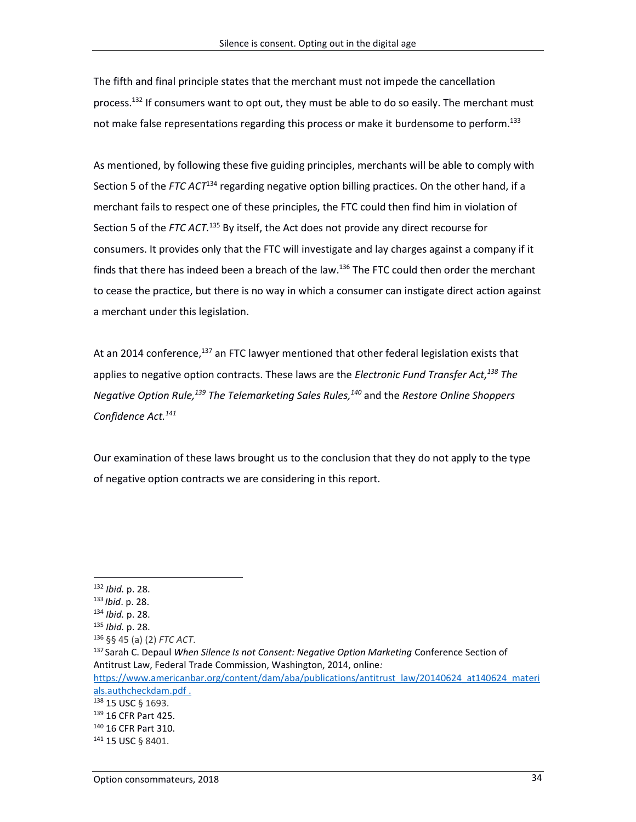The fifth and final principle states that the merchant must not impede the cancellation process.<sup>132</sup> If consumers want to opt out, they must be able to do so easily. The merchant must not make false representations regarding this process or make it burdensome to perform. 133

As mentioned, by following these five guiding principles, merchants will be able to comply with Section 5 of the *FTC ACT*<sup>134</sup> regarding negative option billing practices. On the other hand, if a merchant fails to respect one of these principles, the FTC could then find him in violation of Section 5 of the FTC ACT.<sup>135</sup> By itself, the Act does not provide any direct recourse for consumers. It provides only that the FTC will investigate and lay charges against a company if it finds that there has indeed been a breach of the law.<sup>136</sup> The FTC could then order the merchant to cease the practice, but there is no way in which a consumer can instigate direct action against a merchant under this legislation.

At an 2014 conference,<sup>137</sup> an FTC lawyer mentioned that other federal legislation exists that applies to negative option contracts. These laws are the *Electronic Fund Transfer Act, <sup>138</sup> The Negative Option Rule, <sup>139</sup> The Telemarketing Sales Rules, <sup>140</sup>* and the *Restore Online Shoppers Confidence Act. 141*

Our examination of these laws brought us to the conclusion that they do not apply to the type of negative option contracts we are considering in this report.

<sup>132</sup> *Ibid.* p. 28.

<sup>133</sup> *Ibid*. p. 28.

<sup>134</sup> *Ibid.* p. 28.

<sup>135</sup> *Ibid.* p. 28.

<sup>136</sup> §§ 45 (a) (2) *FTC ACT*.

<sup>137</sup> Sarah C. Depaul *When Silence Is not Consent: Negative Option Marketing* Conference Section of Antitrust Law, Federal Trade Commission, Washington, 2014, online*:*  https:[//www.americanbar.org/content/dam/aba/publications/antitrust\\_law/20140624\\_at140624\\_materi](https://www.americanbar.org/content/dam/aba/publications/antitrust_law/20140624_at140624_materials.authcheckdam.pdf)

[als.authcheckdam.pdf](https://www.americanbar.org/content/dam/aba/publications/antitrust_law/20140624_at140624_materials.authcheckdam.pdf) .

<sup>138 15</sup> USC § 1693.

<sup>139</sup> 16 CFR Part 425.

<sup>140</sup> 16 CFR Part 310.

<sup>141 15</sup> USC § 8401.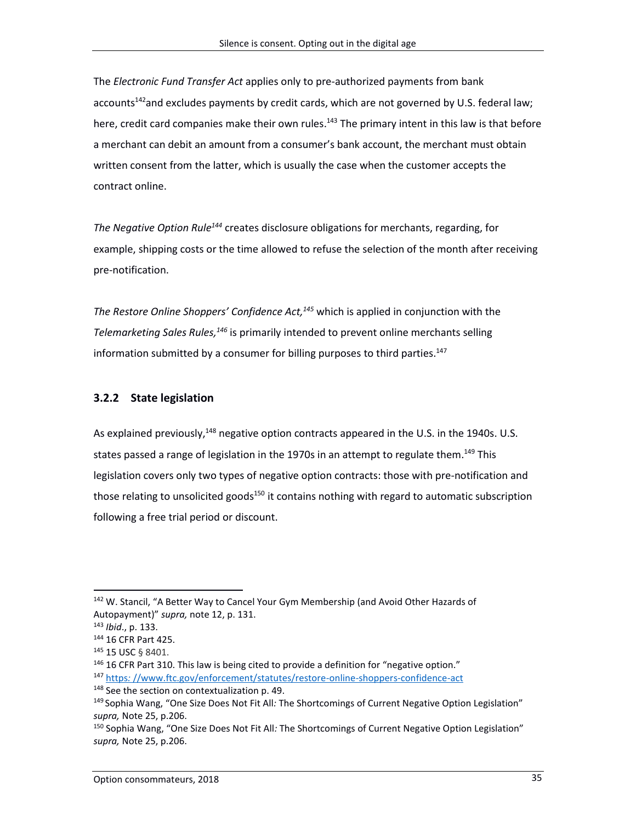The *Electronic Fund Transfer Act* applies only to pre-authorized payments from bank accounts<sup>142</sup>and excludes payments by credit cards, which are not governed by U.S. federal law; here, credit card companies make their own rules.<sup>143</sup> The primary intent in this law is that before a merchant can debit an amount from a consumer's bank account, the merchant must obtain written consent from the latter, which is usually the case when the customer accepts the contract online.

*The Negative Option Rule<sup>144</sup>* creates disclosure obligations for merchants, regarding, for example, shipping costs or the time allowed to refuse the selection of the month after receiving pre-notification.

*The Restore Online Shoppers' Confidence Act, <sup>145</sup>* which is applied in conjunction with the *Telemarketing Sales Rules, <sup>146</sup>* is primarily intended to prevent online merchants selling information submitted by a consumer for billing purposes to third parties. 147

### **3.2.2 State legislation**

As explained previously,<sup>148</sup> negative option contracts appeared in the U.S. in the 1940s. U.S. states passed a range of legislation in the 1970s in an attempt to regulate them.<sup>149</sup> This legislation covers only two types of negative option contracts: those with pre-notification and those relating to unsolicited goods<sup>150</sup> it contains nothing with regard to automatic subscription following a free trial period or discount.

<sup>&</sup>lt;sup>142</sup> W. Stancil, "A Better Way to Cancel Your Gym Membership (and Avoid Other Hazards of Autopayment)" *supra,* note 12, p. 131.

<sup>143</sup> *Ibid*., p. 133.

<sup>144</sup> 16 CFR Part 425.

<sup>145 15</sup> USC § 8401.

 $146$  16 CFR Part 310. This law is being cited to provide a definition for "negative option." <sup>147</sup> https*:* [//www.ftc.gov/enforcement/statutes/restore-online-shoppers-confidence-act](https://www.ftc.gov/enforcement/statutes/restore-online-shoppers-confidence-act)

<sup>&</sup>lt;sup>148</sup> See the section on contextualization p. 49.

<sup>149</sup> Sophia Wang, "One Size Does Not Fit All*:* The Shortcomings of Current Negative Option Legislation" *supra,* Note 25, p.206.

<sup>150</sup> Sophia Wang, "One Size Does Not Fit All*:* The Shortcomings of Current Negative Option Legislation" *supra,* Note 25, p.206.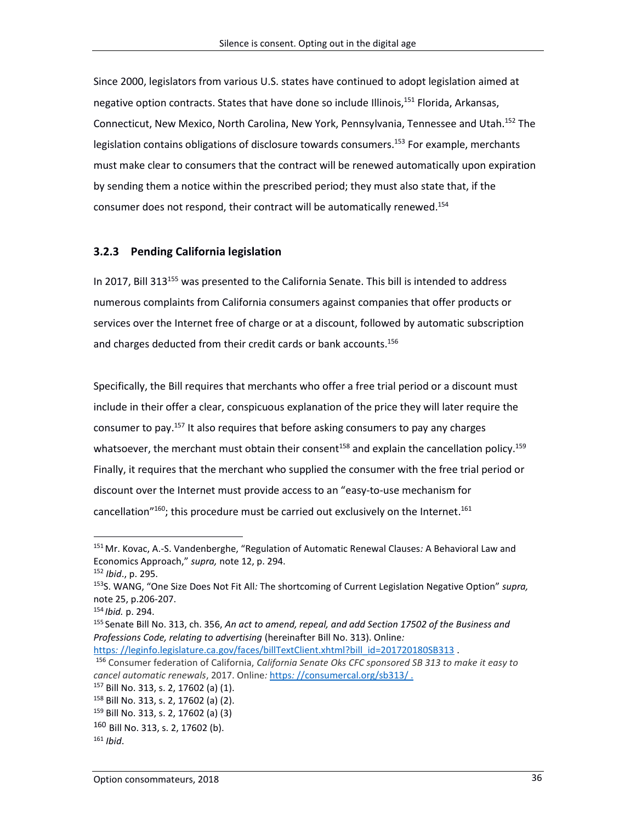Since 2000, legislators from various U.S. states have continued to adopt legislation aimed at negative option contracts. States that have done so include Illinois, <sup>151</sup> Florida, Arkansas, Connecticut, New Mexico, North Carolina, New York, Pennsylvania, Tennessee and Utah. <sup>152</sup> The legislation contains obligations of disclosure towards consumers. <sup>153</sup> For example, merchants must make clear to consumers that the contract will be renewed automatically upon expiration by sending them a notice within the prescribed period; they must also state that, if the consumer does not respond, their contract will be automatically renewed. 154

#### **3.2.3 Pending California legislation**

In 2017, Bill 313<sup>155</sup> was presented to the California Senate. This bill is intended to address numerous complaints from California consumers against companies that offer products or services over the Internet free of charge or at a discount, followed by automatic subscription and charges deducted from their credit cards or bank accounts. 156

Specifically, the Bill requires that merchants who offer a free trial period or a discount must include in their offer a clear, conspicuous explanation of the price they will later require the consumer to pay.<sup>157</sup> It also requires that before asking consumers to pay any charges whatsoever, the merchant must obtain their consent<sup>158</sup> and explain the cancellation policy.<sup>159</sup> Finally, it requires that the merchant who supplied the consumer with the free trial period or discount over the Internet must provide access to an "easy-to-use mechanism for cancellation"<sup>160</sup>; this procedure must be carried out exclusively on the Internet.<sup>161</sup>

 $\overline{a}$ 

https:[//leginfo.legislature.ca.gov/faces/billTextClient.xhtml?bill\\_id=201720180SB313](https://leginfo.legislature.ca.gov/faces/billTextClient.xhtml?bill_id=201720180SB313)

<sup>157</sup> Bill No. 313, s. 2, 17602 (a) (1).

<sup>151</sup>Mr. Kovac, A.-S. Vandenberghe, "Regulation of Automatic Renewal Clauses*:* A Behavioral Law and Economics Approach," *supra,* note 12, p. 294.

<sup>152</sup> *Ibid*., p. 295.

<sup>153</sup>S. WANG, "One Size Does Not Fit All*:* The shortcoming of Current Legislation Negative Option" *supra,* note 25, p.206-207.

<sup>154</sup> *Ibid.* p. 294.

<sup>155</sup> Senate Bill No. 313, ch. 356, *An act to amend, repeal, and add Section 17502 of the Business and Professions Code, relating to advertising* (hereinafter Bill No. 313). Online*:* 

<sup>156</sup> Consumer federation of California, *California Senate Oks CFC sponsored SB 313 to make it easy to cancel automatic renewals*, 2017. Online*:* https*:* [//consumercal.org/sb313/](https://consumercal.org/sb313/) .

<sup>158</sup> Bill No. 313, s. 2, 17602 (a) (2).

<sup>159</sup> Bill No. 313, s. 2, 17602 (a) (3)

<sup>160</sup> Bill No. 313, s. 2, 17602 (b).

<sup>161</sup> *Ibid*.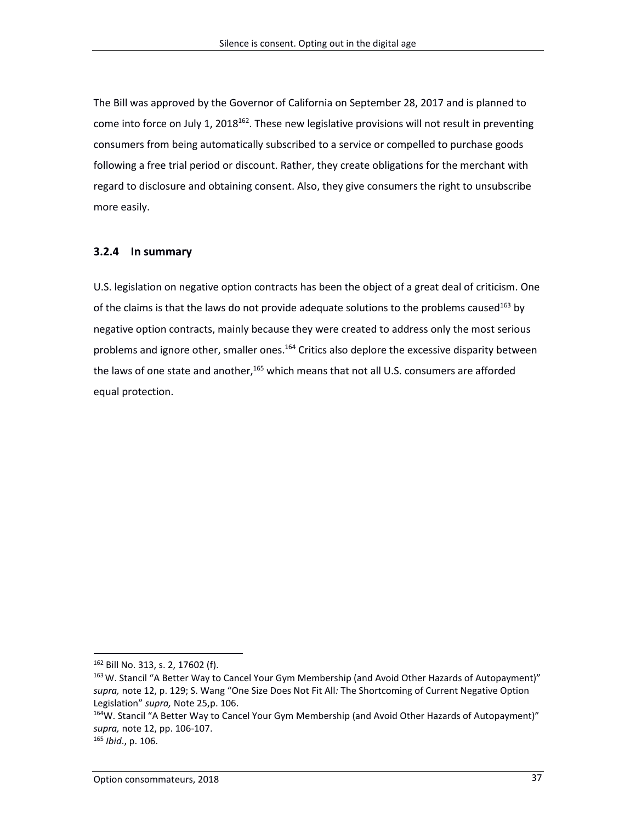The Bill was approved by the Governor of California on September 28, 2017 and is planned to come into force on July 1, 2018<sup>162</sup>. These new legislative provisions will not result in preventing consumers from being automatically subscribed to a service or compelled to purchase goods following a free trial period or discount. Rather, they create obligations for the merchant with regard to disclosure and obtaining consent. Also, they give consumers the right to unsubscribe more easily.

#### **3.2.4 In summary**

U.S. legislation on negative option contracts has been the object of a great deal of criticism. One of the claims is that the laws do not provide adequate solutions to the problems caused<sup>163</sup> by negative option contracts, mainly because they were created to address only the most serious problems and ignore other, smaller ones.<sup>164</sup> Critics also deplore the excessive disparity between the laws of one state and another,<sup>165</sup> which means that not all U.S. consumers are afforded equal protection.

<sup>162</sup> Bill No. 313, s. 2, 17602 (f).

<sup>&</sup>lt;sup>163</sup> W. Stancil "A Better Way to Cancel Your Gym Membership (and Avoid Other Hazards of Autopayment)" *supra,* note 12, p. 129; S. Wang "One Size Does Not Fit All*:* The Shortcoming of Current Negative Option Legislation" *supra,* Note 25,p. 106.

<sup>164</sup>W. Stancil "A Better Way to Cancel Your Gym Membership (and Avoid Other Hazards of Autopayment)" *supra,* note 12, pp. 106-107.

<sup>165</sup> *Ibid*., p. 106.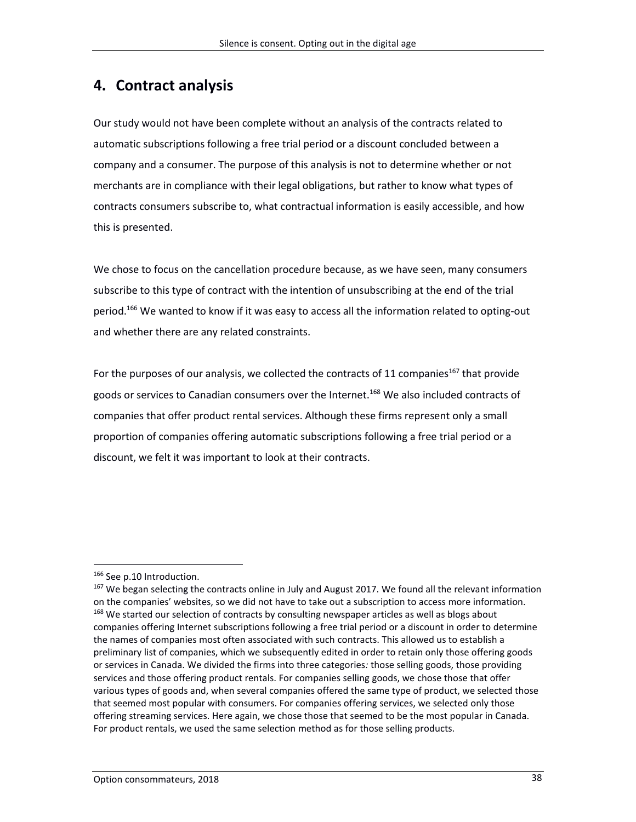# **4. Contract analysis**

Our study would not have been complete without an analysis of the contracts related to automatic subscriptions following a free trial period or a discount concluded between a company and a consumer. The purpose of this analysis is not to determine whether or not merchants are in compliance with their legal obligations, but rather to know what types of contracts consumers subscribe to, what contractual information is easily accessible, and how this is presented.

We chose to focus on the cancellation procedure because, as we have seen, many consumers subscribe to this type of contract with the intention of unsubscribing at the end of the trial period.<sup>166</sup> We wanted to know if it was easy to access all the information related to opting-out and whether there are any related constraints.

For the purposes of our analysis, we collected the contracts of 11 companies<sup>167</sup> that provide goods or services to Canadian consumers over the Internet. <sup>168</sup> We also included contracts of companies that offer product rental services. Although these firms represent only a small proportion of companies offering automatic subscriptions following a free trial period or a discount, we felt it was important to look at their contracts.

<sup>&</sup>lt;sup>166</sup> See p.10 Introduction.

<sup>&</sup>lt;sup>167</sup> We began selecting the contracts online in July and August 2017. We found all the relevant information on the companies' websites, so we did not have to take out a subscription to access more information. <sup>168</sup> We started our selection of contracts by consulting newspaper articles as well as blogs about companies offering Internet subscriptions following a free trial period or a discount in order to determine the names of companies most often associated with such contracts. This allowed us to establish a preliminary list of companies, which we subsequently edited in order to retain only those offering goods or services in Canada. We divided the firms into three categories*:* those selling goods, those providing services and those offering product rentals. For companies selling goods, we chose those that offer various types of goods and, when several companies offered the same type of product, we selected those that seemed most popular with consumers. For companies offering services, we selected only those offering streaming services. Here again, we chose those that seemed to be the most popular in Canada. For product rentals, we used the same selection method as for those selling products.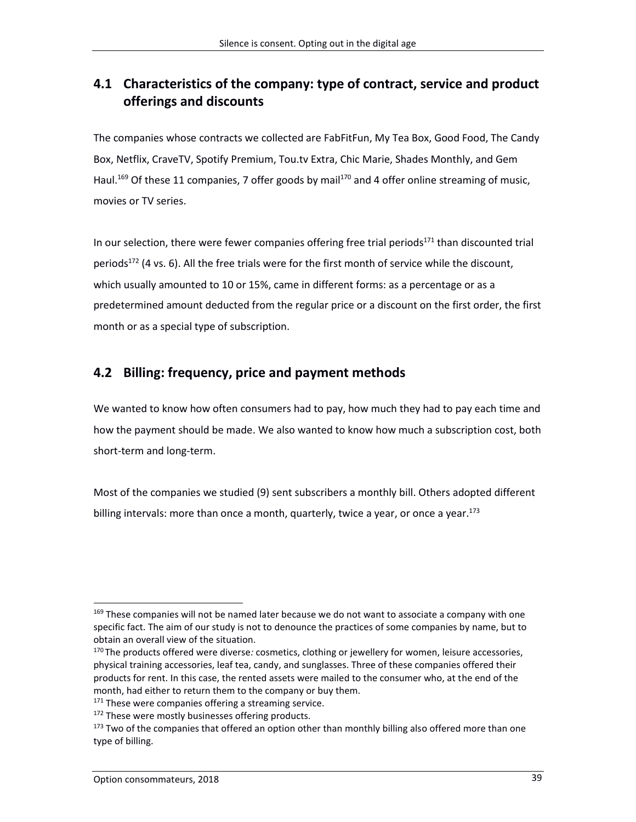## **4.1 Characteristics of the company: type of contract, service and product offerings and discounts**

The companies whose contracts we collected are FabFitFun, My Tea Box, Good Food, The Candy Box, Netflix, CraveTV, Spotify Premium, Tou.tv Extra, Chic Marie, Shades Monthly, and Gem Haul.<sup>169</sup> Of these 11 companies, 7 offer goods by mail<sup>170</sup> and 4 offer online streaming of music, movies or TV series.

In our selection, there were fewer companies offering free trial periods $171$  than discounted trial periods<sup>172</sup> (4 vs. 6). All the free trials were for the first month of service while the discount, which usually amounted to 10 or 15%, came in different forms: as a percentage or as a predetermined amount deducted from the regular price or a discount on the first order, the first month or as a special type of subscription.

## **4.2 Billing: frequency, price and payment methods**

We wanted to know how often consumers had to pay, how much they had to pay each time and how the payment should be made. We also wanted to know how much a subscription cost, both short-term and long-term.

Most of the companies we studied (9) sent subscribers a monthly bill. Others adopted different billing intervals: more than once a month, quarterly, twice a year, or once a year.<sup>173</sup>

<sup>&</sup>lt;sup>169</sup> These companies will not be named later because we do not want to associate a company with one specific fact. The aim of our study is not to denounce the practices of some companies by name, but to obtain an overall view of the situation.

<sup>170</sup> The products offered were diverse*:* cosmetics, clothing or jewellery for women, leisure accessories, physical training accessories, leaf tea, candy, and sunglasses. Three of these companies offered their products for rent. In this case, the rented assets were mailed to the consumer who, at the end of the month, had either to return them to the company or buy them.

<sup>&</sup>lt;sup>171</sup> These were companies offering a streaming service.

<sup>&</sup>lt;sup>172</sup> These were mostly businesses offering products.

<sup>&</sup>lt;sup>173</sup> Two of the companies that offered an option other than monthly billing also offered more than one type of billing.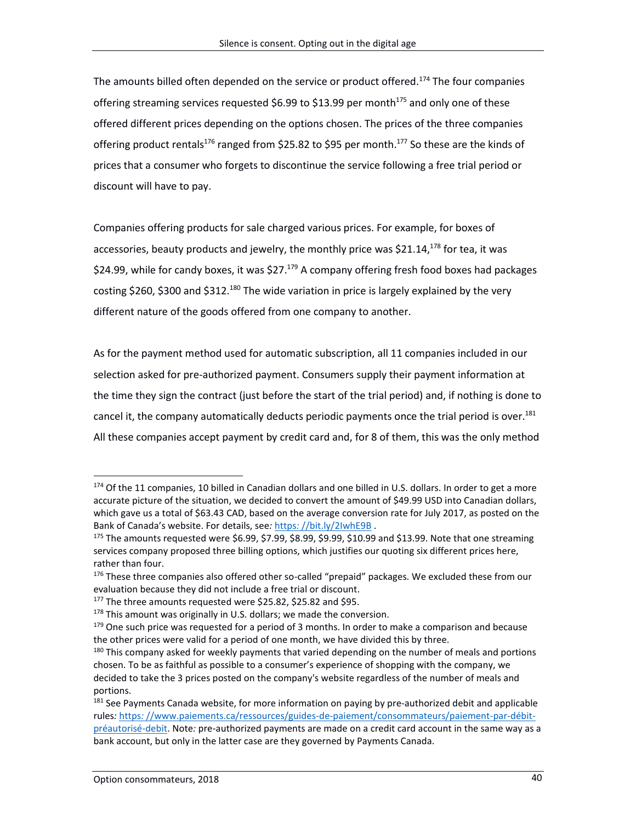The amounts billed often depended on the service or product offered. <sup>174</sup> The four companies offering streaming services requested \$6.99 to \$13.99 per month<sup>175</sup> and only one of these offered different prices depending on the options chosen. The prices of the three companies offering product rentals<sup>176</sup> ranged from \$25.82 to \$95 per month.<sup>177</sup> So these are the kinds of prices that a consumer who forgets to discontinue the service following a free trial period or discount will have to pay.

Companies offering products for sale charged various prices. For example, for boxes of accessories, beauty products and jewelry, the monthly price was \$21.14,<sup>178</sup> for tea, it was \$24.99, while for candy boxes, it was \$27.<sup>179</sup> A company offering fresh food boxes had packages costing \$260, \$300 and \$312.<sup>180</sup> The wide variation in price is largely explained by the very different nature of the goods offered from one company to another.

As for the payment method used for automatic subscription, all 11 companies included in our selection asked for pre-authorized payment. Consumers supply their payment information at the time they sign the contract (just before the start of the trial period) and, if nothing is done to cancel it, the company automatically deducts periodic payments once the trial period is over.<sup>181</sup> All these companies accept payment by credit card and, for 8 of them, this was the only method

<sup>174</sup> Of the 11 companies, 10 billed in Canadian dollars and one billed in U.S. dollars. In order to get a more accurate picture of the situation, we decided to convert the amount of \$49.99 USD into Canadian dollars, which gave us a total of \$63.43 CAD, based on the average conversion rate for July 2017, as posted on the Bank of Canada's website. For details, see*:* https*:* [//bit.ly/2IwhE9B](https://bit.ly/2IwhE9B) .

 $175$  The amounts requested were \$6.99, \$7.99, \$8.99, \$9.99, \$10.99 and \$13.99. Note that one streaming services company proposed three billing options, which justifies our quoting six different prices here, rather than four.

<sup>176</sup> These three companies also offered other so-called "prepaid" packages. We excluded these from our evaluation because they did not include a free trial or discount.

<sup>177</sup> The three amounts requested were \$25.82, \$25.82 and \$95.

 $178$  This amount was originally in U.S. dollars; we made the conversion.

 $179$  One such price was requested for a period of 3 months. In order to make a comparison and because the other prices were valid for a period of one month, we have divided this by three.

<sup>&</sup>lt;sup>180</sup> This company asked for weekly payments that varied depending on the number of meals and portions chosen. To be as faithful as possible to a consumer's experience of shopping with the company, we decided to take the 3 prices posted on the company's website regardless of the number of meals and portions.

<sup>&</sup>lt;sup>181</sup> See Payments Canada website, for more information on paying by pre-authorized debit and applicable rules*:* https*:* [//www.paiements.ca/ressources/guides-de-paiement/consommateurs/paiement-par-débit](https://www.paiements.ca/ressources/guides-de-paiement/consommateurs/paiement-par-débit-préautorisé-debit)[préautorisé-debit.](https://www.paiements.ca/ressources/guides-de-paiement/consommateurs/paiement-par-débit-préautorisé-debit) Note*:* pre-authorized payments are made on a credit card account in the same way as a bank account, but only in the latter case are they governed by Payments Canada.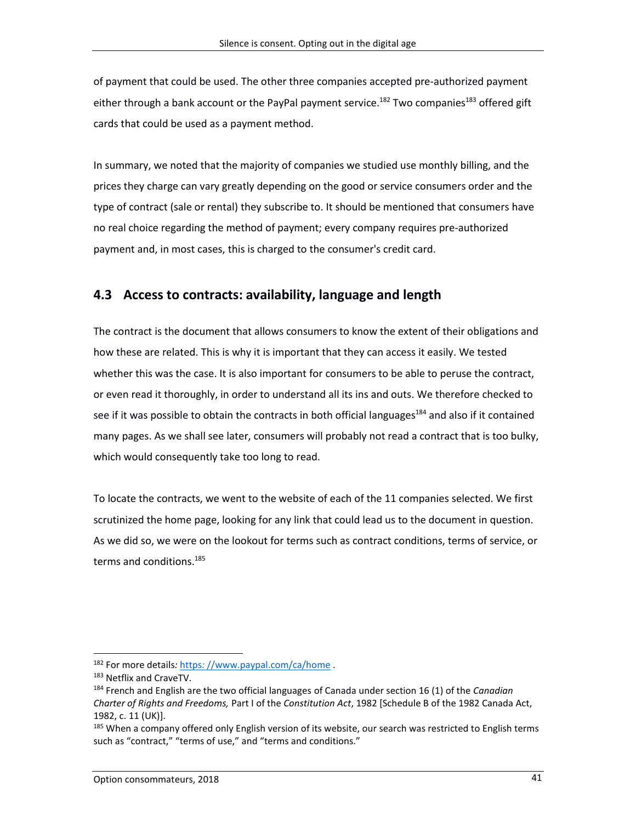of payment that could be used. The other three companies accepted pre-authorized payment either through a bank account or the PayPal payment service.<sup>182</sup> Two companies<sup>183</sup> offered gift cards that could be used as a payment method.

In summary, we noted that the majority of companies we studied use monthly billing, and the prices they charge can vary greatly depending on the good or service consumers order and the type of contract (sale or rental) they subscribe to. It should be mentioned that consumers have no real choice regarding the method of payment; every company requires pre-authorized payment and, in most cases, this is charged to the consumer's credit card.

### **4.3 Access to contracts: availability, language and length**

The contract is the document that allows consumers to know the extent of their obligations and how these are related. This is why it is important that they can access it easily. We tested whether this was the case. It is also important for consumers to be able to peruse the contract, or even read it thoroughly, in order to understand all its ins and outs. We therefore checked to see if it was possible to obtain the contracts in both official languages<sup>184</sup> and also if it contained many pages. As we shall see later, consumers will probably not read a contract that is too bulky, which would consequently take too long to read.

To locate the contracts, we went to the website of each of the 11 companies selected. We first scrutinized the home page, looking for any link that could lead us to the document in question. As we did so, we were on the lookout for terms such as contract conditions, terms of service, or terms and conditions. 185

<sup>182</sup> For more details*:* https*:* [//www.paypal.com/ca/home](https://www.paypal.com/ca/home) .

<sup>&</sup>lt;sup>183</sup> Netflix and CraveTV.

<sup>184</sup> French and English are the two official languages of Canada under section 16 (1) of the *Canadian Charter of Rights and Freedoms,* Part I of the *Constitution Act*, 1982 [Schedule B of the 1982 Canada Act, 1982, c. 11 (UK)].

<sup>&</sup>lt;sup>185</sup> When a company offered only English version of its website, our search was restricted to English terms such as "contract," "terms of use," and "terms and conditions."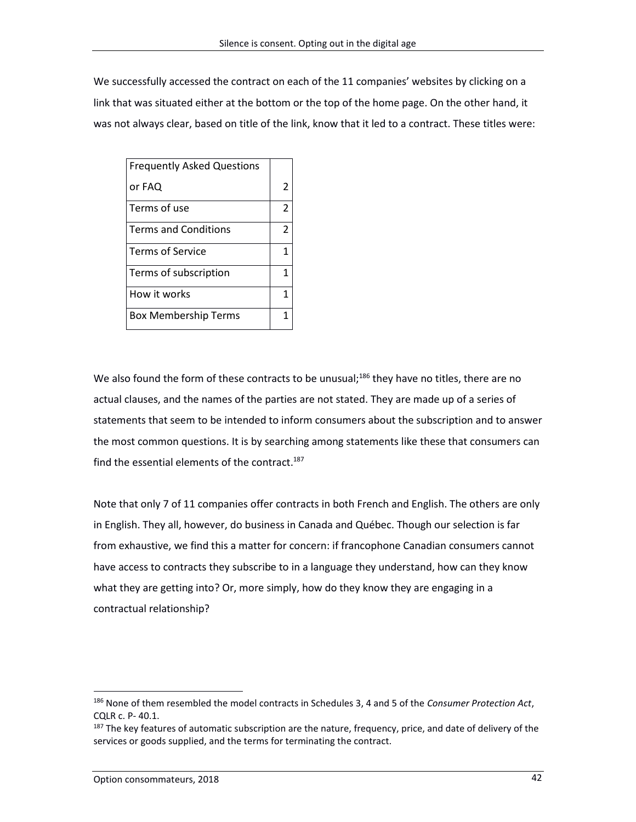We successfully accessed the contract on each of the 11 companies' websites by clicking on a link that was situated either at the bottom or the top of the home page. On the other hand, it was not always clear, based on title of the link, know that it led to a contract. These titles were:

| <b>Frequently Asked Questions</b> |                |
|-----------------------------------|----------------|
| or FAQ                            | 2              |
| Terms of use                      | $\overline{2}$ |
| <b>Terms and Conditions</b>       | 2              |
| <b>Terms of Service</b>           | 1              |
| Terms of subscription             | 1              |
| How it works                      | 1              |
| <b>Box Membership Terms</b>       | 1              |

We also found the form of these contracts to be unusual;<sup>186</sup> they have no titles, there are no actual clauses, and the names of the parties are not stated. They are made up of a series of statements that seem to be intended to inform consumers about the subscription and to answer the most common questions. It is by searching among statements like these that consumers can find the essential elements of the contract.<sup>187</sup>

Note that only 7 of 11 companies offer contracts in both French and English. The others are only in English. They all, however, do business in Canada and Québec. Though our selection is far from exhaustive, we find this a matter for concern: if francophone Canadian consumers cannot have access to contracts they subscribe to in a language they understand, how can they know what they are getting into? Or, more simply, how do they know they are engaging in a contractual relationship?

<sup>186</sup> None of them resembled the model contracts in Schedules 3, 4 and 5 of the *Consumer Protection Act*, CQLR c. P- 40.1.

<sup>&</sup>lt;sup>187</sup> The key features of automatic subscription are the nature, frequency, price, and date of delivery of the services or goods supplied, and the terms for terminating the contract.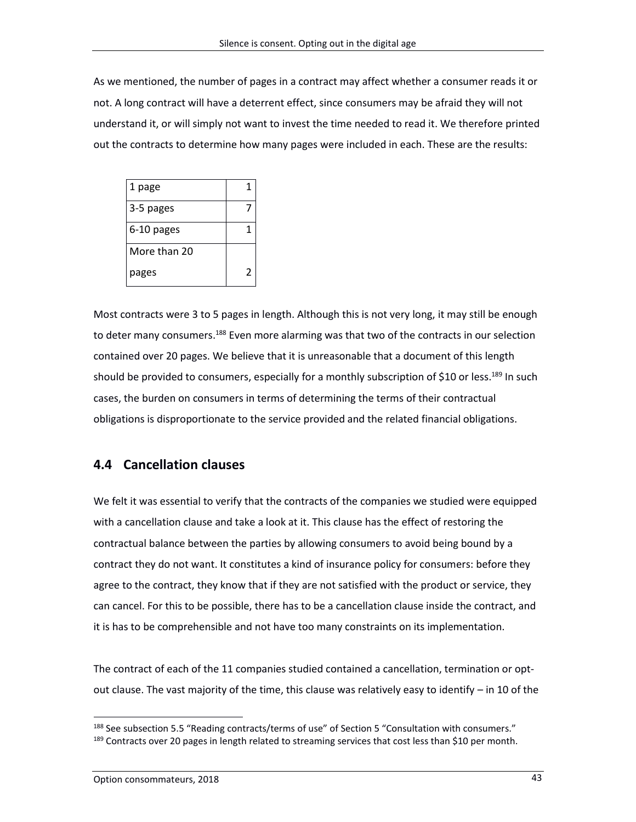As we mentioned, the number of pages in a contract may affect whether a consumer reads it or not. A long contract will have a deterrent effect, since consumers may be afraid they will not understand it, or will simply not want to invest the time needed to read it. We therefore printed out the contracts to determine how many pages were included in each. These are the results:

| 1 page       | 1 |
|--------------|---|
| 3-5 pages    |   |
| 6-10 pages   |   |
| More than 20 |   |
| pages        | 2 |

Most contracts were 3 to 5 pages in length. Although this is not very long, it may still be enough to deter many consumers.<sup>188</sup> Even more alarming was that two of the contracts in our selection contained over 20 pages. We believe that it is unreasonable that a document of this length should be provided to consumers, especially for a monthly subscription of \$10 or less.<sup>189</sup> In such cases, the burden on consumers in terms of determining the terms of their contractual obligations is disproportionate to the service provided and the related financial obligations.

### **4.4 Cancellation clauses**

We felt it was essential to verify that the contracts of the companies we studied were equipped with a cancellation clause and take a look at it. This clause has the effect of restoring the contractual balance between the parties by allowing consumers to avoid being bound by a contract they do not want. It constitutes a kind of insurance policy for consumers: before they agree to the contract, they know that if they are not satisfied with the product or service, they can cancel. For this to be possible, there has to be a cancellation clause inside the contract, and it is has to be comprehensible and not have too many constraints on its implementation.

The contract of each of the 11 companies studied contained a cancellation, termination or optout clause. The vast majority of the time, this clause was relatively easy to identify – in 10 of the

<sup>&</sup>lt;sup>188</sup> See subsection 5.5 "Reading contracts/terms of use" of Section 5 "Consultation with consumers." <sup>189</sup> Contracts over 20 pages in length related to streaming services that cost less than \$10 per month.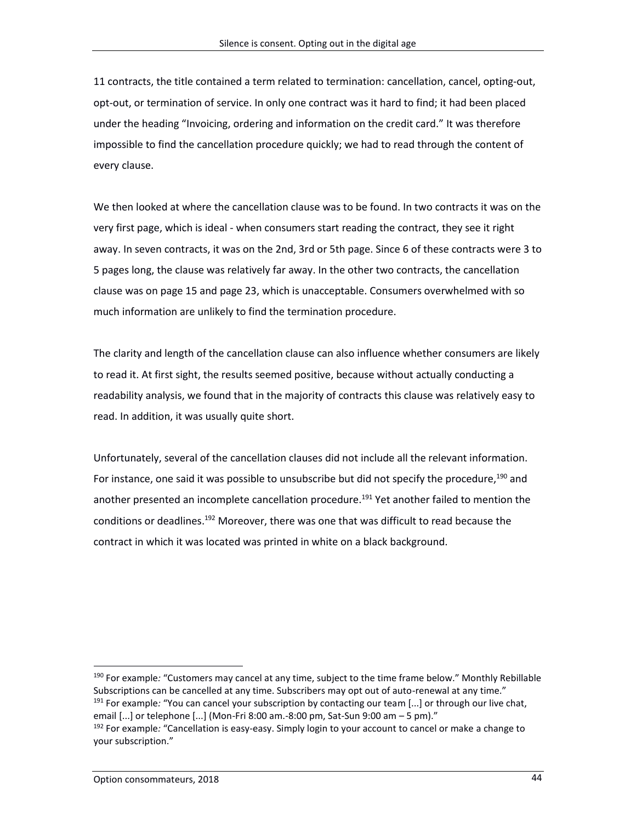11 contracts, the title contained a term related to termination: cancellation, cancel, opting-out, opt-out, or termination of service. In only one contract was it hard to find; it had been placed under the heading "Invoicing, ordering and information on the credit card." It was therefore impossible to find the cancellation procedure quickly; we had to read through the content of every clause.

We then looked at where the cancellation clause was to be found. In two contracts it was on the very first page, which is ideal - when consumers start reading the contract, they see it right away. In seven contracts, it was on the 2nd, 3rd or 5th page. Since 6 of these contracts were 3 to 5 pages long, the clause was relatively far away. In the other two contracts, the cancellation clause was on page 15 and page 23, which is unacceptable. Consumers overwhelmed with so much information are unlikely to find the termination procedure.

The clarity and length of the cancellation clause can also influence whether consumers are likely to read it. At first sight, the results seemed positive, because without actually conducting a readability analysis, we found that in the majority of contracts this clause was relatively easy to read. In addition, it was usually quite short.

Unfortunately, several of the cancellation clauses did not include all the relevant information. For instance, one said it was possible to unsubscribe but did not specify the procedure,<sup>190</sup> and another presented an incomplete cancellation procedure. <sup>191</sup> Yet another failed to mention the conditions or deadlines.<sup>192</sup> Moreover, there was one that was difficult to read because the contract in which it was located was printed in white on a black background.

<sup>190</sup> For example*:* "Customers may cancel at any time, subject to the time frame below." Monthly Rebillable Subscriptions can be cancelled at any time. Subscribers may opt out of auto-renewal at any time." <sup>191</sup> For example*:* "You can cancel your subscription by contacting our team [...] or through our live chat, email [...] or telephone [...] (Mon-Fri 8:00 am.-8:00 pm, Sat-Sun 9:00 am – 5 pm)." <sup>192</sup> For example*:* "Cancellation is easy-easy. Simply login to your account to cancel or make a change to your subscription."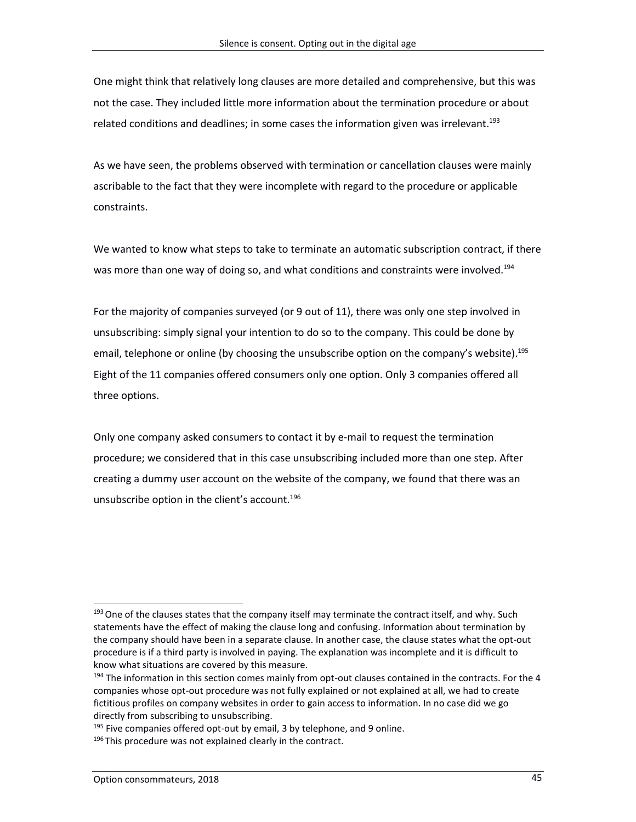One might think that relatively long clauses are more detailed and comprehensive, but this was not the case. They included little more information about the termination procedure or about related conditions and deadlines; in some cases the information given was irrelevant.<sup>193</sup>

As we have seen, the problems observed with termination or cancellation clauses were mainly ascribable to the fact that they were incomplete with regard to the procedure or applicable constraints.

We wanted to know what steps to take to terminate an automatic subscription contract, if there was more than one way of doing so, and what conditions and constraints were involved.<sup>194</sup>

For the majority of companies surveyed (or 9 out of 11), there was only one step involved in unsubscribing: simply signal your intention to do so to the company. This could be done by email, telephone or online (by choosing the unsubscribe option on the company's website).<sup>195</sup> Eight of the 11 companies offered consumers only one option. Only 3 companies offered all three options.

Only one company asked consumers to contact it by e-mail to request the termination procedure; we considered that in this case unsubscribing included more than one step. After creating a dummy user account on the website of the company, we found that there was an unsubscribe option in the client's account. 196

<sup>&</sup>lt;sup>193</sup> One of the clauses states that the company itself may terminate the contract itself, and why. Such statements have the effect of making the clause long and confusing. Information about termination by the company should have been in a separate clause. In another case, the clause states what the opt-out procedure is if a third party is involved in paying. The explanation was incomplete and it is difficult to know what situations are covered by this measure.

<sup>&</sup>lt;sup>194</sup> The information in this section comes mainly from opt-out clauses contained in the contracts. For the 4 companies whose opt-out procedure was not fully explained or not explained at all, we had to create fictitious profiles on company websites in order to gain access to information. In no case did we go directly from subscribing to unsubscribing.

 $195$  Five companies offered opt-out by email, 3 by telephone, and 9 online.

 $196$  This procedure was not explained clearly in the contract.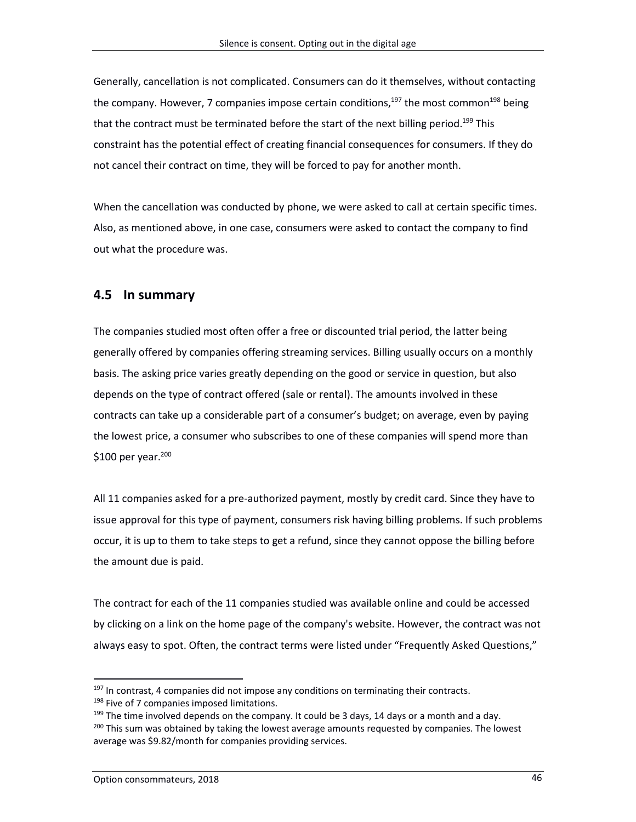Generally, cancellation is not complicated. Consumers can do it themselves, without contacting the company. However, 7 companies impose certain conditions,<sup>197</sup> the most common<sup>198</sup> being that the contract must be terminated before the start of the next billing period.<sup>199</sup> This constraint has the potential effect of creating financial consequences for consumers. If they do not cancel their contract on time, they will be forced to pay for another month.

When the cancellation was conducted by phone, we were asked to call at certain specific times. Also, as mentioned above, in one case, consumers were asked to contact the company to find out what the procedure was.

### **4.5 In summary**

The companies studied most often offer a free or discounted trial period, the latter being generally offered by companies offering streaming services. Billing usually occurs on a monthly basis. The asking price varies greatly depending on the good or service in question, but also depends on the type of contract offered (sale or rental). The amounts involved in these contracts can take up a considerable part of a consumer's budget; on average, even by paying the lowest price, a consumer who subscribes to one of these companies will spend more than \$100 per year. 200

All 11 companies asked for a pre-authorized payment, mostly by credit card. Since they have to issue approval for this type of payment, consumers risk having billing problems. If such problems occur, it is up to them to take steps to get a refund, since they cannot oppose the billing before the amount due is paid.

The contract for each of the 11 companies studied was available online and could be accessed by clicking on a link on the home page of the company's website. However, the contract was not always easy to spot. Often, the contract terms were listed under "Frequently Asked Questions,"

 $197$  In contrast, 4 companies did not impose any conditions on terminating their contracts.

<sup>&</sup>lt;sup>198</sup> Five of 7 companies imposed limitations.

 $199$  The time involved depends on the company. It could be 3 days, 14 days or a month and a day. <sup>200</sup> This sum was obtained by taking the lowest average amounts requested by companies. The lowest average was \$9.82/month for companies providing services.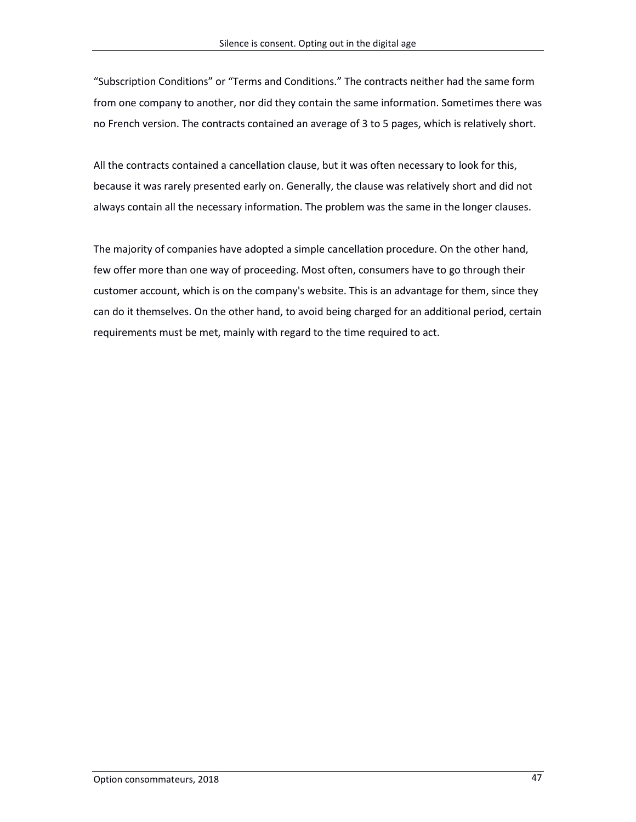"Subscription Conditions" or "Terms and Conditions." The contracts neither had the same form from one company to another, nor did they contain the same information. Sometimes there was no French version. The contracts contained an average of 3 to 5 pages, which is relatively short.

All the contracts contained a cancellation clause, but it was often necessary to look for this, because it was rarely presented early on. Generally, the clause was relatively short and did not always contain all the necessary information. The problem was the same in the longer clauses.

The majority of companies have adopted a simple cancellation procedure. On the other hand, few offer more than one way of proceeding. Most often, consumers have to go through their customer account, which is on the company's website. This is an advantage for them, since they can do it themselves. On the other hand, to avoid being charged for an additional period, certain requirements must be met, mainly with regard to the time required to act.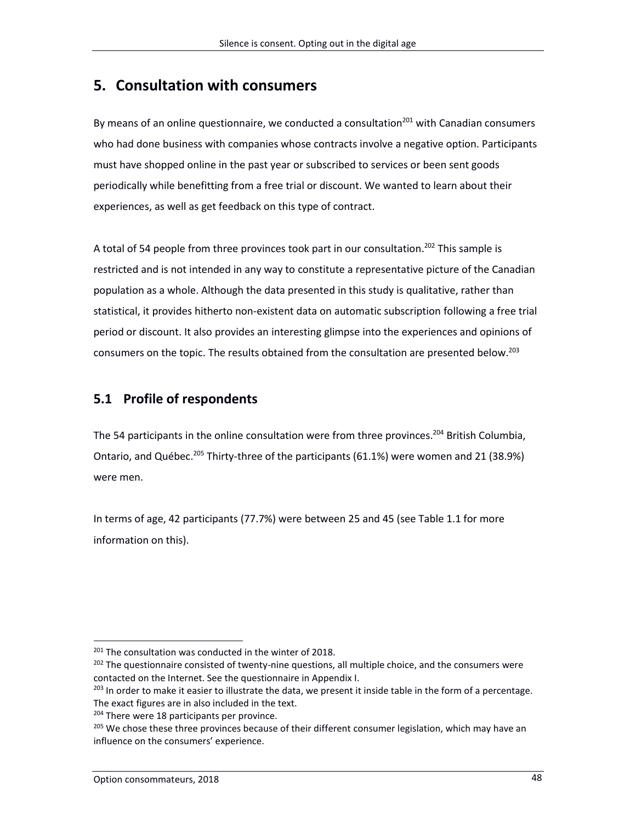# **5. Consultation with consumers**

By means of an online questionnaire, we conducted a consultation<sup>201</sup> with Canadian consumers who had done business with companies whose contracts involve a negative option. Participants must have shopped online in the past year or subscribed to services or been sent goods periodically while benefitting from a free trial or discount. We wanted to learn about their experiences, as well as get feedback on this type of contract.

A total of 54 people from three provinces took part in our consultation.<sup>202</sup> This sample is restricted and is not intended in any way to constitute a representative picture of the Canadian population as a whole. Although the data presented in this study is qualitative, rather than statistical, it provides hitherto non-existent data on automatic subscription following a free trial period or discount. It also provides an interesting glimpse into the experiences and opinions of consumers on the topic. The results obtained from the consultation are presented below. 203

### **5.1 Profile of respondents**

The 54 participants in the online consultation were from three provinces.<sup>204</sup> British Columbia, Ontario, and Québec.<sup>205</sup> Thirty-three of the participants (61.1%) were women and 21 (38.9%) were men.

In terms of age, 42 participants (77.7%) were between 25 and 45 (see Table 1.1 for more information on this).

<sup>&</sup>lt;sup>201</sup> The consultation was conducted in the winter of 2018.

<sup>&</sup>lt;sup>202</sup> The questionnaire consisted of twenty-nine questions, all multiple choice, and the consumers were contacted on the Internet. See the questionnaire in Appendix I.

<sup>&</sup>lt;sup>203</sup> In order to make it easier to illustrate the data, we present it inside table in the form of a percentage.

The exact figures are in also included in the text. <sup>204</sup> There were 18 participants per province.

<sup>&</sup>lt;sup>205</sup> We chose these three provinces because of their different consumer legislation, which may have an influence on the consumers' experience.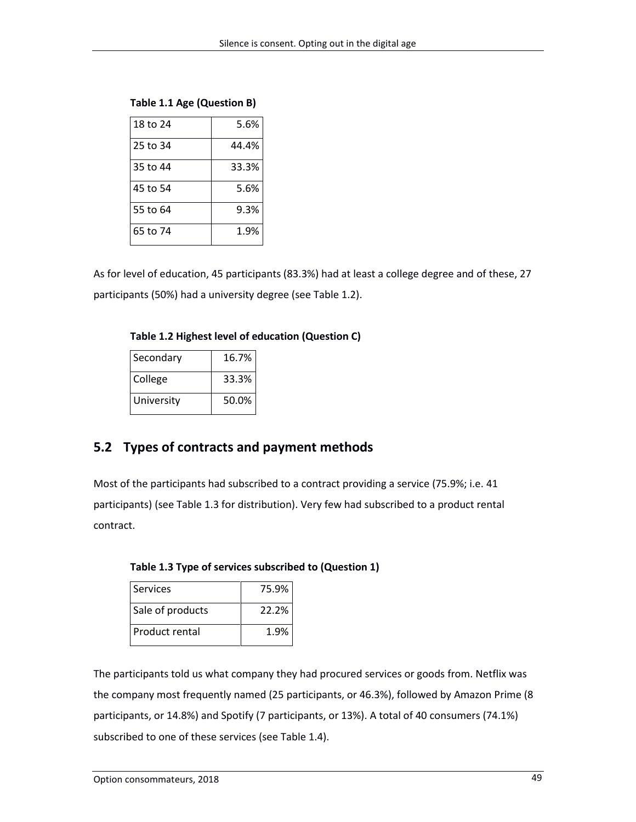| 18 to 24 | 5.6%  |
|----------|-------|
| 25 to 34 | 44.4% |
| 35 to 44 | 33.3% |
| 45 to 54 | 5.6%  |
| 55 to 64 | 9.3%  |
| 65 to 74 | 1.9%  |

**Table 1.1 Age (Question B)**

As for level of education, 45 participants (83.3%) had at least a college degree and of these, 27 participants (50%) had a university degree (see Table 1.2).

**Table 1.2 Highest level of education (Question C)**

| Secondary  | 16.7% |
|------------|-------|
| College    | 33.3% |
| University | 50.0% |

## **5.2 Types of contracts and payment methods**

Most of the participants had subscribed to a contract providing a service (75.9%; i.e. 41 participants) (see Table 1.3 for distribution). Very few had subscribed to a product rental contract.

| Services         | 75.9% |  |
|------------------|-------|--|
| Sale of products | 22.2% |  |
| Product rental   | 1.9%  |  |

**Table 1.3 Type of services subscribed to (Question 1)**

The participants told us what company they had procured services or goods from. Netflix was the company most frequently named (25 participants, or 46.3%), followed by Amazon Prime (8 participants, or 14.8%) and Spotify (7 participants, or 13%). A total of 40 consumers (74.1%) subscribed to one of these services (see Table 1.4).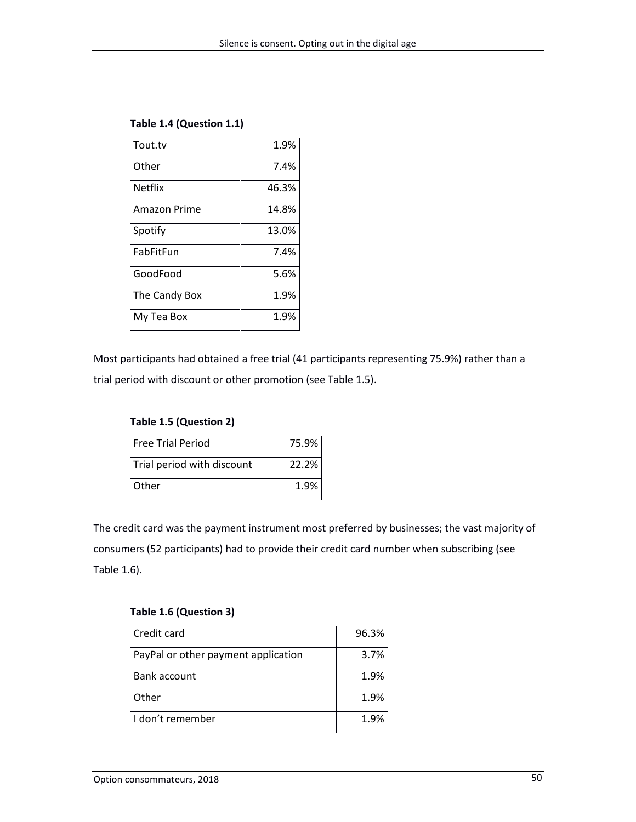| Tout.tv        | 1.9%  |
|----------------|-------|
| Other          | 7.4%  |
| <b>Netflix</b> | 46.3% |
| Amazon Prime   | 14.8% |
| Spotify        | 13.0% |
| FabFitFun      | 7.4%  |
| GoodFood       | 5.6%  |
| The Candy Box  | 1.9%  |
| My Tea Box     | 1.9%  |

### **Table 1.4 (Question 1.1)**

Most participants had obtained a free trial (41 participants representing 75.9%) rather than a trial period with discount or other promotion (see Table 1.5).

### **Table 1.5 (Question 2)**

| <b>Free Trial Period</b>   | 75.9% |
|----------------------------|-------|
| Trial period with discount | 22.2% |
| <b>Other</b>               | 1.9%  |

The credit card was the payment instrument most preferred by businesses; the vast majority of consumers (52 participants) had to provide their credit card number when subscribing (see Table 1.6).

### **Table 1.6 (Question 3)**

| Credit card                         | 96.3% |
|-------------------------------------|-------|
| PayPal or other payment application | 3.7%  |
| Bank account                        | 1.9%  |
| Other                               | 1.9%  |
| I don't remember                    | 1.9%  |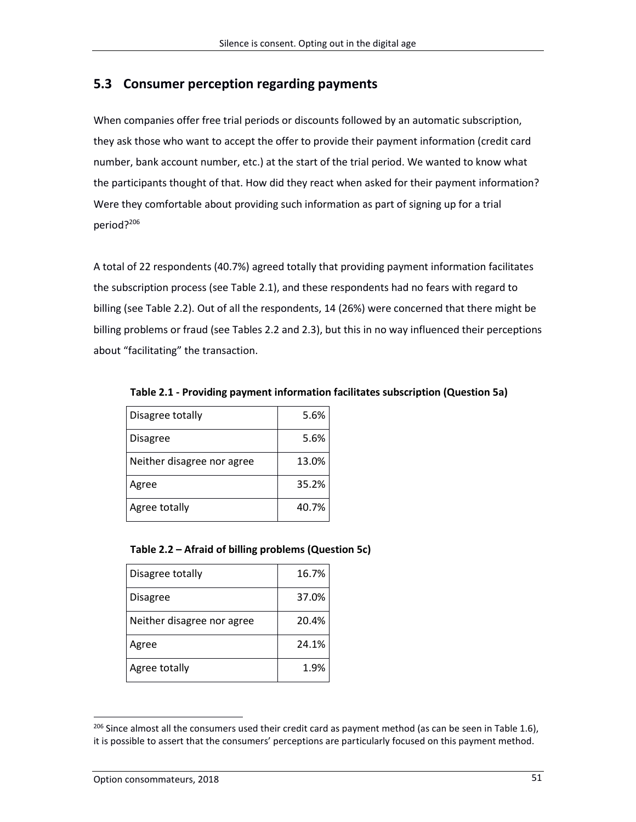### **5.3 Consumer perception regarding payments**

When companies offer free trial periods or discounts followed by an automatic subscription, they ask those who want to accept the offer to provide their payment information (credit card number, bank account number, etc.) at the start of the trial period. We wanted to know what the participants thought of that. How did they react when asked for their payment information? Were they comfortable about providing such information as part of signing up for a trial period? 206

A total of 22 respondents (40.7%) agreed totally that providing payment information facilitates the subscription process (see Table 2.1), and these respondents had no fears with regard to billing (see Table 2.2). Out of all the respondents, 14 (26%) were concerned that there might be billing problems or fraud (see Tables 2.2 and 2.3), but this in no way influenced their perceptions about "facilitating" the transaction.

| Disagree totally           | 5.6%  |
|----------------------------|-------|
| <b>Disagree</b>            | 5.6%  |
| Neither disagree nor agree | 13.0% |
| Agree                      | 35.2% |
| Agree totally              | 40.7% |

**Table 2.1 - Providing payment information facilitates subscription (Question 5a)**

### **Table 2.2 – Afraid of billing problems (Question 5c)**

| Disagree totally           | 16.7% |
|----------------------------|-------|
| <b>Disagree</b>            | 37.0% |
| Neither disagree nor agree | 20.4% |
| Agree                      | 24.1% |
| Agree totally              | 1.9%  |

 $^{206}$  Since almost all the consumers used their credit card as payment method (as can be seen in Table 1.6), it is possible to assert that the consumers' perceptions are particularly focused on this payment method.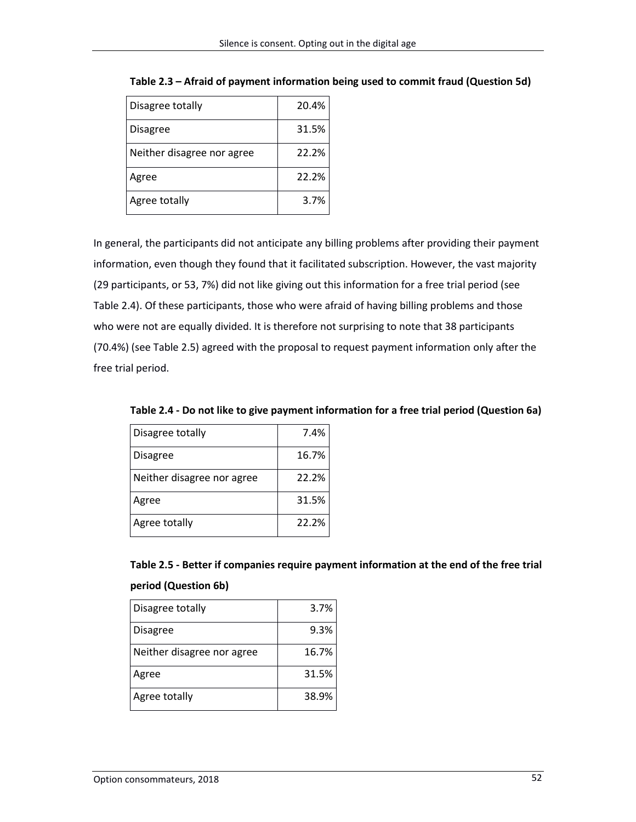| Disagree totally           | 20.4% |
|----------------------------|-------|
| <b>Disagree</b>            | 31.5% |
| Neither disagree nor agree | 22.2% |
| Agree                      | 22.2% |
| Agree totally              | 3.7%  |

**Table 2.3 – Afraid of payment information being used to commit fraud (Question 5d)**

In general, the participants did not anticipate any billing problems after providing their payment information, even though they found that it facilitated subscription. However, the vast majority (29 participants, or 53, 7%) did not like giving out this information for a free trial period (see Table 2.4). Of these participants, those who were afraid of having billing problems and those who were not are equally divided. It is therefore not surprising to note that 38 participants (70.4%) (see Table 2.5) agreed with the proposal to request payment information only after the free trial period.

| Disagree totally           | 7.4%  |
|----------------------------|-------|
| <b>Disagree</b>            | 16.7% |
| Neither disagree nor agree | 22.2% |
| Agree                      | 31.5% |
| Agree totally              | 22.2% |

**Table 2.4 - Do not like to give payment information for a free trial period (Question 6a)**

| Table 2.5 - Better if companies require payment information at the end of the free trial |  |
|------------------------------------------------------------------------------------------|--|
| period (Question 6b)                                                                     |  |

| Disagree totally           | 3.7%  |
|----------------------------|-------|
| <b>Disagree</b>            | 9.3%  |
| Neither disagree nor agree | 16.7% |
| Agree                      | 31.5% |
| Agree totally              | 38.9% |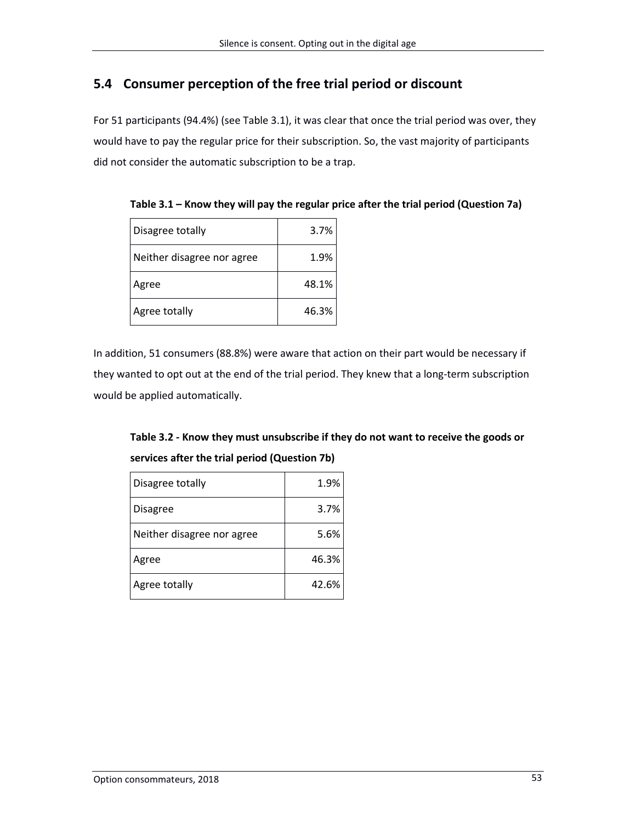## **5.4 Consumer perception of the free trial period or discount**

For 51 participants (94.4%) (see Table 3.1), it was clear that once the trial period was over, they would have to pay the regular price for their subscription. So, the vast majority of participants did not consider the automatic subscription to be a trap.

| Disagree totally           | 3.7%  |
|----------------------------|-------|
| Neither disagree nor agree | 1.9%  |
| Agree                      | 48.1% |
| Agree totally              | 46.3% |

**Table 3.1 – Know they will pay the regular price after the trial period (Question 7a)**

In addition, 51 consumers (88.8%) were aware that action on their part would be necessary if they wanted to opt out at the end of the trial period. They knew that a long-term subscription would be applied automatically.

**Table 3.2 - Know they must unsubscribe if they do not want to receive the goods or services after the trial period (Question 7b)**

| Disagree totally           | 1.9%  |
|----------------------------|-------|
| <b>Disagree</b>            | 3.7%  |
| Neither disagree nor agree | 5.6%  |
| Agree                      | 46.3% |
| Agree totally              | 42.6% |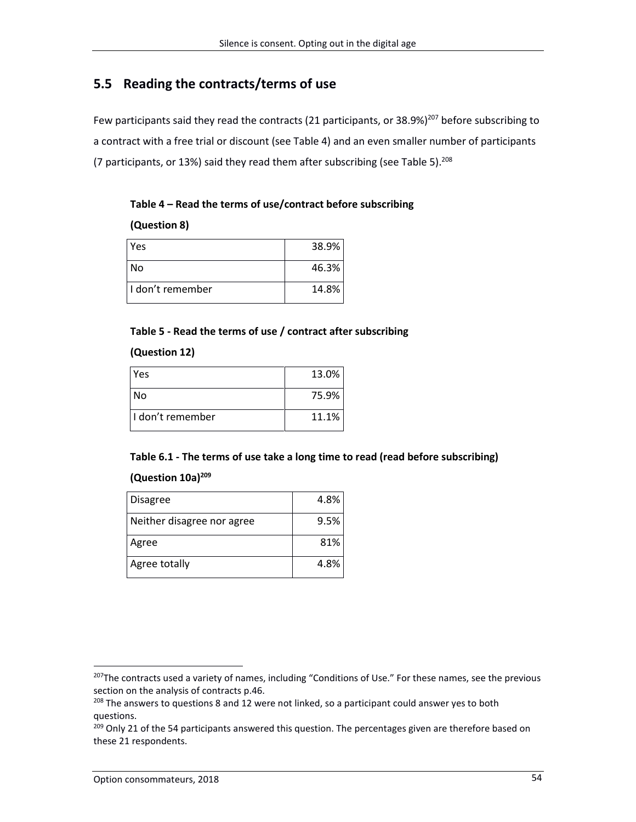## **5.5 Reading the contracts/terms of use**

Few participants said they read the contracts (21 participants, or  $38.9\%$ )<sup>207</sup> before subscribing to a contract with a free trial or discount (see Table 4) and an even smaller number of participants (7 participants, or 13%) said they read them after subscribing (see Table 5).<sup>208</sup>

| Table 4 - Read the terms of use/contract before subscribing |  |
|-------------------------------------------------------------|--|
|-------------------------------------------------------------|--|

### **(Question 8)**

| Yes                | 38.9% |
|--------------------|-------|
| No                 | 46.3% |
| l I don't remember | 14.8% |

### **Table 5 - Read the terms of use / contract after subscribing**

### **(Question 12)**

| <b>Yes</b>       | 13.0% |
|------------------|-------|
| l No             | 75.9% |
| I don't remember | 11.1% |

### **Table 6.1 - The terms of use take a long time to read (read before subscribing)**

### **(Question 10a)<sup>209</sup>**

| <b>Disagree</b>            | 4.8% |
|----------------------------|------|
| Neither disagree nor agree | 9.5% |
| Agree                      | 81%  |
| Agree totally              | 4.8% |

<sup>&</sup>lt;sup>207</sup>The contracts used a variety of names, including "Conditions of Use." For these names, see the previous section on the analysis of contracts p.46.

<sup>&</sup>lt;sup>208</sup> The answers to questions 8 and 12 were not linked, so a participant could answer yes to both questions.

<sup>&</sup>lt;sup>209</sup> Only 21 of the 54 participants answered this question. The percentages given are therefore based on these 21 respondents.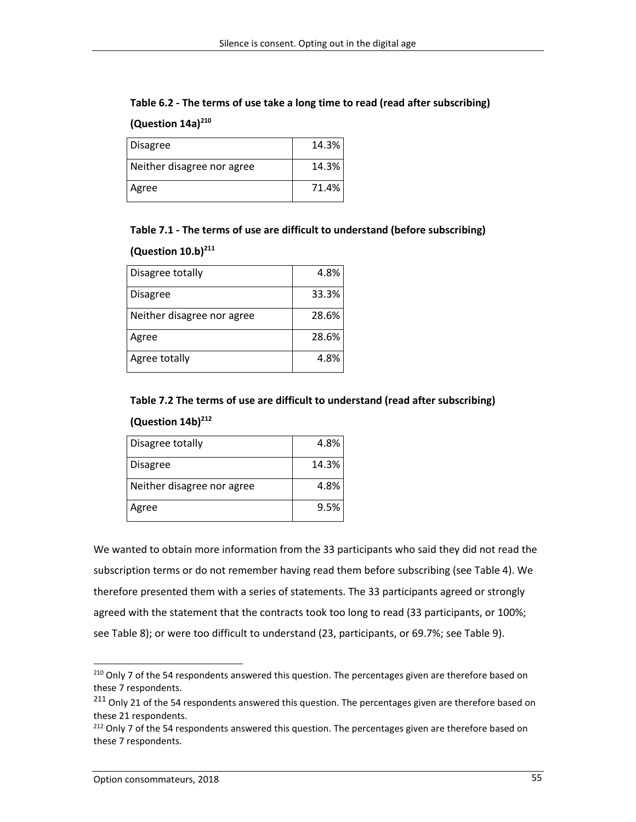## **Table 6.2 - The terms of use take a long time to read (read after subscribing) (Question 14a)<sup>210</sup>**

| <b>Disagree</b>            | 14.3% |
|----------------------------|-------|
| Neither disagree nor agree | 14.3% |
| Agree                      | 71.4% |

### **Table 7.1 - The terms of use are difficult to understand (before subscribing)**

### **(Question 10.b)<sup>211</sup>**

| Disagree totally           | 4.8%  |
|----------------------------|-------|
| <b>Disagree</b>            | 33.3% |
| Neither disagree nor agree | 28.6% |
| Agree                      | 28.6% |
| Agree totally              | 4.8%  |

### **Table 7.2 The terms of use are difficult to understand (read after subscribing)**

### **(Question 14b)<sup>212</sup>**

| Disagree totally           | 4.8%  |
|----------------------------|-------|
| Disagree                   | 14.3% |
| Neither disagree nor agree | 4.8%  |
| Agree                      | 9.5%  |

We wanted to obtain more information from the 33 participants who said they did not read the subscription terms or do not remember having read them before subscribing (see Table 4). We therefore presented them with a series of statements. The 33 participants agreed or strongly agreed with the statement that the contracts took too long to read (33 participants, or 100%; see Table 8); or were too difficult to understand (23, participants, or 69.7%; see Table 9).

<sup>&</sup>lt;sup>210</sup> Only 7 of the 54 respondents answered this question. The percentages given are therefore based on these 7 respondents.

<sup>&</sup>lt;sup>211</sup> Only 21 of the 54 respondents answered this question. The percentages given are therefore based on these 21 respondents.

<sup>&</sup>lt;sup>212</sup> Only 7 of the 54 respondents answered this question. The percentages given are therefore based on these 7 respondents.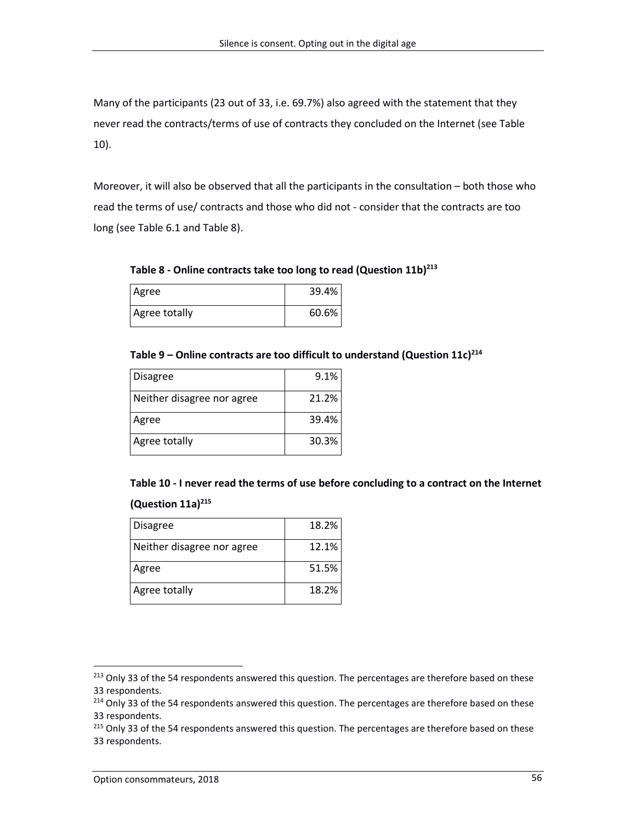Many of the participants (23 out of 33, i.e. 69.7%) also agreed with the statement that they never read the contracts/terms of use of contracts they concluded on the Internet (see Table 10).

Moreover, it will also be observed that all the participants in the consultation – both those who read the terms of use/ contracts and those who did not - consider that the contracts are too long (see Table 6.1 and Table 8).

**Table 8 - Online contracts take too long to read (Question 11b)<sup>213</sup>**

| Agree         | 39.4% |
|---------------|-------|
| Agree totally | 60.6% |

### **Table 9 – Online contracts are too difficult to understand (Question 11c)<sup>214</sup>**

| <b>Disagree</b>            | 9.1%  |
|----------------------------|-------|
| Neither disagree nor agree | 21.2% |
| Agree                      | 39.4% |
| Agree totally              | 30.3% |

**Table 10 - I never read the terms of use before concluding to a contract on the Internet** 

### **(Question 11a)<sup>215</sup>**

| <b>Disagree</b>            | 18.2% |
|----------------------------|-------|
| Neither disagree nor agree | 12.1% |
| Agree                      | 51.5% |
| Agree totally              | 18.2% |

<sup>&</sup>lt;sup>213</sup> Only 33 of the 54 respondents answered this question. The percentages are therefore based on these 33 respondents.

<sup>&</sup>lt;sup>214</sup> Only 33 of the 54 respondents answered this question. The percentages are therefore based on these 33 respondents.

<sup>&</sup>lt;sup>215</sup> Only 33 of the 54 respondents answered this question. The percentages are therefore based on these 33 respondents.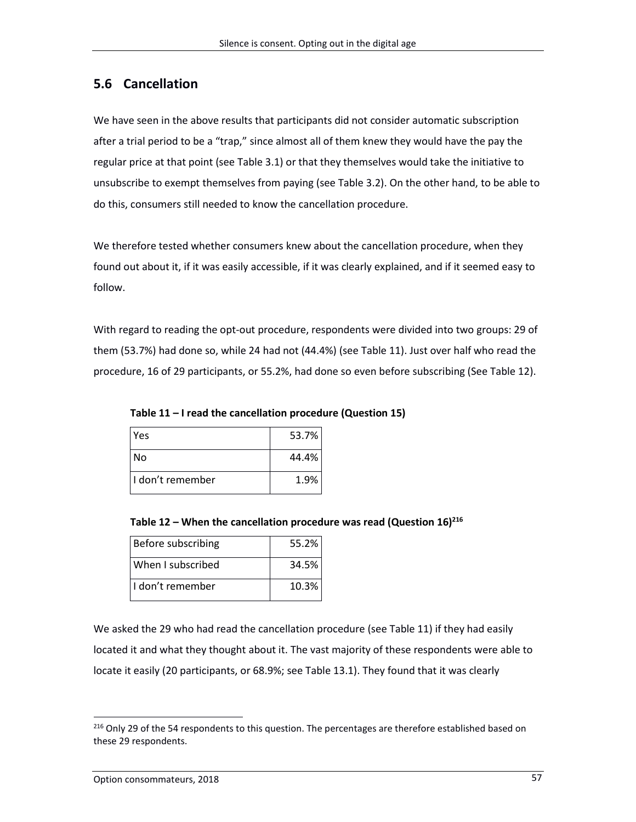### **5.6 Cancellation**

We have seen in the above results that participants did not consider automatic subscription after a trial period to be a "trap," since almost all of them knew they would have the pay the regular price at that point (see Table 3.1) or that they themselves would take the initiative to unsubscribe to exempt themselves from paying (see Table 3.2). On the other hand, to be able to do this, consumers still needed to know the cancellation procedure.

We therefore tested whether consumers knew about the cancellation procedure, when they found out about it, if it was easily accessible, if it was clearly explained, and if it seemed easy to follow.

With regard to reading the opt-out procedure, respondents were divided into two groups: 29 of them (53.7%) had done so, while 24 had not (44.4%) (see Table 11). Just over half who read the procedure, 16 of 29 participants, or 55.2%, had done so even before subscribing (See Table 12).

**Table 11 – I read the cancellation procedure (Question 15)**

| <b>Yes</b>         | 53.7% |
|--------------------|-------|
| No                 | 44.4% |
| l I don't remember | 1.9%  |

**Table 12 – When the cancellation procedure was read (Question 16)<sup>216</sup>**

| Before subscribing | 55.2% |
|--------------------|-------|
| When I subscribed  | 34.5% |
| l I don't remember | 10.3% |

We asked the 29 who had read the cancellation procedure (see Table 11) if they had easily located it and what they thought about it. The vast majority of these respondents were able to locate it easily (20 participants, or 68.9%; see Table 13.1). They found that it was clearly

<sup>&</sup>lt;sup>216</sup> Only 29 of the 54 respondents to this question. The percentages are therefore established based on these 29 respondents.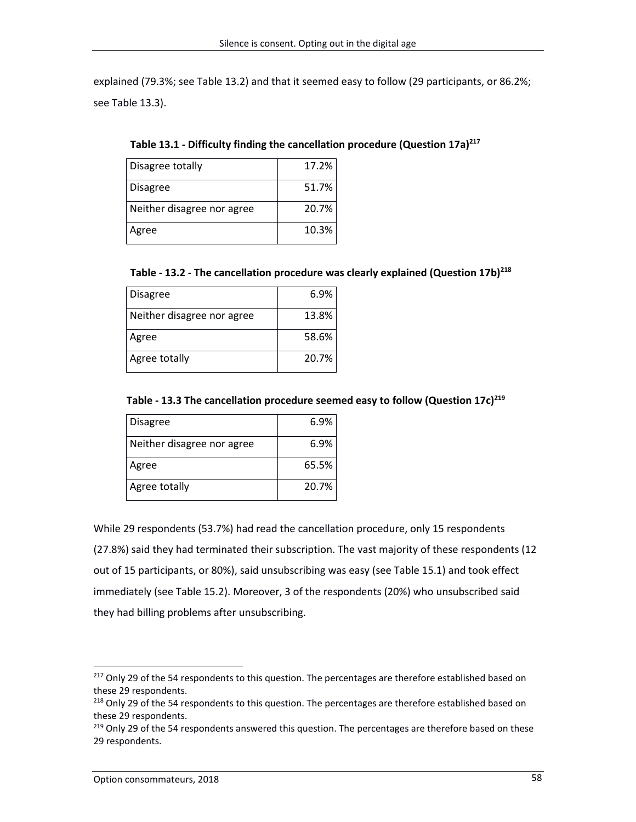explained (79.3%; see Table 13.2) and that it seemed easy to follow (29 participants, or 86.2%; see Table 13.3).

| Disagree totally           | 17.2% |
|----------------------------|-------|
| <b>Disagree</b>            | 51.7% |
| Neither disagree nor agree | 20.7% |
| Agree                      | 10.3% |

**Table 13.1 - Difficulty finding the cancellation procedure (Question 17a)<sup>217</sup>**

|  |  | Table - 13.2 - The cancellation procedure was clearly explained (Question 17b) <sup>218</sup> |  |
|--|--|-----------------------------------------------------------------------------------------------|--|
|--|--|-----------------------------------------------------------------------------------------------|--|

| <b>Disagree</b>            | 6.9%  |
|----------------------------|-------|
| Neither disagree nor agree | 13.8% |
| Agree                      | 58.6% |
| Agree totally              | 20.7% |

### **Table - 13.3 The cancellation procedure seemed easy to follow (Question 17c)<sup>219</sup>**

| <b>Disagree</b>            | 6.9%  |
|----------------------------|-------|
| Neither disagree nor agree | 6.9%  |
| Agree                      | 65.5% |
| Agree totally              | 20.7% |

While 29 respondents (53.7%) had read the cancellation procedure, only 15 respondents (27.8%) said they had terminated their subscription. The vast majority of these respondents (12 out of 15 participants, or 80%), said unsubscribing was easy (see Table 15.1) and took effect immediately (see Table 15.2). Moreover, 3 of the respondents (20%) who unsubscribed said they had billing problems after unsubscribing.

<sup>&</sup>lt;sup>217</sup> Only 29 of the 54 respondents to this question. The percentages are therefore established based on these 29 respondents.

<sup>&</sup>lt;sup>218</sup> Only 29 of the 54 respondents to this question. The percentages are therefore established based on these 29 respondents.

<sup>&</sup>lt;sup>219</sup> Only 29 of the 54 respondents answered this question. The percentages are therefore based on these 29 respondents.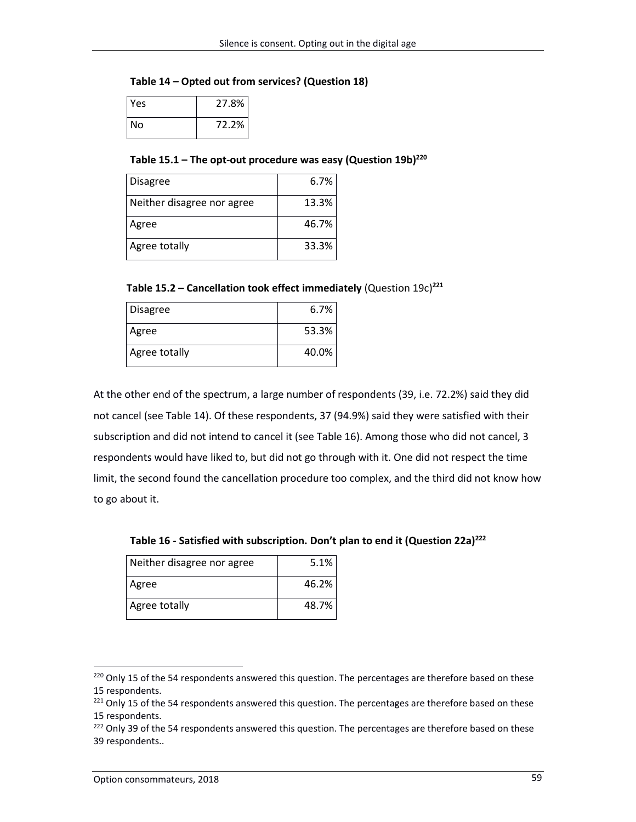### **Table 14 – Opted out from services? (Question 18)**

| Yes  | 27.8% |
|------|-------|
| l No | 72.2% |

**Table 15.1 – The opt-out procedure was easy (Question 19b)<sup>220</sup>**

| <b>Disagree</b>            | 6.7%  |
|----------------------------|-------|
| Neither disagree nor agree | 13.3% |
| Agree                      | 46.7% |
| Agree totally              | 33.3% |

**Table 15.2 – Cancellation took effect immediately** (Question 19c)**<sup>221</sup>**

| <b>Disagree</b> | 6.7%  |
|-----------------|-------|
| Agree           | 53.3% |
| Agree totally   | 40.0% |

At the other end of the spectrum, a large number of respondents (39, i.e. 72.2%) said they did not cancel (see Table 14). Of these respondents, 37 (94.9%) said they were satisfied with their subscription and did not intend to cancel it (see Table 16). Among those who did not cancel, 3 respondents would have liked to, but did not go through with it. One did not respect the time limit, the second found the cancellation procedure too complex, and the third did not know how to go about it.

**Table 16 - Satisfied with subscription. Don't plan to end it (Question 22a)<sup>222</sup>**

| Neither disagree nor agree | 5.1%  |
|----------------------------|-------|
| Agree                      | 46.2% |
| Agree totally              | 48.7% |

<sup>&</sup>lt;sup>220</sup> Only 15 of the 54 respondents answered this question. The percentages are therefore based on these 15 respondents.

<sup>&</sup>lt;sup>221</sup> Only 15 of the 54 respondents answered this question. The percentages are therefore based on these 15 respondents.

<sup>&</sup>lt;sup>222</sup> Only 39 of the 54 respondents answered this question. The percentages are therefore based on these 39 respondents..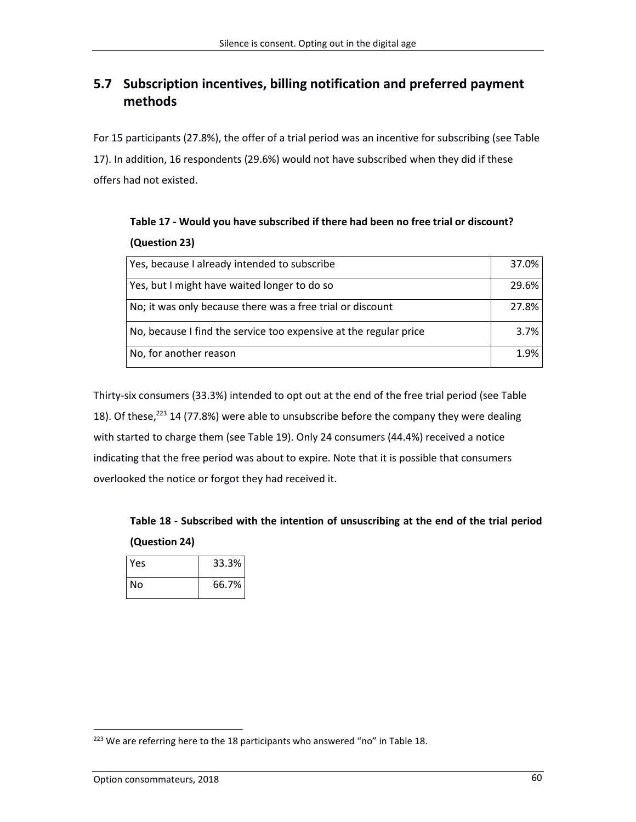## **5.7 Subscription incentives, billing notification and preferred payment methods**

For 15 participants (27.8%), the offer of a trial period was an incentive for subscribing (see Table 17). In addition, 16 respondents (29.6%) would not have subscribed when they did if these offers had not existed.

| Yes, because I already intended to subscribe                      | 37.0% |
|-------------------------------------------------------------------|-------|
| Yes, but I might have waited longer to do so                      | 29.6% |
| No; it was only because there was a free trial or discount        | 27.8% |
| No, because I find the service too expensive at the regular price | 3.7%  |
| No, for another reason                                            | 1.9%  |

**Table 17 - Would you have subscribed if there had been no free trial or discount? (Question 23)**

Thirty-six consumers (33.3%) intended to opt out at the end of the free trial period (see Table 18). Of these,<sup>223</sup> 14 (77.8%) were able to unsubscribe before the company they were dealing with started to charge them (see Table 19). Only 24 consumers (44.4%) received a notice indicating that the free period was about to expire. Note that it is possible that consumers overlooked the notice or forgot they had received it.

**Table 18 - Subscribed with the intention of unsuscribing at the end of the trial period (Question 24)**

| Yes | 33.3% |
|-----|-------|
| N٥  | 66.7% |

<sup>&</sup>lt;sup>223</sup> We are referring here to the 18 participants who answered "no" in Table 18.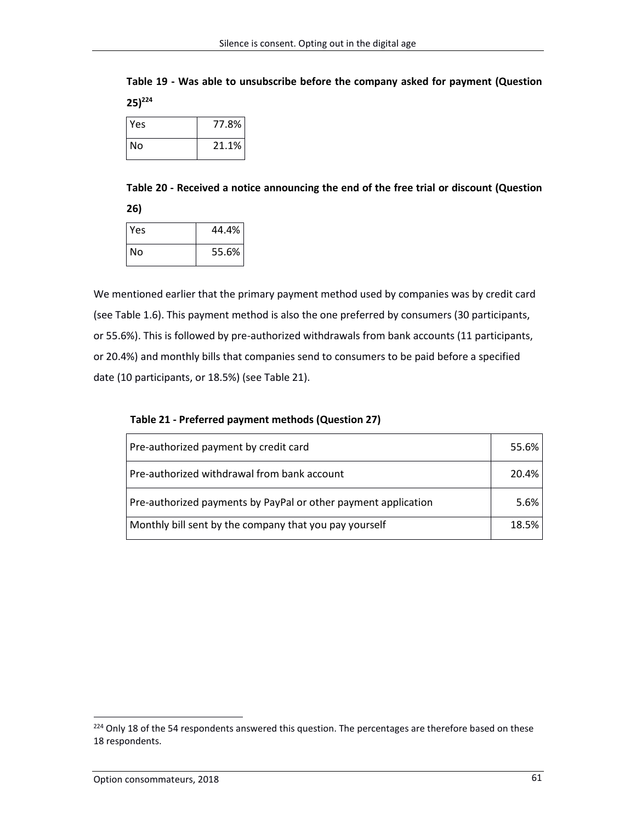**Table 19 - Was able to unsubscribe before the company asked for payment (Question 25)<sup>224</sup>**

| Yes | 77.8% |
|-----|-------|
| No  | 21.1% |

**Table 20 - Received a notice announcing the end of the free trial or discount (Question 26)**

| ٠<br>۰. | and the |  |
|---------|---------|--|
|         |         |  |

| <b>Yes</b> | 44.4% |
|------------|-------|
| l No       | 55.6% |

We mentioned earlier that the primary payment method used by companies was by credit card (see Table 1.6). This payment method is also the one preferred by consumers (30 participants, or 55.6%). This is followed by pre-authorized withdrawals from bank accounts (11 participants, or 20.4%) and monthly bills that companies send to consumers to be paid before a specified date (10 participants, or 18.5%) (see Table 21).

| Pre-authorized payment by credit card                          | 55.6%   |
|----------------------------------------------------------------|---------|
| Pre-authorized withdrawal from bank account                    | 20.4%   |
| Pre-authorized payments by PayPal or other payment application | $5.6\%$ |
| Monthly bill sent by the company that you pay yourself         | 18.5%   |

**Table 21 - Preferred payment methods (Question 27)**

<sup>&</sup>lt;sup>224</sup> Only 18 of the 54 respondents answered this question. The percentages are therefore based on these 18 respondents.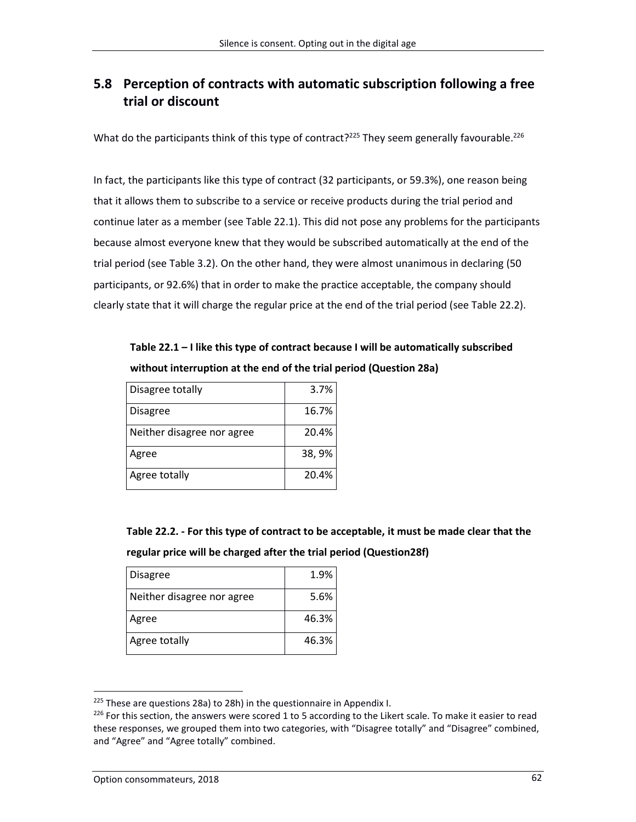# **5.8 Perception of contracts with automatic subscription following a free trial or discount**

What do the participants think of this type of contract?<sup>225</sup> They seem generally favourable.<sup>226</sup>

In fact, the participants like this type of contract (32 participants, or 59.3%), one reason being that it allows them to subscribe to a service or receive products during the trial period and continue later as a member (see Table 22.1). This did not pose any problems for the participants because almost everyone knew that they would be subscribed automatically at the end of the trial period (see Table 3.2). On the other hand, they were almost unanimous in declaring (50 participants, or 92.6%) that in order to make the practice acceptable, the company should clearly state that it will charge the regular price at the end of the trial period (see Table 22.2).

**Table 22.1 – I like this type of contract because I will be automatically subscribed without interruption at the end of the trial period (Question 28a)**

| Disagree totally           | 3.7%  |
|----------------------------|-------|
| Disagree                   | 16.7% |
| Neither disagree nor agree | 20.4% |
| Agree                      | 38,9% |
| Agree totally              | 20.4% |

**Table 22.2. - For this type of contract to be acceptable, it must be made clear that the regular price will be charged after the trial period (Question28f)**

| Disagree                   | 1.9%  |
|----------------------------|-------|
| Neither disagree nor agree | 5.6%  |
| Agree                      | 46.3% |
| Agree totally              | 46.3% |

 $225$  These are questions 28a) to 28h) in the questionnaire in Appendix I.

 $^{226}$  For this section, the answers were scored 1 to 5 according to the Likert scale. To make it easier to read these responses, we grouped them into two categories, with "Disagree totally" and "Disagree" combined, and "Agree" and "Agree totally" combined.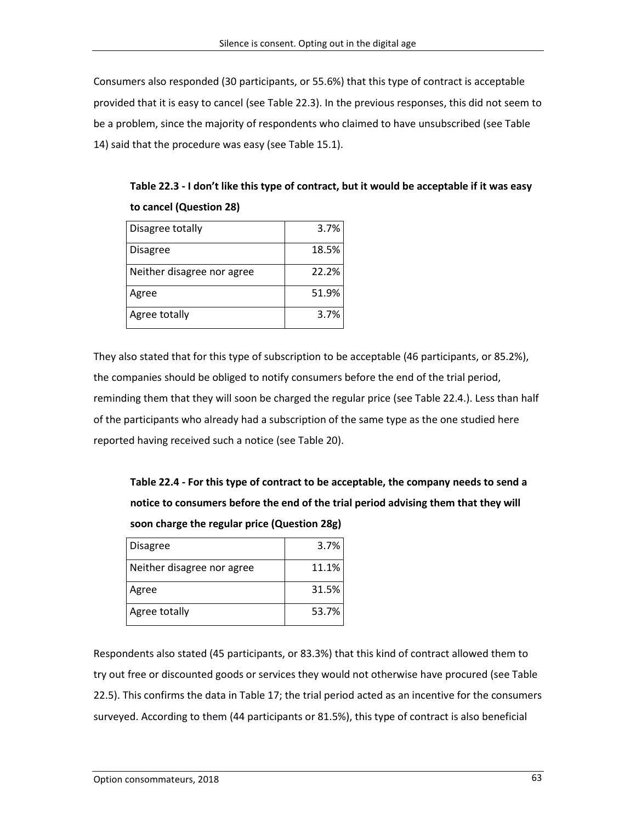Consumers also responded (30 participants, or 55.6%) that this type of contract is acceptable provided that it is easy to cancel (see Table 22.3). In the previous responses, this did not seem to be a problem, since the majority of respondents who claimed to have unsubscribed (see Table 14) said that the procedure was easy (see Table 15.1).

**Table 22.3 - I don't like this type of contract, but it would be acceptable if it was easy to cancel (Question 28)**

| Disagree totally           | 3.7%  |
|----------------------------|-------|
| <b>Disagree</b>            | 18.5% |
| Neither disagree nor agree | 22.2% |
| Agree                      | 51.9% |
| Agree totally              | 3.7%  |

They also stated that for this type of subscription to be acceptable (46 participants, or 85.2%), the companies should be obliged to notify consumers before the end of the trial period, reminding them that they will soon be charged the regular price (see Table 22.4.). Less than half of the participants who already had a subscription of the same type as the one studied here reported having received such a notice (see Table 20).

**Table 22.4 - For this type of contract to be acceptable, the company needs to send a notice to consumers before the end of the trial period advising them that they will soon charge the regular price (Question 28g)**

| <b>Disagree</b>            | 3.7%  |
|----------------------------|-------|
| Neither disagree nor agree | 11.1% |
| Agree                      | 31.5% |
| Agree totally              | 53.7% |

Respondents also stated (45 participants, or 83.3%) that this kind of contract allowed them to try out free or discounted goods or services they would not otherwise have procured (see Table 22.5). This confirms the data in Table 17; the trial period acted as an incentive for the consumers surveyed. According to them (44 participants or 81.5%), this type of contract is also beneficial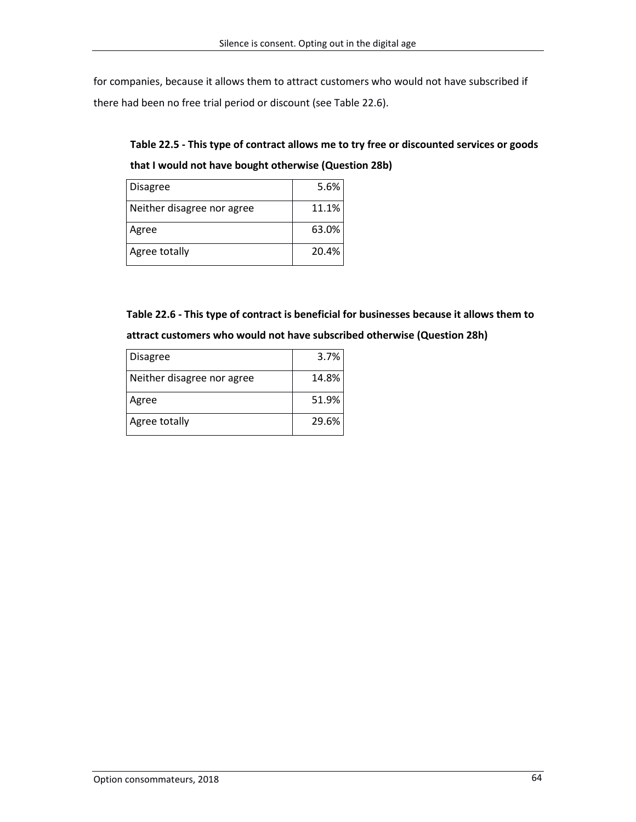for companies, because it allows them to attract customers who would not have subscribed if there had been no free trial period or discount (see Table 22.6).

# **Table 22.5 - This type of contract allows me to try free or discounted services or goods that I would not have bought otherwise (Question 28b)**

| <b>Disagree</b>            | 5.6%  |
|----------------------------|-------|
| Neither disagree nor agree | 11.1% |
| Agree                      | 63.0% |
| Agree totally              | 20.4% |

**Table 22.6 - This type of contract is beneficial for businesses because it allows them to attract customers who would not have subscribed otherwise (Question 28h)**

| <b>Disagree</b>            | 3.7%  |
|----------------------------|-------|
| Neither disagree nor agree | 14.8% |
| Agree                      | 51.9% |
| Agree totally              | 29.6% |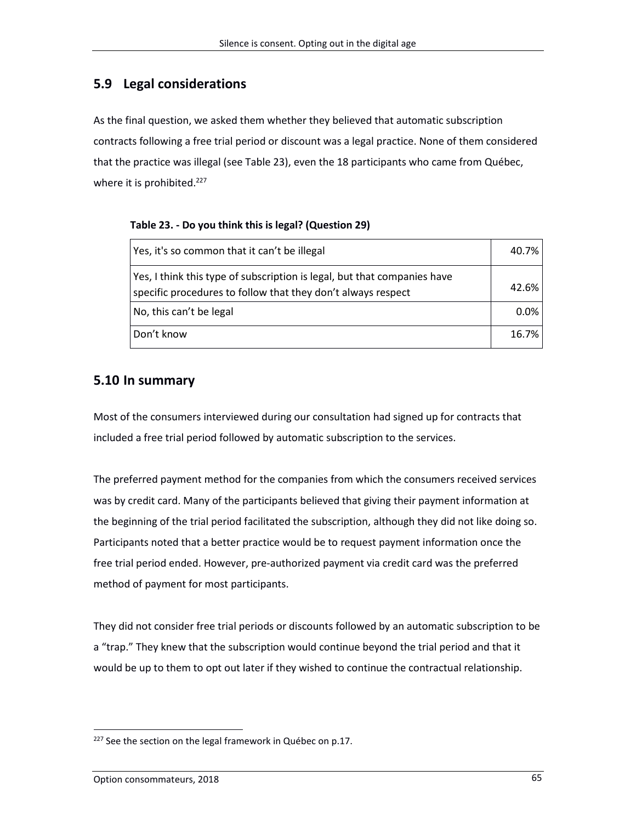## **5.9 Legal considerations**

As the final question, we asked them whether they believed that automatic subscription contracts following a free trial period or discount was a legal practice. None of them considered that the practice was illegal (see Table 23), even the 18 participants who came from Québec, where it is prohibited.<sup>227</sup>

**Table 23. - Do you think this is legal? (Question 29)**

| Yes, it's so common that it can't be illegal                                                                                             | 40.7%   |
|------------------------------------------------------------------------------------------------------------------------------------------|---------|
| Yes, I think this type of subscription is legal, but that companies have<br>specific procedures to follow that they don't always respect | 42.6%   |
| No, this can't be legal                                                                                                                  | $0.0\%$ |
| Don't know                                                                                                                               | 16.7%   |

## **5.10 In summary**

Most of the consumers interviewed during our consultation had signed up for contracts that included a free trial period followed by automatic subscription to the services.

The preferred payment method for the companies from which the consumers received services was by credit card. Many of the participants believed that giving their payment information at the beginning of the trial period facilitated the subscription, although they did not like doing so. Participants noted that a better practice would be to request payment information once the free trial period ended. However, pre-authorized payment via credit card was the preferred method of payment for most participants.

They did not consider free trial periods or discounts followed by an automatic subscription to be a "trap." They knew that the subscription would continue beyond the trial period and that it would be up to them to opt out later if they wished to continue the contractual relationship.

 $\overline{a}$  $227$  See the section on the legal framework in Québec on p.17.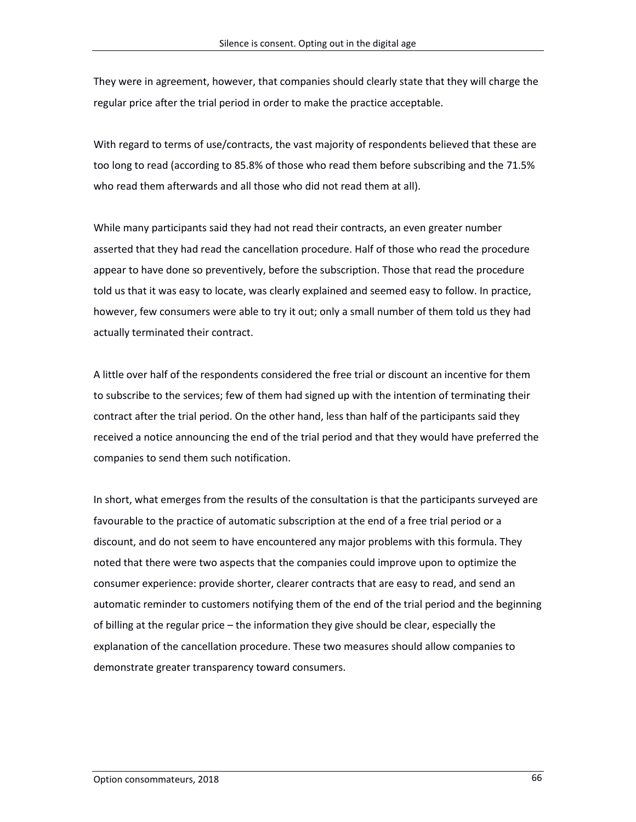They were in agreement, however, that companies should clearly state that they will charge the regular price after the trial period in order to make the practice acceptable.

With regard to terms of use/contracts, the vast majority of respondents believed that these are too long to read (according to 85.8% of those who read them before subscribing and the 71.5% who read them afterwards and all those who did not read them at all).

While many participants said they had not read their contracts, an even greater number asserted that they had read the cancellation procedure. Half of those who read the procedure appear to have done so preventively, before the subscription. Those that read the procedure told us that it was easy to locate, was clearly explained and seemed easy to follow. In practice, however, few consumers were able to try it out; only a small number of them told us they had actually terminated their contract.

A little over half of the respondents considered the free trial or discount an incentive for them to subscribe to the services; few of them had signed up with the intention of terminating their contract after the trial period. On the other hand, less than half of the participants said they received a notice announcing the end of the trial period and that they would have preferred the companies to send them such notification.

In short, what emerges from the results of the consultation is that the participants surveyed are favourable to the practice of automatic subscription at the end of a free trial period or a discount, and do not seem to have encountered any major problems with this formula. They noted that there were two aspects that the companies could improve upon to optimize the consumer experience: provide shorter, clearer contracts that are easy to read, and send an automatic reminder to customers notifying them of the end of the trial period and the beginning of billing at the regular price – the information they give should be clear, especially the explanation of the cancellation procedure. These two measures should allow companies to demonstrate greater transparency toward consumers.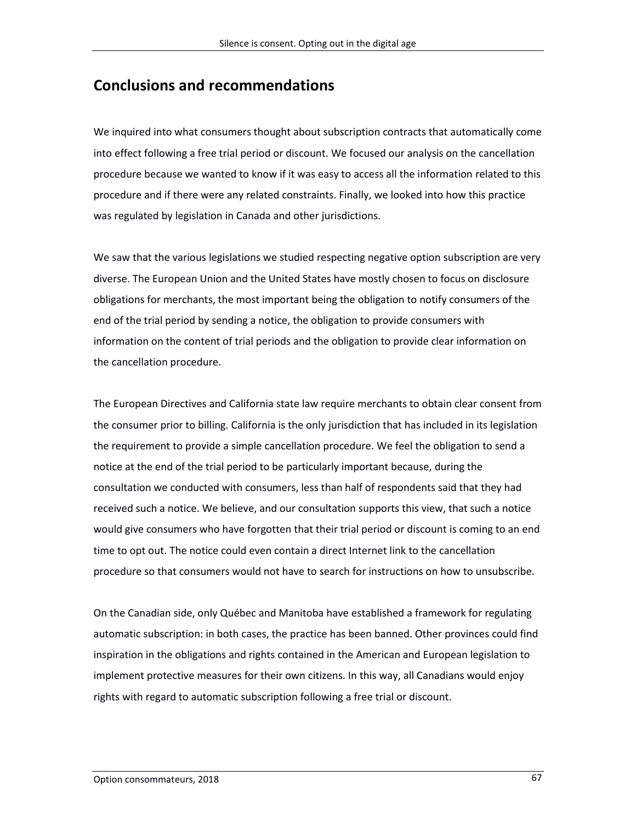# **Conclusions and recommendations**

We inquired into what consumers thought about subscription contracts that automatically come into effect following a free trial period or discount. We focused our analysis on the cancellation procedure because we wanted to know if it was easy to access all the information related to this procedure and if there were any related constraints. Finally, we looked into how this practice was regulated by legislation in Canada and other jurisdictions.

We saw that the various legislations we studied respecting negative option subscription are very diverse. The European Union and the United States have mostly chosen to focus on disclosure obligations for merchants, the most important being the obligation to notify consumers of the end of the trial period by sending a notice, the obligation to provide consumers with information on the content of trial periods and the obligation to provide clear information on the cancellation procedure.

The European Directives and California state law require merchants to obtain clear consent from the consumer prior to billing. California is the only jurisdiction that has included in its legislation the requirement to provide a simple cancellation procedure. We feel the obligation to send a notice at the end of the trial period to be particularly important because, during the consultation we conducted with consumers, less than half of respondents said that they had received such a notice. We believe, and our consultation supports this view, that such a notice would give consumers who have forgotten that their trial period or discount is coming to an end time to opt out. The notice could even contain a direct Internet link to the cancellation procedure so that consumers would not have to search for instructions on how to unsubscribe.

On the Canadian side, only Québec and Manitoba have established a framework for regulating automatic subscription: in both cases, the practice has been banned. Other provinces could find inspiration in the obligations and rights contained in the American and European legislation to implement protective measures for their own citizens. In this way, all Canadians would enjoy rights with regard to automatic subscription following a free trial or discount.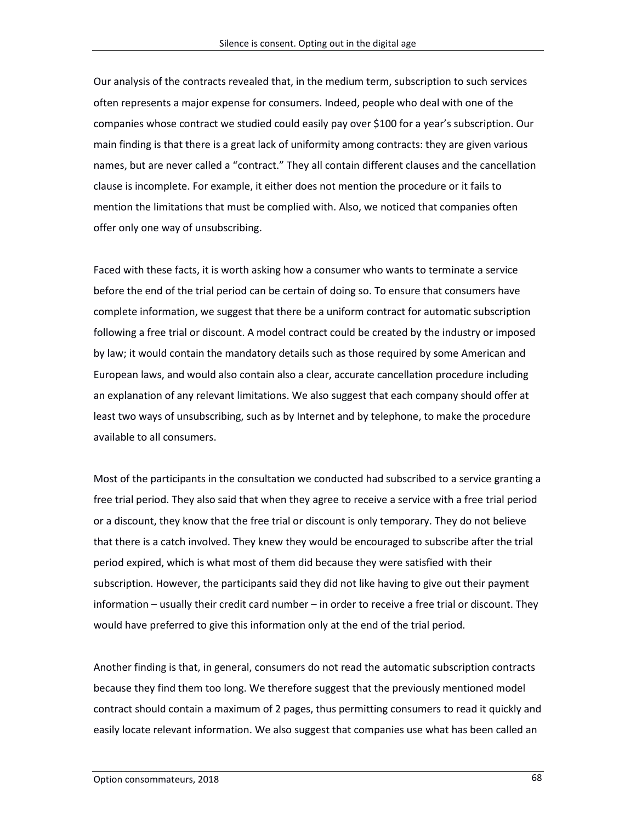Our analysis of the contracts revealed that, in the medium term, subscription to such services often represents a major expense for consumers. Indeed, people who deal with one of the companies whose contract we studied could easily pay over \$100 for a year's subscription. Our main finding is that there is a great lack of uniformity among contracts: they are given various names, but are never called a "contract." They all contain different clauses and the cancellation clause is incomplete. For example, it either does not mention the procedure or it fails to mention the limitations that must be complied with. Also, we noticed that companies often offer only one way of unsubscribing.

Faced with these facts, it is worth asking how a consumer who wants to terminate a service before the end of the trial period can be certain of doing so. To ensure that consumers have complete information, we suggest that there be a uniform contract for automatic subscription following a free trial or discount. A model contract could be created by the industry or imposed by law; it would contain the mandatory details such as those required by some American and European laws, and would also contain also a clear, accurate cancellation procedure including an explanation of any relevant limitations. We also suggest that each company should offer at least two ways of unsubscribing, such as by Internet and by telephone, to make the procedure available to all consumers.

Most of the participants in the consultation we conducted had subscribed to a service granting a free trial period. They also said that when they agree to receive a service with a free trial period or a discount, they know that the free trial or discount is only temporary. They do not believe that there is a catch involved. They knew they would be encouraged to subscribe after the trial period expired, which is what most of them did because they were satisfied with their subscription. However, the participants said they did not like having to give out their payment information – usually their credit card number – in order to receive a free trial or discount. They would have preferred to give this information only at the end of the trial period.

Another finding is that, in general, consumers do not read the automatic subscription contracts because they find them too long. We therefore suggest that the previously mentioned model contract should contain a maximum of 2 pages, thus permitting consumers to read it quickly and easily locate relevant information. We also suggest that companies use what has been called an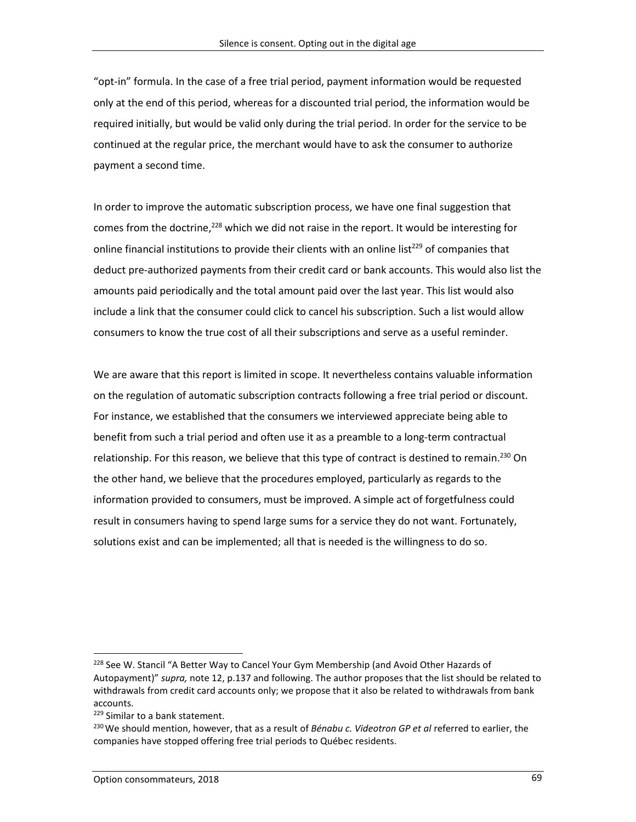"opt-in" formula. In the case of a free trial period, payment information would be requested only at the end of this period, whereas for a discounted trial period, the information would be required initially, but would be valid only during the trial period. In order for the service to be continued at the regular price, the merchant would have to ask the consumer to authorize payment a second time.

In order to improve the automatic subscription process, we have one final suggestion that comes from the doctrine,<sup>228</sup> which we did not raise in the report. It would be interesting for online financial institutions to provide their clients with an online list<sup>229</sup> of companies that deduct pre-authorized payments from their credit card or bank accounts. This would also list the amounts paid periodically and the total amount paid over the last year. This list would also include a link that the consumer could click to cancel his subscription. Such a list would allow consumers to know the true cost of all their subscriptions and serve as a useful reminder.

We are aware that this report is limited in scope. It nevertheless contains valuable information on the regulation of automatic subscription contracts following a free trial period or discount. For instance, we established that the consumers we interviewed appreciate being able to benefit from such a trial period and often use it as a preamble to a long-term contractual relationship. For this reason, we believe that this type of contract is destined to remain.<sup>230</sup> On the other hand, we believe that the procedures employed, particularly as regards to the information provided to consumers, must be improved. A simple act of forgetfulness could result in consumers having to spend large sums for a service they do not want. Fortunately, solutions exist and can be implemented; all that is needed is the willingness to do so.

<sup>&</sup>lt;sup>228</sup> See W. Stancil "A Better Way to Cancel Your Gym Membership (and Avoid Other Hazards of Autopayment)" *supra,* note 12, p.137 and following. The author proposes that the list should be related to withdrawals from credit card accounts only; we propose that it also be related to withdrawals from bank accounts.

<sup>229</sup> Similar to a bank statement.

<sup>230</sup>We should mention, however, that as a result of *Bénabu c. Videotron GP et al* referred to earlier, the companies have stopped offering free trial periods to Québec residents.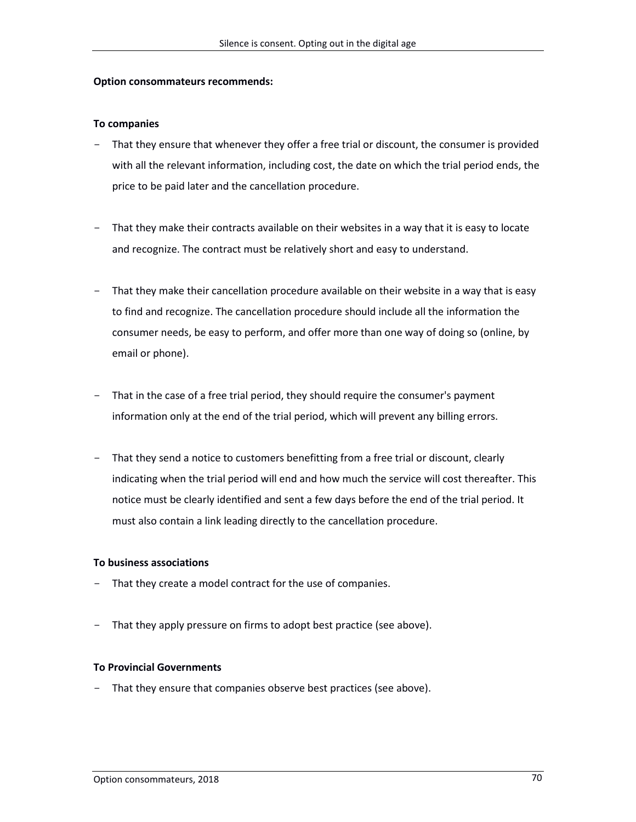#### **Option consommateurs recommends:**

#### **To companies**

- That they ensure that whenever they offer a free trial or discount, the consumer is provided with all the relevant information, including cost, the date on which the trial period ends, the price to be paid later and the cancellation procedure.
- That they make their contracts available on their websites in a way that it is easy to locate and recognize. The contract must be relatively short and easy to understand.
- That they make their cancellation procedure available on their website in a way that is easy to find and recognize. The cancellation procedure should include all the information the consumer needs, be easy to perform, and offer more than one way of doing so (online, by email or phone).
- That in the case of a free trial period, they should require the consumer's payment information only at the end of the trial period, which will prevent any billing errors.
- That they send a notice to customers benefitting from a free trial or discount, clearly indicating when the trial period will end and how much the service will cost thereafter. This notice must be clearly identified and sent a few days before the end of the trial period. It must also contain a link leading directly to the cancellation procedure.

#### **To business associations**

- That they create a model contract for the use of companies.
- That they apply pressure on firms to adopt best practice (see above).

#### **To Provincial Governments**

- That they ensure that companies observe best practices (see above).